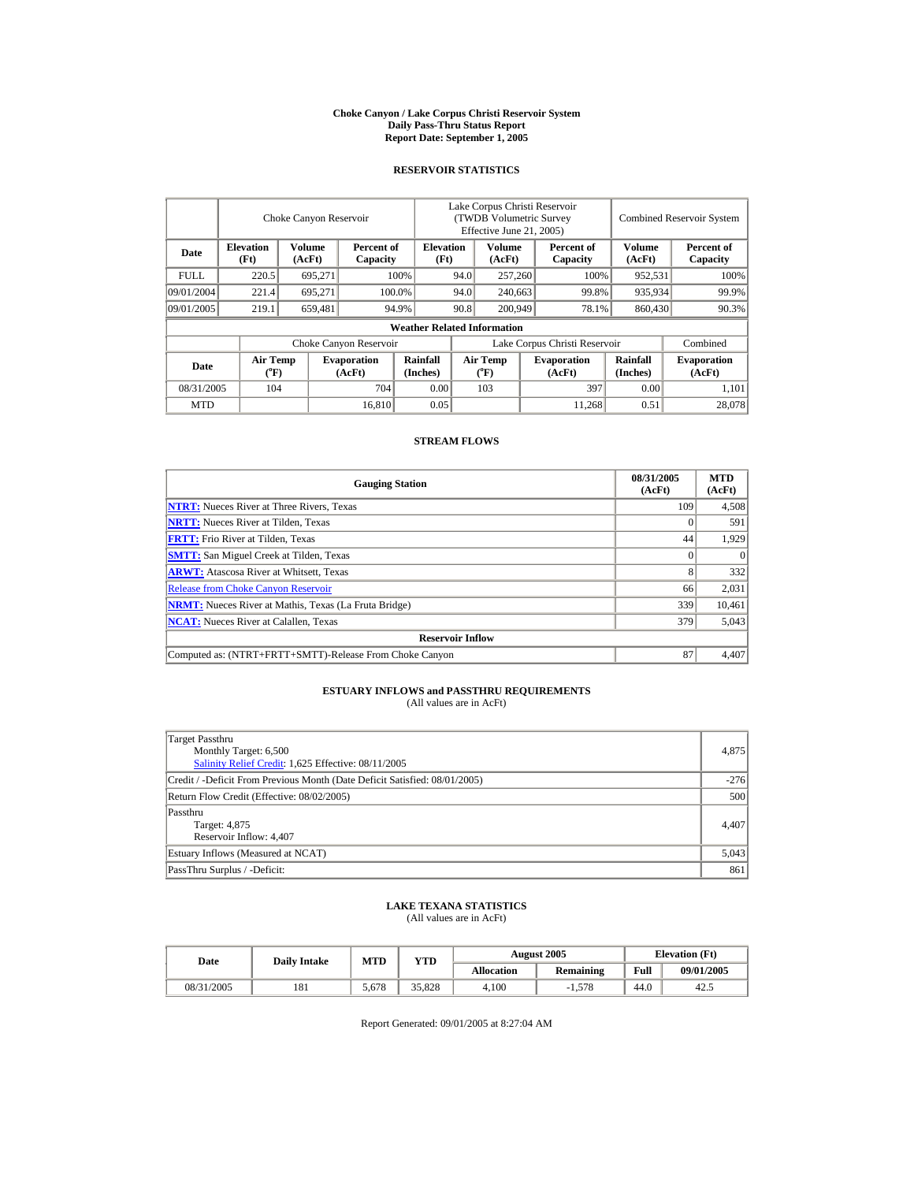#### **Choke Canyon / Lake Corpus Christi Reservoir System Daily Pass-Thru Status Report Report Date: September 1, 2005**

#### **RESERVOIR STATISTICS**

|             | Choke Canyon Reservoir   |                         | Lake Corpus Christi Reservoir<br>(TWDB Volumetric Survey<br>Effective June 21, 2005) |                                    |                               |                                       | <b>Combined Reservoir System</b> |                              |                         |                              |
|-------------|--------------------------|-------------------------|--------------------------------------------------------------------------------------|------------------------------------|-------------------------------|---------------------------------------|----------------------------------|------------------------------|-------------------------|------------------------------|
| Date        | <b>Elevation</b><br>(Ft) | <b>Volume</b><br>(AcFt) | Percent of<br>Capacity                                                               | <b>Elevation</b><br>(Ft)           |                               | <b>Volume</b><br>(AcFt)               |                                  | Percent of<br>Capacity       | <b>Volume</b><br>(AcFt) | Percent of<br>Capacity       |
| <b>FULL</b> | 220.5                    | 695.271                 |                                                                                      | 100%                               | 94.0                          | 257,260                               |                                  | 100%                         | 952,531                 | 100%                         |
| 09/01/2004  | 221.4                    | 695,271                 |                                                                                      | 100.0%                             | 94.0                          | 240,663                               |                                  | 99.8%                        | 935,934                 | 99.9%                        |
| 09/01/2005  | 219.1                    | 659,481                 |                                                                                      | 94.9%                              | 90.8                          | 200,949                               |                                  | 78.1%                        | 860,430                 | 90.3%                        |
|             |                          |                         |                                                                                      | <b>Weather Related Information</b> |                               |                                       |                                  |                              |                         |                              |
|             |                          |                         | Choke Canyon Reservoir                                                               |                                    | Lake Corpus Christi Reservoir |                                       |                                  |                              |                         | Combined                     |
| Date        | <b>Air Temp</b><br>(°F)  |                         | <b>Evaporation</b><br>(AcFt)                                                         | Rainfall<br>(Inches)               |                               | <b>Air Temp</b><br>$({}^o\mathrm{F})$ |                                  | <b>Evaporation</b><br>(AcFt) | Rainfall<br>(Inches)    | <b>Evaporation</b><br>(AcFt) |
| 08/31/2005  | 104                      |                         | 704                                                                                  | 0.00                               |                               | 103                                   |                                  | 397                          | 0.00                    | 1,101                        |
| <b>MTD</b>  |                          |                         | 16.810                                                                               | 0.05                               |                               |                                       |                                  | 11.268                       | 0.51                    | 28,078                       |

#### **STREAM FLOWS**

| <b>Gauging Station</b>                                       | 08/31/2005<br>(AcFt) | <b>MTD</b><br>(AcFt) |  |  |  |  |  |
|--------------------------------------------------------------|----------------------|----------------------|--|--|--|--|--|
| <b>NTRT:</b> Nueces River at Three Rivers, Texas             | 109                  | 4,508                |  |  |  |  |  |
| <b>NRTT:</b> Nueces River at Tilden, Texas                   |                      | 591                  |  |  |  |  |  |
| <b>FRTT:</b> Frio River at Tilden, Texas                     | 44                   | 1,929                |  |  |  |  |  |
| <b>SMTT:</b> San Miguel Creek at Tilden, Texas               |                      | $\Omega$             |  |  |  |  |  |
| <b>ARWT:</b> Atascosa River at Whitsett, Texas               |                      | 332                  |  |  |  |  |  |
| <b>Release from Choke Canyon Reservoir</b>                   | 66                   | 2,031                |  |  |  |  |  |
| <b>NRMT:</b> Nueces River at Mathis, Texas (La Fruta Bridge) | 339                  | 10,461               |  |  |  |  |  |
| <b>NCAT:</b> Nueces River at Calallen, Texas                 | 379                  | 5,043                |  |  |  |  |  |
| <b>Reservoir Inflow</b>                                      |                      |                      |  |  |  |  |  |
| Computed as: (NTRT+FRTT+SMTT)-Release From Choke Canyon      | 87                   | 4,407                |  |  |  |  |  |

## **ESTUARY INFLOWS and PASSTHRU REQUIREMENTS**<br>(All values are in AcFt)

| 4.875  |
|--------|
| $-276$ |
|        |
| 4.407  |
|        |

| Target: 4,875                      | 4.407 |
|------------------------------------|-------|
| Reservoir Inflow: 4.407            |       |
| Estuary Inflows (Measured at NCAT) | 5.043 |
| PassThru Surplus / -Deficit:       | 861   |
|                                    |       |

## **LAKE TEXANA STATISTICS** (All values are in AcFt)

| Date       | <b>Dailv Intake</b> | MTD   | <b>YTD</b> |            | <b>August 2005</b> | <b>Elevation</b> (Ft) |            |
|------------|---------------------|-------|------------|------------|--------------------|-----------------------|------------|
|            |                     |       |            | Allocation | Remaining          | Full                  | 09/01/2005 |
| 08/31/2005 | 181                 | 5.678 | 35.828     | 4.100      | $-1.578$           | 44.0                  | 42.5       |

Report Generated: 09/01/2005 at 8:27:04 AM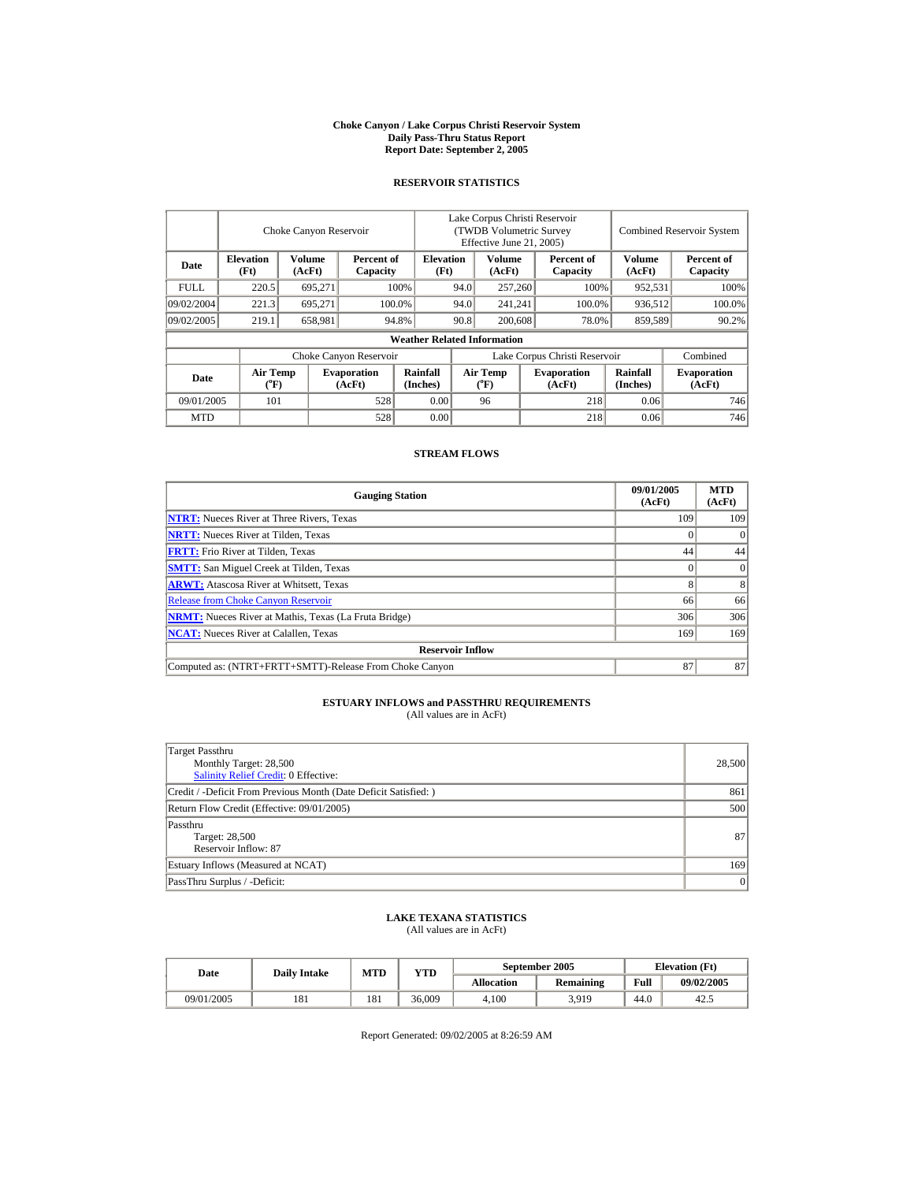#### **Choke Canyon / Lake Corpus Christi Reservoir System Daily Pass-Thru Status Report Report Date: September 2, 2005**

## **RESERVOIR STATISTICS**

|             | Choke Canyon Reservoir               |                         |                              |                                    | Lake Corpus Christi Reservoir<br>(TWDB Volumetric Survey)<br>Effective June 21, 2005) |                                |  |                              |                         | <b>Combined Reservoir System</b> |  |  |
|-------------|--------------------------------------|-------------------------|------------------------------|------------------------------------|---------------------------------------------------------------------------------------|--------------------------------|--|------------------------------|-------------------------|----------------------------------|--|--|
| Date        | <b>Elevation</b><br>(Ft)             | <b>Volume</b><br>(AcFt) | Percent of<br>Capacity       | <b>Elevation</b><br>(Ft)           |                                                                                       | Volume<br>(AcFt)               |  | Percent of<br>Capacity       | <b>Volume</b><br>(AcFt) | Percent of<br>Capacity           |  |  |
| <b>FULL</b> | 220.5                                | 695.271                 |                              | 100%                               | 94.0                                                                                  | 257,260                        |  | 100%                         | 952.531                 | 100%                             |  |  |
| 09/02/2004  | 221.3                                | 695.271                 |                              | 100.0%                             | 94.0                                                                                  | 241.241                        |  | 100.0%                       | 936.512                 | 100.0%                           |  |  |
| 09/02/2005  | 219.1                                | 658,981                 |                              | 94.8%                              | 90.8                                                                                  | 200,608                        |  | 78.0%                        | 859,589                 | 90.2%                            |  |  |
|             |                                      |                         |                              | <b>Weather Related Information</b> |                                                                                       |                                |  |                              |                         |                                  |  |  |
|             |                                      |                         | Choke Canyon Reservoir       |                                    | Lake Corpus Christi Reservoir                                                         |                                |  |                              |                         | Combined                         |  |  |
| Date        | Air Temp<br>$({}^{\circ}\mathrm{F})$ |                         | <b>Evaporation</b><br>(AcFt) | Rainfall<br>(Inches)               |                                                                                       | Air Temp<br>$({}^o\mathrm{F})$ |  | <b>Evaporation</b><br>(AcFt) | Rainfall<br>(Inches)    | <b>Evaporation</b><br>(AcFt)     |  |  |
| 09/01/2005  | 101                                  |                         | 528                          | 0.00                               |                                                                                       | 96                             |  | 218                          | 0.06                    | 746                              |  |  |
| <b>MTD</b>  |                                      |                         | 528                          | 0.00                               |                                                                                       |                                |  | 218                          | 0.06                    | 746                              |  |  |

### **STREAM FLOWS**

| <b>Gauging Station</b>                                       | 09/01/2005<br>(AcFt) | <b>MTD</b><br>(AcFt) |
|--------------------------------------------------------------|----------------------|----------------------|
| <b>NTRT:</b> Nueces River at Three Rivers, Texas             | 109                  | 109                  |
| <b>NRTT:</b> Nueces River at Tilden, Texas                   |                      |                      |
| <b>FRTT:</b> Frio River at Tilden, Texas                     | 44                   | 44                   |
| <b>SMTT:</b> San Miguel Creek at Tilden, Texas               |                      | $\Omega$             |
| <b>ARWT:</b> Atascosa River at Whitsett, Texas               | 8                    | 8                    |
| <b>Release from Choke Canyon Reservoir</b>                   | 66                   | 66                   |
| <b>NRMT:</b> Nueces River at Mathis, Texas (La Fruta Bridge) | 306                  | 306                  |
| <b>NCAT:</b> Nueces River at Calallen, Texas                 | 169                  | 169                  |
| <b>Reservoir Inflow</b>                                      |                      |                      |
| Computed as: (NTRT+FRTT+SMTT)-Release From Choke Canyon      | 87                   | 87                   |

## **ESTUARY INFLOWS and PASSTHRU REQUIREMENTS**<br>(All values are in AcFt)

| Target Passthru<br>Monthly Target: 28,500<br>Salinity Relief Credit: 0 Effective: | 28,500 |
|-----------------------------------------------------------------------------------|--------|
| Credit / -Deficit From Previous Month (Date Deficit Satisfied:)                   | 861    |
| Return Flow Credit (Effective: 09/01/2005)                                        | 500    |
| Passthru<br>Target: 28,500<br>Reservoir Inflow: 87                                | 87     |
| Estuary Inflows (Measured at NCAT)                                                | 169    |
| PassThru Surplus / -Deficit:                                                      | 0      |

## **LAKE TEXANA STATISTICS** (All values are in AcFt)

| Date       | <b>Daily Intake</b> | MTD | <b>VTD</b> |            | September 2005   | <b>Elevation</b> (Ft) |            |
|------------|---------------------|-----|------------|------------|------------------|-----------------------|------------|
|            |                     |     |            | Allocation | <b>Remaining</b> | Full                  | 09/02/2005 |
| 09/01/2005 | 181                 | 181 | 36.009     | 4.100      | 3,919            | 44.0                  | 42.5       |

Report Generated: 09/02/2005 at 8:26:59 AM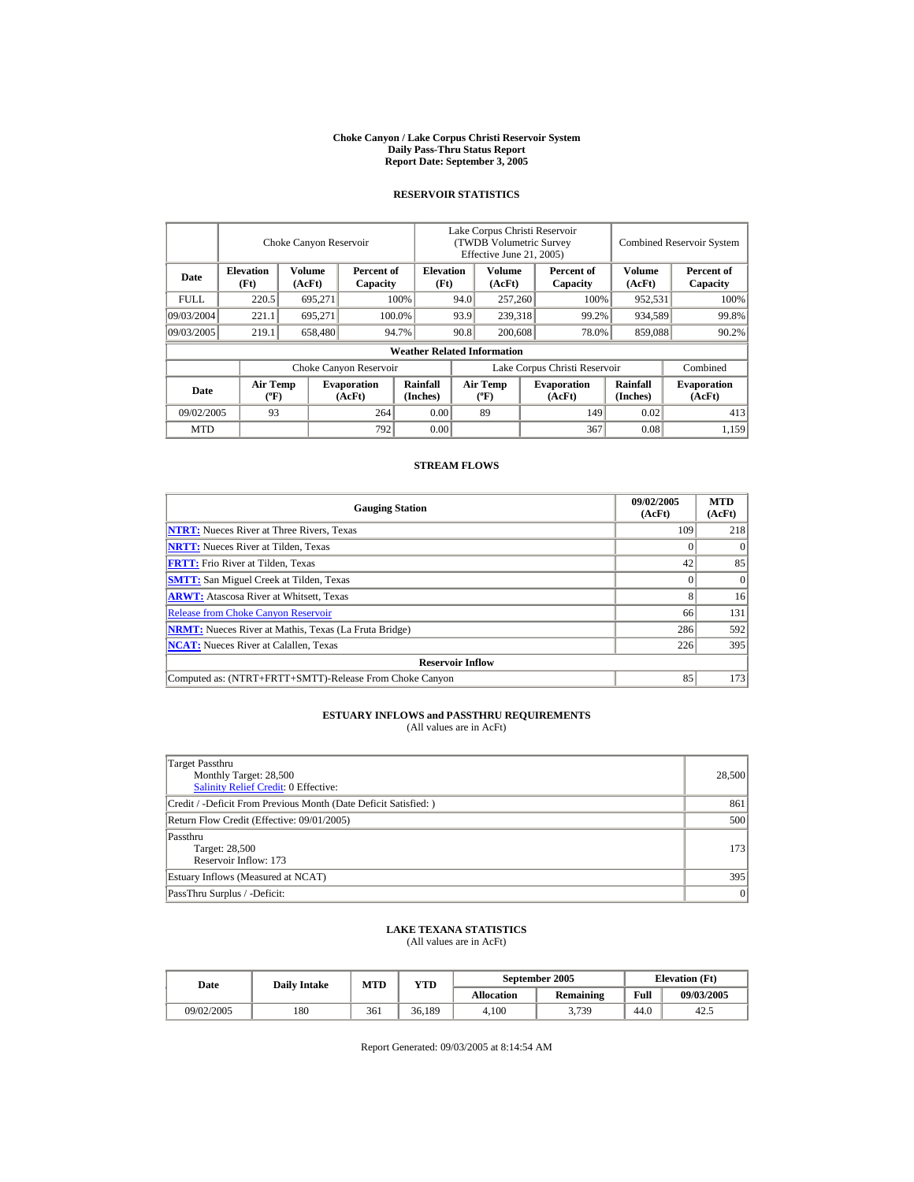#### **Choke Canyon / Lake Corpus Christi Reservoir System Daily Pass-Thru Status Report Report Date: September 3, 2005**

#### **RESERVOIR STATISTICS**

|            | Choke Canyon Reservoir                      |                                            |                              |                                    | Lake Corpus Christi Reservoir<br>(TWDB Volumetric Survey<br>Effective June 21, 2005) |                                             |  |                              | <b>Combined Reservoir System</b> |                              |  |
|------------|---------------------------------------------|--------------------------------------------|------------------------------|------------------------------------|--------------------------------------------------------------------------------------|---------------------------------------------|--|------------------------------|----------------------------------|------------------------------|--|
| Date       | <b>Elevation</b><br>(Ft)                    | Volume<br>Percent of<br>(AcFt)<br>Capacity |                              | <b>Elevation</b><br>(Ft)           |                                                                                      | Volume<br>(AcFt)                            |  | Percent of<br>Capacity       | Volume<br>(AcFt)                 | Percent of<br>Capacity       |  |
| FULL.      | 220.5                                       | 695,271                                    |                              | 100%                               | 94.0                                                                                 | 257,260                                     |  | 100%                         | 952,531                          | 100%                         |  |
| 09/03/2004 | 221.1                                       | 695.271                                    |                              | 100.0%                             | 93.9                                                                                 | 239,318                                     |  | 99.2%                        | 934,589                          | 99.8%                        |  |
| 09/03/2005 | 219.1                                       | 658,480                                    |                              | 94.7%                              | 90.8                                                                                 | 200,608                                     |  | 78.0%                        | 859,088                          | 90.2%                        |  |
|            |                                             |                                            |                              | <b>Weather Related Information</b> |                                                                                      |                                             |  |                              |                                  |                              |  |
|            |                                             |                                            | Choke Canyon Reservoir       |                                    | Lake Corpus Christi Reservoir                                                        |                                             |  |                              |                                  | Combined                     |  |
| Date       | <b>Air Temp</b><br>$({}^{\circ}\mathrm{F})$ |                                            | <b>Evaporation</b><br>(AcFt) | Rainfall<br>(Inches)               |                                                                                      | <b>Air Temp</b><br>$({}^{\circ}\mathbf{F})$ |  | <b>Evaporation</b><br>(AcFt) | Rainfall<br>(Inches)             | <b>Evaporation</b><br>(AcFt) |  |
| 09/02/2005 | 93                                          |                                            | 264                          | 0.00                               |                                                                                      | 89                                          |  | 149                          | 0.02                             | 413                          |  |
| <b>MTD</b> |                                             |                                            | 792                          | 0.00                               |                                                                                      |                                             |  | 367                          | 0.08                             | 1,159                        |  |

#### **STREAM FLOWS**

| <b>Gauging Station</b>                                       | 09/02/2005<br>(AcFt) | <b>MTD</b><br>(AcFt) |  |  |  |  |  |
|--------------------------------------------------------------|----------------------|----------------------|--|--|--|--|--|
| <b>NTRT:</b> Nueces River at Three Rivers, Texas             | 109                  | 218                  |  |  |  |  |  |
| <b>NRTT:</b> Nueces River at Tilden, Texas                   |                      | $\Omega$             |  |  |  |  |  |
| <b>FRTT:</b> Frio River at Tilden, Texas                     | 42                   | 85                   |  |  |  |  |  |
| <b>SMTT:</b> San Miguel Creek at Tilden, Texas               |                      | $\Omega$             |  |  |  |  |  |
| <b>ARWT:</b> Atascosa River at Whitsett, Texas               |                      | 16                   |  |  |  |  |  |
| <b>Release from Choke Canyon Reservoir</b>                   | 66                   | 131                  |  |  |  |  |  |
| <b>NRMT:</b> Nueces River at Mathis, Texas (La Fruta Bridge) | 286                  | 592                  |  |  |  |  |  |
| <b>NCAT:</b> Nueces River at Calallen, Texas                 | 226                  | 395                  |  |  |  |  |  |
| <b>Reservoir Inflow</b>                                      |                      |                      |  |  |  |  |  |
| Computed as: (NTRT+FRTT+SMTT)-Release From Choke Canyon      | 85                   | 173                  |  |  |  |  |  |

# **ESTUARY INFLOWS and PASSTHRU REQUIREMENTS**<br>(All values are in AcFt)

| Target Passthru<br>Monthly Target: 28,500<br>Salinity Relief Credit: 0 Effective: | 28,500 |
|-----------------------------------------------------------------------------------|--------|
| Credit / -Deficit From Previous Month (Date Deficit Satisfied:)                   | 861    |
| Return Flow Credit (Effective: 09/01/2005)                                        | 500    |
| Passthru<br>Target: 28,500<br>Reservoir Inflow: 173                               | 173    |
| Estuary Inflows (Measured at NCAT)                                                | 395    |
| PassThru Surplus / -Deficit:                                                      | 0      |

## **LAKE TEXANA STATISTICS**

(All values are in AcFt)

| Date       | <b>Daily Intake</b> | MTD | $\mathbf{v_{TD}}$ |                   | September 2005   | <b>Elevation</b> (Ft) |            |
|------------|---------------------|-----|-------------------|-------------------|------------------|-----------------------|------------|
|            |                     |     |                   | <b>Allocation</b> | <b>Remaining</b> | Full                  | 09/03/2005 |
| 09/02/2005 | 180                 | 361 | 36.189            | 4.100             | 3,739            | 44.0                  | 42.5       |

Report Generated: 09/03/2005 at 8:14:54 AM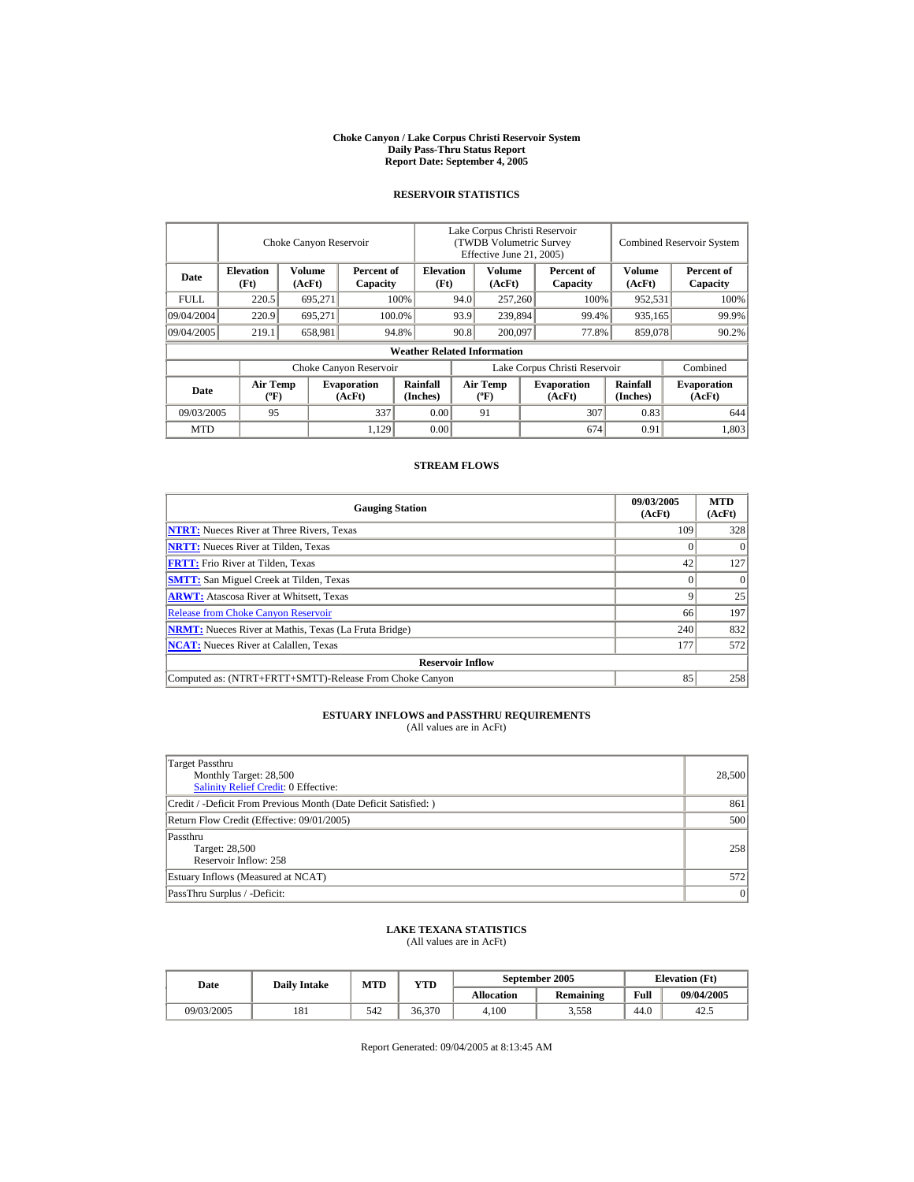#### **Choke Canyon / Lake Corpus Christi Reservoir System Daily Pass-Thru Status Report Report Date: September 4, 2005**

#### **RESERVOIR STATISTICS**

|                                                                                | Choke Canyon Reservoir                      |                          |                              |                                    | Lake Corpus Christi Reservoir<br>(TWDB Volumetric Survey<br>Effective June 21, 2005) |                                             |                  |                               |                      | <b>Combined Reservoir System</b> |  |  |
|--------------------------------------------------------------------------------|---------------------------------------------|--------------------------|------------------------------|------------------------------------|--------------------------------------------------------------------------------------|---------------------------------------------|------------------|-------------------------------|----------------------|----------------------------------|--|--|
| <b>Elevation</b><br>Volume<br>Percent of<br>Date<br>(Ft)<br>(AcFt)<br>Capacity |                                             | <b>Elevation</b><br>(Ft) |                              | Volume<br>(AcFt)                   |                                                                                      | Percent of<br>Capacity                      | Volume<br>(AcFt) | Percent of<br>Capacity        |                      |                                  |  |  |
| FULL.                                                                          | 220.5                                       | 695,271                  |                              | 100%                               | 94.0                                                                                 | 257,260                                     |                  | 100%                          | 952,531              | 100%                             |  |  |
| 09/04/2004                                                                     | 220.9                                       | 695.271                  |                              | 100.0%                             | 93.9                                                                                 |                                             | 239,894          | 99.4%                         | 935,165              | 99.9%                            |  |  |
| 09/04/2005                                                                     | 219.1                                       | 658,981                  |                              | 94.8%                              | 90.8                                                                                 | 200,097                                     |                  | 77.8%                         | 859,078              | 90.2%                            |  |  |
|                                                                                |                                             |                          |                              | <b>Weather Related Information</b> |                                                                                      |                                             |                  |                               |                      |                                  |  |  |
|                                                                                |                                             |                          | Choke Canyon Reservoir       |                                    |                                                                                      |                                             |                  | Lake Corpus Christi Reservoir |                      | Combined                         |  |  |
| Date                                                                           | <b>Air Temp</b><br>$({}^{\circ}\mathrm{F})$ |                          | <b>Evaporation</b><br>(AcFt) | Rainfall<br>(Inches)               |                                                                                      | <b>Air Temp</b><br>$({}^{\circ}\mathbf{F})$ |                  | <b>Evaporation</b><br>(AcFt)  | Rainfall<br>(Inches) | <b>Evaporation</b><br>(AcFt)     |  |  |
| 09/03/2005                                                                     | 95                                          |                          | 337                          | 0.00                               |                                                                                      | 91                                          |                  | 307                           | 0.83                 | 644                              |  |  |
| <b>MTD</b>                                                                     |                                             |                          | 1,129                        | 0.00                               |                                                                                      |                                             |                  | 674                           | 0.91                 | 1,803                            |  |  |

#### **STREAM FLOWS**

| <b>Gauging Station</b>                                       | 09/03/2005<br>(AcFt) | <b>MTD</b><br>(AcFt) |
|--------------------------------------------------------------|----------------------|----------------------|
| <b>NTRT:</b> Nueces River at Three Rivers, Texas             | 109                  | 328                  |
| <b>NRTT:</b> Nueces River at Tilden, Texas                   |                      | $\Omega$             |
| <b>FRTT:</b> Frio River at Tilden, Texas                     | 42                   | 127                  |
| <b>SMTT:</b> San Miguel Creek at Tilden, Texas               |                      | $\Omega$             |
| <b>ARWT:</b> Atascosa River at Whitsett, Texas               |                      | 25                   |
| <b>Release from Choke Canyon Reservoir</b>                   | 66                   | 197                  |
| <b>NRMT:</b> Nueces River at Mathis, Texas (La Fruta Bridge) | 240                  | 832                  |
| <b>NCAT:</b> Nueces River at Calallen, Texas                 | 177                  | 572                  |
| <b>Reservoir Inflow</b>                                      |                      |                      |
| Computed as: (NTRT+FRTT+SMTT)-Release From Choke Canyon      | 85                   | 258                  |

# **ESTUARY INFLOWS and PASSTHRU REQUIREMENTS**<br>(All values are in AcFt)

| Target Passthru<br>Monthly Target: 28,500<br>Salinity Relief Credit: 0 Effective: | 28,500 |
|-----------------------------------------------------------------------------------|--------|
| Credit / -Deficit From Previous Month (Date Deficit Satisfied:)                   | 861    |
| Return Flow Credit (Effective: 09/01/2005)                                        | 500    |
| Passthru<br>Target: 28,500<br>Reservoir Inflow: 258                               | 258    |
| Estuary Inflows (Measured at NCAT)                                                | 5721   |
| PassThru Surplus / -Deficit:                                                      | 0      |

### **LAKE TEXANA STATISTICS**

(All values are in AcFt)

| Date       | <b>Daily Intake</b> | <b>MTD</b> | VTD    |                   | September 2005   | <b>Elevation</b> (Ft) |            |
|------------|---------------------|------------|--------|-------------------|------------------|-----------------------|------------|
|            |                     |            |        | <b>Allocation</b> | <b>Remaining</b> | Full                  | 09/04/2005 |
| 09/03/2005 | 181                 | 542        | 36.370 | 4.100             | 3.558            | 44.0                  | 42.5       |

Report Generated: 09/04/2005 at 8:13:45 AM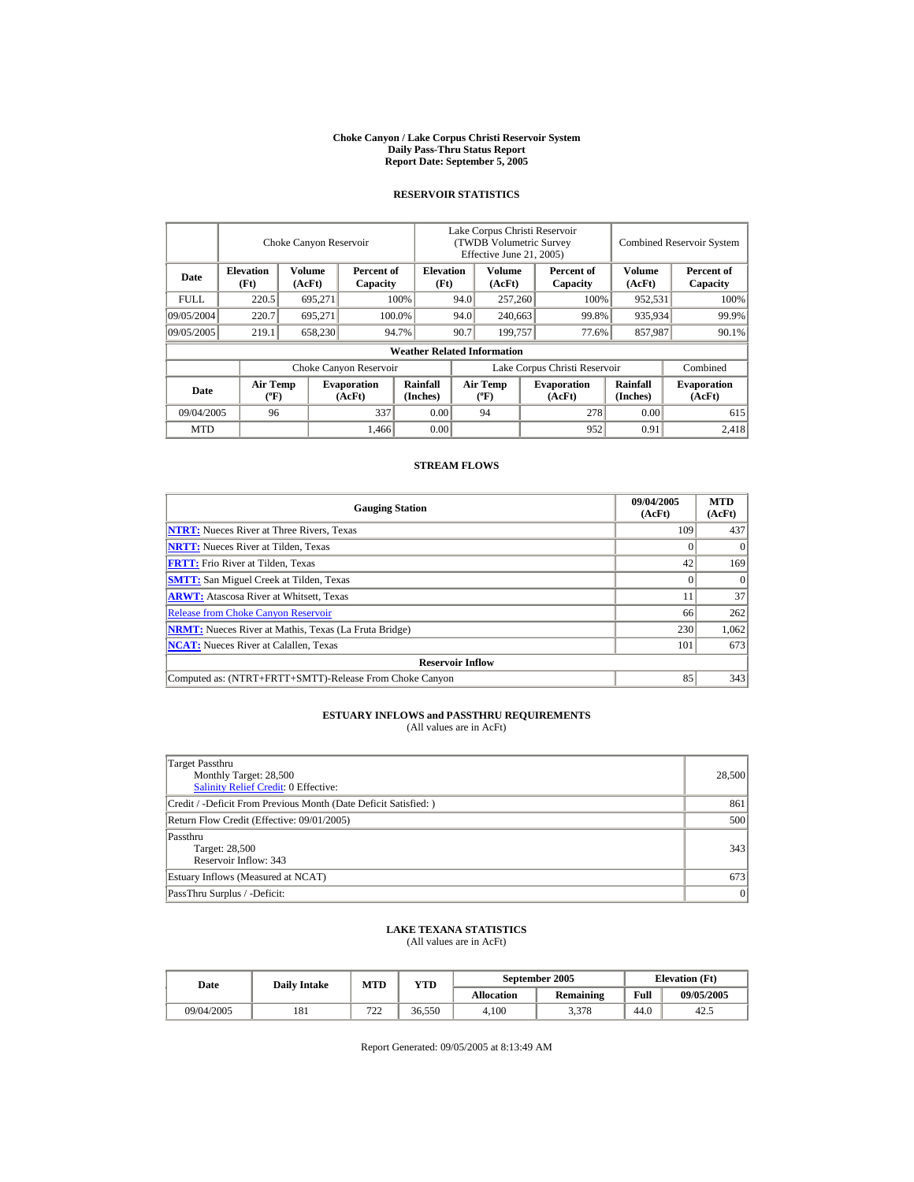#### **Choke Canyon / Lake Corpus Christi Reservoir System Daily Pass-Thru Status Report Report Date: September 5, 2005**

#### **RESERVOIR STATISTICS**

|                                                                                | Choke Canyon Reservoir                      |                          |                              |                                    | Lake Corpus Christi Reservoir<br>(TWDB Volumetric Survey<br>Effective June 21, 2005) |                                             |                  |                              |                      | <b>Combined Reservoir System</b> |  |  |
|--------------------------------------------------------------------------------|---------------------------------------------|--------------------------|------------------------------|------------------------------------|--------------------------------------------------------------------------------------|---------------------------------------------|------------------|------------------------------|----------------------|----------------------------------|--|--|
| <b>Elevation</b><br>Volume<br>Percent of<br>Date<br>(Ft)<br>(AcFt)<br>Capacity |                                             | <b>Elevation</b><br>(Ft) |                              | Volume<br>(AcFt)                   |                                                                                      | Percent of<br>Capacity                      | Volume<br>(AcFt) | Percent of<br>Capacity       |                      |                                  |  |  |
| FULL.                                                                          | 220.5                                       | 695,271                  |                              | 100%                               | 94.0<br>257,260                                                                      |                                             |                  | 100%                         | 952,531              | 100%                             |  |  |
| 09/05/2004                                                                     | 220.7                                       | 695.271                  |                              | 100.0%                             | 94.0                                                                                 | 240,663                                     |                  | 99.8%                        | 935,934              | 99.9%                            |  |  |
| 09/05/2005                                                                     | 219.1                                       | 658,230                  |                              | 94.7%                              | 90.7                                                                                 | 199,757                                     |                  | 77.6%                        | 857,987              | 90.1%                            |  |  |
|                                                                                |                                             |                          |                              | <b>Weather Related Information</b> |                                                                                      |                                             |                  |                              |                      |                                  |  |  |
|                                                                                |                                             |                          | Choke Canyon Reservoir       |                                    | Lake Corpus Christi Reservoir                                                        |                                             |                  |                              | Combined             |                                  |  |  |
| Date                                                                           | <b>Air Temp</b><br>$({}^{\circ}\mathrm{F})$ |                          | <b>Evaporation</b><br>(AcFt) | Rainfall<br>(Inches)               |                                                                                      | <b>Air Temp</b><br>$({}^{\circ}\mathbf{F})$ |                  | <b>Evaporation</b><br>(AcFt) | Rainfall<br>(Inches) | <b>Evaporation</b><br>(AcFt)     |  |  |
| 09/04/2005                                                                     | 96                                          |                          | 337                          | 0.00                               |                                                                                      | 94                                          |                  | 278                          | 0.00                 | 615                              |  |  |
| <b>MTD</b>                                                                     |                                             |                          | 1,466                        | 0.00                               |                                                                                      |                                             |                  | 952                          | 0.91                 | 2.418                            |  |  |

#### **STREAM FLOWS**

| <b>Gauging Station</b>                                       | 09/04/2005<br>(AcFt) | <b>MTD</b><br>(AcFt) |
|--------------------------------------------------------------|----------------------|----------------------|
| <b>NTRT:</b> Nueces River at Three Rivers, Texas             | 109                  | 437                  |
| <b>NRTT:</b> Nueces River at Tilden, Texas                   |                      |                      |
| <b>FRTT:</b> Frio River at Tilden, Texas                     | 42                   | 169                  |
| <b>SMTT:</b> San Miguel Creek at Tilden, Texas               |                      | $\Omega$             |
| <b>ARWT:</b> Atascosa River at Whitsett, Texas               |                      | 37                   |
| <b>Release from Choke Canyon Reservoir</b>                   | 66                   | 262                  |
| <b>NRMT:</b> Nueces River at Mathis, Texas (La Fruta Bridge) | 230                  | 1,062                |
| <b>NCAT:</b> Nueces River at Calallen, Texas                 | 101                  | 673                  |
| <b>Reservoir Inflow</b>                                      |                      |                      |
| Computed as: (NTRT+FRTT+SMTT)-Release From Choke Canyon      | 85                   | 343                  |

# **ESTUARY INFLOWS and PASSTHRU REQUIREMENTS**<br>(All values are in AcFt)

| Target Passthru<br>Monthly Target: 28,500<br>Salinity Relief Credit: 0 Effective: | 28,500 |
|-----------------------------------------------------------------------------------|--------|
| Credit / -Deficit From Previous Month (Date Deficit Satisfied:)                   | 861    |
| Return Flow Credit (Effective: 09/01/2005)                                        | 500    |
| Passthru<br>Target: 28,500<br>Reservoir Inflow: 343                               | 343    |
| Estuary Inflows (Measured at NCAT)                                                | 673    |
| PassThru Surplus / -Deficit:                                                      | 0      |

### **LAKE TEXANA STATISTICS**

(All values are in AcFt)

| Date       | <b>Daily Intake</b> | <b>MTD</b> | $_{\rm VTD}$ |            | September 2005   | <b>Elevation</b> (Ft) |            |
|------------|---------------------|------------|--------------|------------|------------------|-----------------------|------------|
|            |                     |            |              | Allocation | <b>Remaining</b> | Full                  | 09/05/2005 |
| 09/04/2005 | 181                 | 722<br>∠∠  | 36.550       | 4.100      | 3,378            | 44.0                  | 42.5       |

Report Generated: 09/05/2005 at 8:13:49 AM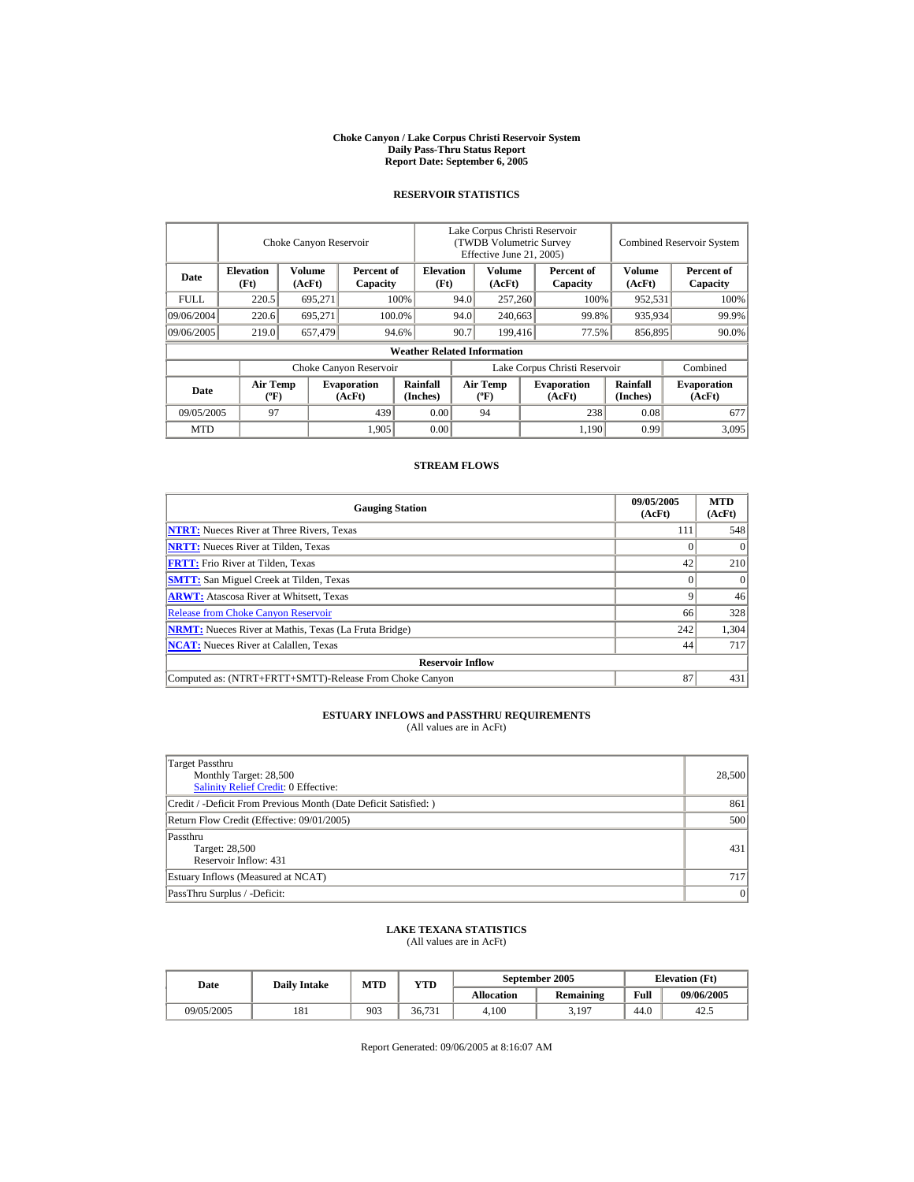#### **Choke Canyon / Lake Corpus Christi Reservoir System Daily Pass-Thru Status Report Report Date: September 6, 2005**

#### **RESERVOIR STATISTICS**

|                                                                                | Choke Canyon Reservoir                      |                          |                              |                                    | Lake Corpus Christi Reservoir<br>(TWDB Volumetric Survey<br>Effective June 21, 2005) |                                             |                  |                               |                      | <b>Combined Reservoir System</b> |  |  |
|--------------------------------------------------------------------------------|---------------------------------------------|--------------------------|------------------------------|------------------------------------|--------------------------------------------------------------------------------------|---------------------------------------------|------------------|-------------------------------|----------------------|----------------------------------|--|--|
| <b>Elevation</b><br>Volume<br>Percent of<br>Date<br>(Ft)<br>(AcFt)<br>Capacity |                                             | <b>Elevation</b><br>(Ft) | Volume<br>(AcFt)             |                                    |                                                                                      | Percent of<br>Capacity                      | Volume<br>(AcFt) | Percent of<br>Capacity        |                      |                                  |  |  |
| <b>FULL</b>                                                                    | 220.5                                       | 695,271                  |                              | 100%                               | 94.0                                                                                 | 257,260                                     |                  | 100%                          | 952,531              | 100%                             |  |  |
| 09/06/2004                                                                     | 220.6                                       | 695.271                  |                              | 100.0%                             | 94.0<br>240,663                                                                      |                                             |                  | 99.8%                         | 935,934              | 99.9%                            |  |  |
| 09/06/2005                                                                     | 219.0                                       | 657,479                  |                              | 94.6%                              | 90.7                                                                                 | 199,416                                     |                  | 77.5%                         | 856,895              | 90.0%                            |  |  |
|                                                                                |                                             |                          |                              | <b>Weather Related Information</b> |                                                                                      |                                             |                  |                               |                      |                                  |  |  |
|                                                                                |                                             |                          | Choke Canyon Reservoir       |                                    |                                                                                      |                                             |                  | Lake Corpus Christi Reservoir |                      | Combined                         |  |  |
| Date                                                                           | <b>Air Temp</b><br>$({}^{\circ}\mathrm{F})$ |                          | <b>Evaporation</b><br>(AcFt) | Rainfall<br>(Inches)               |                                                                                      | <b>Air Temp</b><br>$({}^{\circ}\mathbf{F})$ |                  | <b>Evaporation</b><br>(AcFt)  | Rainfall<br>(Inches) | <b>Evaporation</b><br>(AcFt)     |  |  |
| 09/05/2005                                                                     | 97                                          |                          | 439                          | 0.00                               |                                                                                      | 94                                          |                  | 238                           | 0.08                 | 677                              |  |  |
| <b>MTD</b>                                                                     |                                             |                          | 1,905                        | 0.00                               |                                                                                      |                                             |                  | 1,190                         | 0.99                 | 3.095                            |  |  |

#### **STREAM FLOWS**

| <b>Gauging Station</b>                                       | 09/05/2005<br>(AcFt) | <b>MTD</b><br>(AcFt) |
|--------------------------------------------------------------|----------------------|----------------------|
| <b>NTRT:</b> Nueces River at Three Rivers, Texas             | 111                  | 548                  |
| <b>NRTT:</b> Nueces River at Tilden, Texas                   |                      |                      |
| <b>FRTT:</b> Frio River at Tilden, Texas                     | 42                   | 210                  |
| <b>SMTT:</b> San Miguel Creek at Tilden, Texas               |                      | $\Omega$             |
| <b>ARWT:</b> Atascosa River at Whitsett, Texas               |                      | 46                   |
| <b>Release from Choke Canyon Reservoir</b>                   | 66                   | 328                  |
| <b>NRMT:</b> Nueces River at Mathis, Texas (La Fruta Bridge) | 242                  | 1,304                |
| <b>NCAT:</b> Nueces River at Calallen. Texas                 | 44                   | 717                  |
| <b>Reservoir Inflow</b>                                      |                      |                      |
| Computed as: (NTRT+FRTT+SMTT)-Release From Choke Canyon      | 87                   | 431                  |

# **ESTUARY INFLOWS and PASSTHRU REQUIREMENTS**<br>(All values are in AcFt)

| Target Passthru<br>Monthly Target: 28,500<br><b>Salinity Relief Credit: 0 Effective:</b> | 28,500 |
|------------------------------------------------------------------------------------------|--------|
| Credit / -Deficit From Previous Month (Date Deficit Satisfied: )                         | 861    |
| Return Flow Credit (Effective: 09/01/2005)                                               | 500    |
| Passthru<br>Target: 28,500<br>Reservoir Inflow: 431                                      | 431    |
| Estuary Inflows (Measured at NCAT)                                                       | 717    |
| PassThru Surplus / -Deficit:                                                             | 0      |

## **LAKE TEXANA STATISTICS**

(All values are in AcFt)

| Date       | <b>Daily Intake</b> | MTD | $\mathbf{v_{TD}}$ |                   | September 2005   | <b>Elevation</b> (Ft) |            |
|------------|---------------------|-----|-------------------|-------------------|------------------|-----------------------|------------|
|            |                     |     |                   | <b>Allocation</b> | <b>Remaining</b> | Full                  | 09/06/2005 |
| 09/05/2005 | 181                 | 903 | 36.731            | 4.100             | 3,197            | 44.0                  | 42.5       |

Report Generated: 09/06/2005 at 8:16:07 AM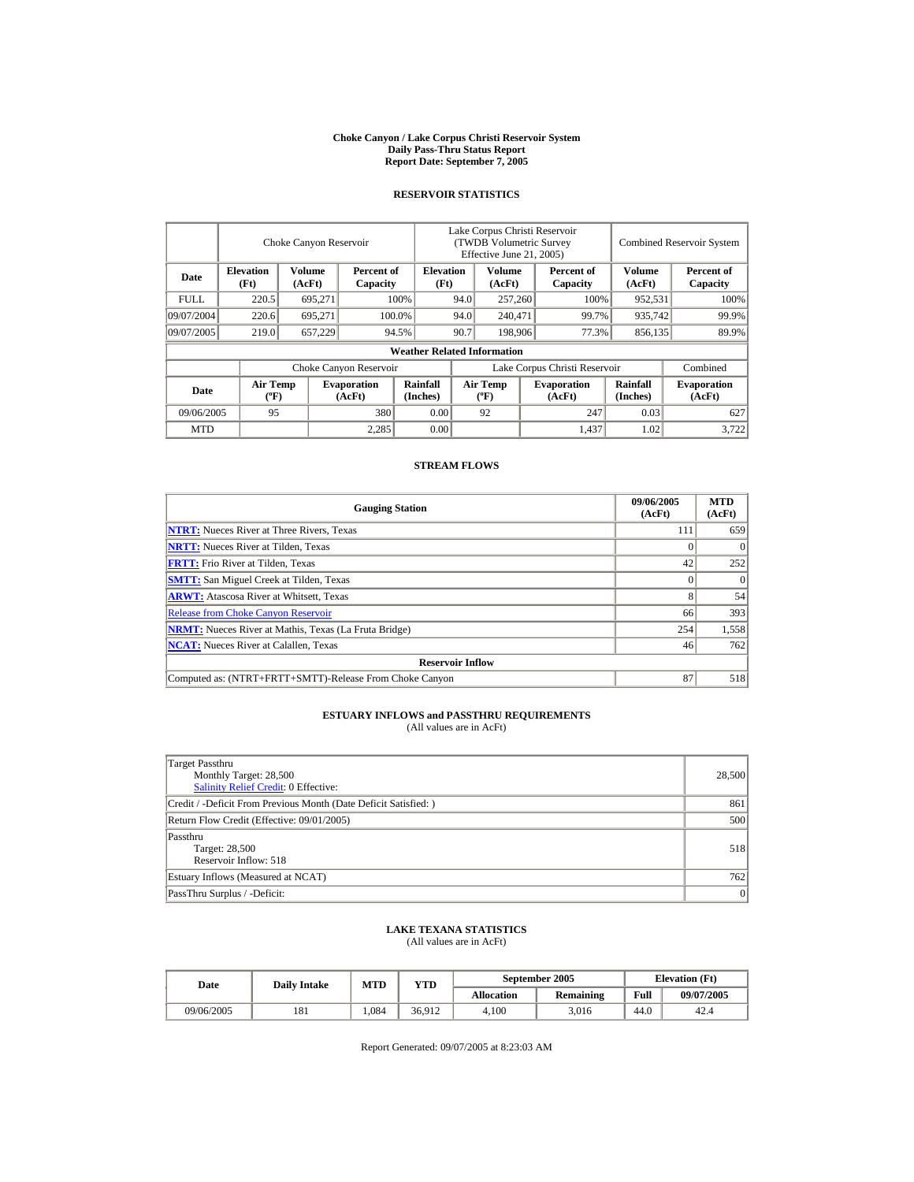#### **Choke Canyon / Lake Corpus Christi Reservoir System Daily Pass-Thru Status Report Report Date: September 7, 2005**

#### **RESERVOIR STATISTICS**

|                                                                                |                                             | Choke Canyon Reservoir   |                              | Lake Corpus Christi Reservoir<br>(TWDB Volumetric Survey<br>Effective June 21, 2005) |                               |                                             |                  |                              | <b>Combined Reservoir System</b> |                              |  |
|--------------------------------------------------------------------------------|---------------------------------------------|--------------------------|------------------------------|--------------------------------------------------------------------------------------|-------------------------------|---------------------------------------------|------------------|------------------------------|----------------------------------|------------------------------|--|
| <b>Elevation</b><br>Volume<br>Percent of<br>Date<br>(Ft)<br>(AcFt)<br>Capacity |                                             | <b>Elevation</b><br>(Ft) | Volume<br>(AcFt)             |                                                                                      |                               | Percent of<br>Capacity                      | Volume<br>(AcFt) | Percent of<br>Capacity       |                                  |                              |  |
| <b>FULL</b>                                                                    | 220.5                                       | 695,271                  |                              | 100%                                                                                 | 94.0<br>257,260               |                                             |                  | 100%                         | 952,531                          | 100%                         |  |
| 09/07/2004                                                                     | 220.6                                       | 695.271<br>100.0%        |                              |                                                                                      | 94.0                          | 240,471                                     |                  | 99.7%                        | 935,742                          | 99.9%                        |  |
| 09/07/2005                                                                     | 219.0                                       | 657,229                  |                              | 94.5%                                                                                | 90.7                          | 198,906                                     |                  | 77.3%                        | 856,135                          | 89.9%                        |  |
|                                                                                |                                             |                          |                              | <b>Weather Related Information</b>                                                   |                               |                                             |                  |                              |                                  |                              |  |
|                                                                                |                                             |                          | Choke Canyon Reservoir       |                                                                                      | Lake Corpus Christi Reservoir |                                             |                  |                              | Combined                         |                              |  |
| Date                                                                           | <b>Air Temp</b><br>$({}^{\circ}\mathrm{F})$ |                          | <b>Evaporation</b><br>(AcFt) | Rainfall<br>(Inches)                                                                 |                               | <b>Air Temp</b><br>$({}^{\circ}\mathbf{F})$ |                  | <b>Evaporation</b><br>(AcFt) | Rainfall<br>(Inches)             | <b>Evaporation</b><br>(AcFt) |  |
| 380<br>0.00<br>09/06/2005<br>95                                                |                                             |                          | 92                           |                                                                                      | 247                           | 0.03                                        | 627              |                              |                                  |                              |  |
| <b>MTD</b>                                                                     |                                             |                          | 2.285                        | 0.00                                                                                 |                               |                                             |                  | 1,437                        | 1.02                             | 3,722                        |  |

#### **STREAM FLOWS**

| <b>Gauging Station</b>                                       | 09/06/2005<br>(AcFt) | <b>MTD</b><br>(AcFt) |
|--------------------------------------------------------------|----------------------|----------------------|
| <b>NTRT:</b> Nueces River at Three Rivers, Texas             | 111                  | 659                  |
| <b>NRTT:</b> Nueces River at Tilden, Texas                   |                      |                      |
| <b>FRTT:</b> Frio River at Tilden, Texas                     | 42                   | 252                  |
| <b>SMTT:</b> San Miguel Creek at Tilden, Texas               |                      | $\Omega$             |
| <b>ARWT:</b> Atascosa River at Whitsett, Texas               |                      | 54                   |
| <b>Release from Choke Canyon Reservoir</b>                   | 66                   | 393                  |
| <b>NRMT:</b> Nueces River at Mathis, Texas (La Fruta Bridge) | 254                  | 1,558                |
| <b>NCAT:</b> Nueces River at Calallen, Texas                 | 46                   | 762                  |
| <b>Reservoir Inflow</b>                                      |                      |                      |
| Computed as: (NTRT+FRTT+SMTT)-Release From Choke Canyon      | 87                   | 518                  |

# **ESTUARY INFLOWS and PASSTHRU REQUIREMENTS**<br>(All values are in AcFt)

| Target Passthru<br>Monthly Target: 28,500<br>Salinity Relief Credit: 0 Effective: | 28,500 |
|-----------------------------------------------------------------------------------|--------|
| Credit / -Deficit From Previous Month (Date Deficit Satisfied:)                   | 861    |
| Return Flow Credit (Effective: 09/01/2005)                                        | 500    |
| Passthru<br>Target: 28,500<br>Reservoir Inflow: 518                               | 518    |
| Estuary Inflows (Measured at NCAT)                                                | 762    |
| PassThru Surplus / -Deficit:                                                      | 0      |

## **LAKE TEXANA STATISTICS**

(All values are in AcFt)

| Date       | <b>Daily Intake</b> | MTD  | $\mathbf{v_{TD}}$ |                   | September 2005   | <b>Elevation</b> (Ft) |            |
|------------|---------------------|------|-------------------|-------------------|------------------|-----------------------|------------|
|            |                     |      |                   | <b>Allocation</b> | <b>Remaining</b> | Full                  | 09/07/2005 |
| 09/06/2005 | 181                 | .084 | 36.912            | 4.100             | 3.016            | 44.0                  | 42.4       |

Report Generated: 09/07/2005 at 8:23:03 AM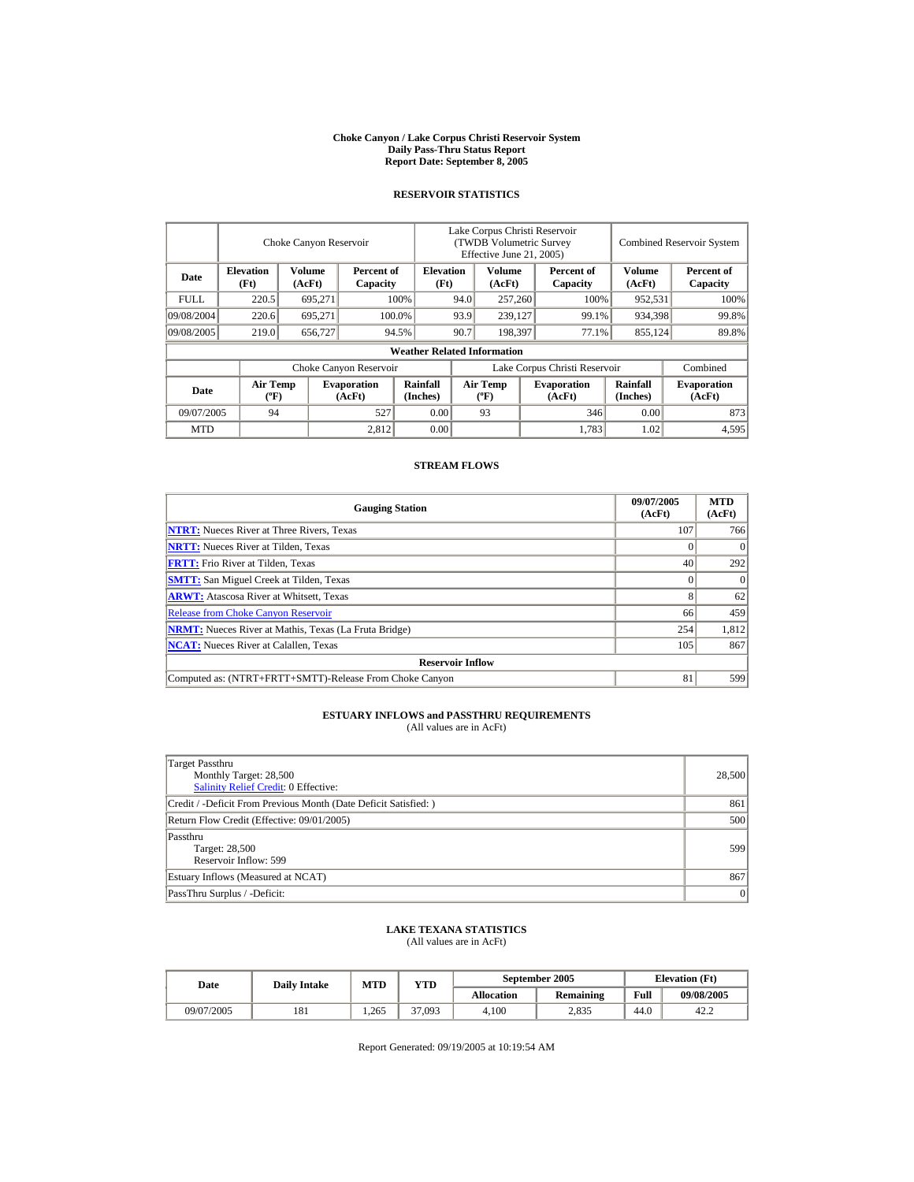#### **Choke Canyon / Lake Corpus Christi Reservoir System Daily Pass-Thru Status Report Report Date: September 8, 2005**

#### **RESERVOIR STATISTICS**

|                                                                                |                                             | Choke Canyon Reservoir   |                              | Lake Corpus Christi Reservoir<br>(TWDB Volumetric Survey<br>Effective June 21, 2005) |      |                                             |                  |                               | <b>Combined Reservoir System</b> |                              |  |
|--------------------------------------------------------------------------------|---------------------------------------------|--------------------------|------------------------------|--------------------------------------------------------------------------------------|------|---------------------------------------------|------------------|-------------------------------|----------------------------------|------------------------------|--|
| <b>Elevation</b><br>Volume<br>Percent of<br>Date<br>(Ft)<br>(AcFt)<br>Capacity |                                             | <b>Elevation</b><br>(Ft) |                              | Volume<br>(AcFt)                                                                     |      | Percent of<br>Capacity                      | Volume<br>(AcFt) | Percent of<br>Capacity        |                                  |                              |  |
| <b>FULL</b>                                                                    | 220.5                                       | 695,271                  |                              | 100%                                                                                 | 94.0 |                                             | 257,260          | 100%                          | 952,531                          | 100%                         |  |
| 09/08/2004                                                                     | 220.6                                       | 695.271                  |                              | 100.0%                                                                               | 93.9 | 239,127                                     |                  | 99.1%                         | 934,398                          | 99.8%                        |  |
| 09/08/2005                                                                     | 219.0                                       | 656,727                  |                              | 94.5%                                                                                | 90.7 | 198.397                                     |                  | 77.1%                         | 855,124                          | 89.8%                        |  |
|                                                                                |                                             |                          |                              | <b>Weather Related Information</b>                                                   |      |                                             |                  |                               |                                  |                              |  |
|                                                                                |                                             |                          | Choke Canyon Reservoir       |                                                                                      |      |                                             |                  | Lake Corpus Christi Reservoir |                                  | Combined                     |  |
| Date                                                                           | <b>Air Temp</b><br>$({}^{\circ}\mathrm{F})$ |                          | <b>Evaporation</b><br>(AcFt) | Rainfall<br>(Inches)                                                                 |      | <b>Air Temp</b><br>$({}^{\circ}\mathbf{F})$ |                  | <b>Evaporation</b><br>(AcFt)  | Rainfall<br>(Inches)             | <b>Evaporation</b><br>(AcFt) |  |
| 0.00<br>527<br>09/07/2005<br>94                                                |                                             |                          | 93                           |                                                                                      | 346  | 0.00                                        | 873              |                               |                                  |                              |  |
| <b>MTD</b>                                                                     |                                             |                          | 2.812                        | 0.00                                                                                 |      |                                             |                  | 1,783                         | 1.02                             | 4,595                        |  |

#### **STREAM FLOWS**

| <b>Gauging Station</b>                                       | 09/07/2005<br>(AcFt) | <b>MTD</b><br>(AcFt) |
|--------------------------------------------------------------|----------------------|----------------------|
| <b>NTRT:</b> Nueces River at Three Rivers, Texas             | 107                  | 766                  |
| <b>NRTT:</b> Nueces River at Tilden, Texas                   |                      |                      |
| <b>FRTT:</b> Frio River at Tilden, Texas                     | 40                   | 292                  |
| <b>SMTT:</b> San Miguel Creek at Tilden, Texas               |                      | $\Omega$             |
| <b>ARWT:</b> Atascosa River at Whitsett, Texas               |                      | 62                   |
| <b>Release from Choke Canyon Reservoir</b>                   | 66                   | 459                  |
| <b>NRMT:</b> Nueces River at Mathis, Texas (La Fruta Bridge) | 254                  | 1,812                |
| <b>NCAT:</b> Nueces River at Calallen. Texas                 | 105                  | 867                  |
| <b>Reservoir Inflow</b>                                      |                      |                      |
| Computed as: (NTRT+FRTT+SMTT)-Release From Choke Canyon      | 81                   | 599                  |

# **ESTUARY INFLOWS and PASSTHRU REQUIREMENTS**<br>(All values are in AcFt)

| Target Passthru<br>Monthly Target: 28,500<br>Salinity Relief Credit: 0 Effective: | 28,500 |
|-----------------------------------------------------------------------------------|--------|
| Credit / -Deficit From Previous Month (Date Deficit Satisfied:)                   | 861    |
| Return Flow Credit (Effective: 09/01/2005)                                        | 500    |
| Passthru<br>Target: 28,500<br>Reservoir Inflow: 599                               | 599    |
| Estuary Inflows (Measured at NCAT)                                                | 867    |
| PassThru Surplus / -Deficit:                                                      | 0      |

## **LAKE TEXANA STATISTICS**

(All values are in AcFt)

| Date       | <b>Daily Intake</b> | <b>MTD</b> | $_{\rm VTD}$ |            | September 2005   | <b>Elevation</b> (Ft) |            |
|------------|---------------------|------------|--------------|------------|------------------|-----------------------|------------|
|            |                     |            |              | Allocation | <b>Remaining</b> | Full                  | 09/08/2005 |
| 09/07/2005 | 181                 | .265       | 37,093       | 4.100      | 2,835            | 44.0                  | 42.2       |

Report Generated: 09/19/2005 at 10:19:54 AM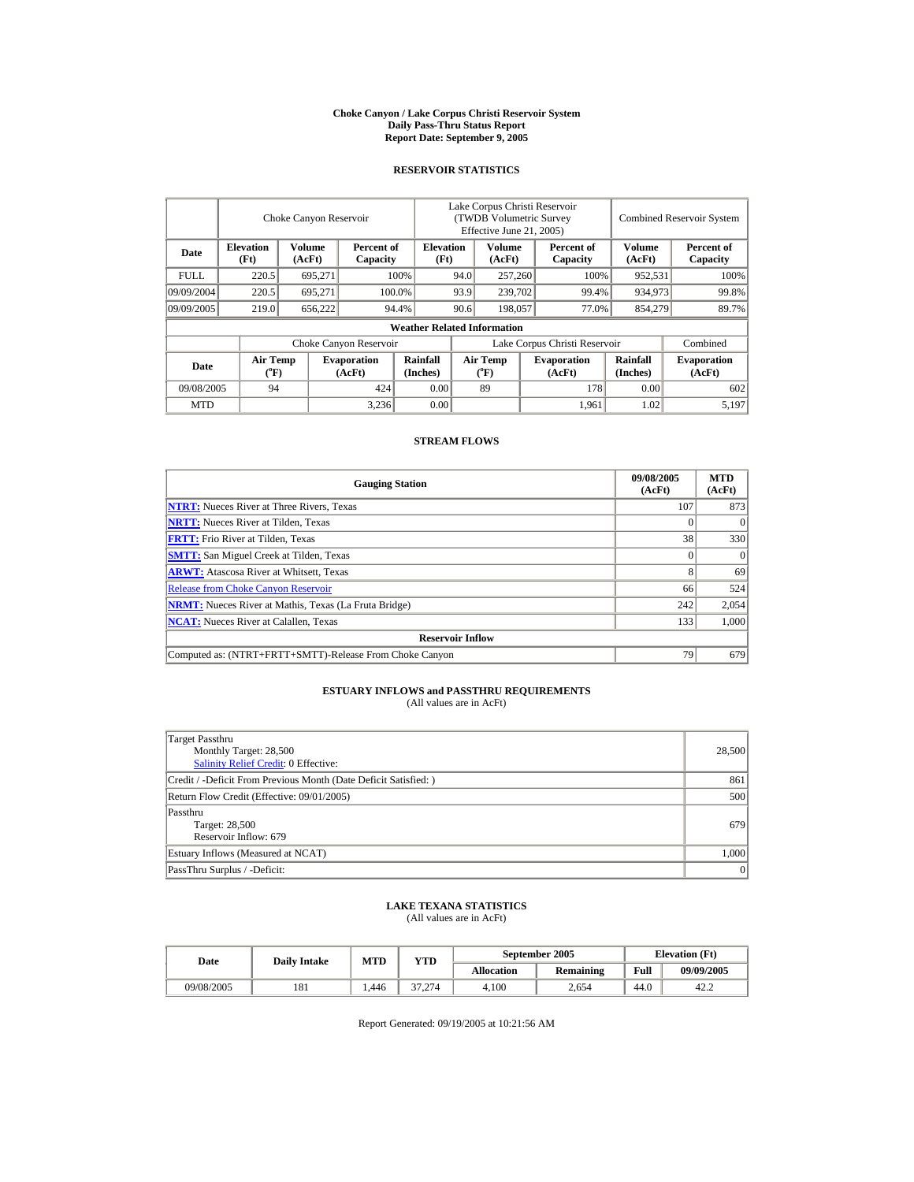#### **Choke Canyon / Lake Corpus Christi Reservoir System Daily Pass-Thru Status Report Report Date: September 9, 2005**

#### **RESERVOIR STATISTICS**

|                         |                          | Choke Canyon Reservoir |                              | Lake Corpus Christi Reservoir<br>(TWDB Volumetric Survey<br>Effective June 21, 2005) |                                              |                                       |      | <b>Combined Reservoir System</b> |                         |                              |
|-------------------------|--------------------------|------------------------|------------------------------|--------------------------------------------------------------------------------------|----------------------------------------------|---------------------------------------|------|----------------------------------|-------------------------|------------------------------|
| Date                    | <b>Elevation</b><br>(Ft) | Volume<br>(AcFt)       | Percent of<br>Capacity       |                                                                                      | Volume<br><b>Elevation</b><br>(Ft)<br>(AcFt) |                                       |      | Percent of<br>Capacity           | <b>Volume</b><br>(AcFt) | Percent of<br>Capacity       |
| <b>FULL</b>             | 220.5                    | 695.271                |                              | 100%<br>94.0                                                                         |                                              | 257,260                               |      | 100%                             | 952,531                 | 100%                         |
| 09/09/2004              | 220.5                    | 695.271                |                              | 100.0%                                                                               | 93.9                                         | 239,702                               |      | 99.4%                            | 934.973                 | 99.8%                        |
| 09/09/2005              | 219.0                    | 656,222                |                              | 94.4%                                                                                | 90.6                                         | 198,057                               |      | 77.0%                            | 854,279                 | 89.7%                        |
|                         |                          |                        |                              | <b>Weather Related Information</b>                                                   |                                              |                                       |      |                                  |                         |                              |
|                         |                          |                        | Choke Canyon Reservoir       |                                                                                      | Lake Corpus Christi Reservoir                |                                       |      |                                  |                         | Combined                     |
| Date                    | <b>Air Temp</b><br>(°F)  |                        | <b>Evaporation</b><br>(AcFt) | Rainfall<br>(Inches)                                                                 |                                              | <b>Air Temp</b><br>$({}^o\mathrm{F})$ |      | <b>Evaporation</b><br>(AcFt)     | Rainfall<br>(Inches)    | <b>Evaporation</b><br>(AcFt) |
| 09/08/2005<br>424<br>94 |                          | 0.00                   |                              | 89                                                                                   |                                              | 178                                   | 0.00 | 602                              |                         |                              |
| <b>MTD</b>              |                          |                        | 3,236                        | 0.00                                                                                 |                                              |                                       |      | 1.961                            | 1.02                    | 5,197                        |

#### **STREAM FLOWS**

| <b>Gauging Station</b>                                       | 09/08/2005<br>(AcFt) | <b>MTD</b><br>(AcFt) |
|--------------------------------------------------------------|----------------------|----------------------|
| <b>NTRT:</b> Nueces River at Three Rivers, Texas             | 107                  | 873                  |
| <b>NRTT:</b> Nueces River at Tilden, Texas                   |                      | $\Omega$             |
| <b>FRTT:</b> Frio River at Tilden, Texas                     | 38                   | 330                  |
| <b>SMTT:</b> San Miguel Creek at Tilden, Texas               |                      | $\Omega$             |
| <b>ARWT:</b> Atascosa River at Whitsett, Texas               |                      | 69                   |
| <b>Release from Choke Canyon Reservoir</b>                   | 66                   | 524                  |
| <b>NRMT:</b> Nueces River at Mathis, Texas (La Fruta Bridge) | 242                  | 2,054                |
| <b>NCAT:</b> Nueces River at Calallen. Texas                 | 133                  | 1.000                |
| <b>Reservoir Inflow</b>                                      |                      |                      |
| Computed as: (NTRT+FRTT+SMTT)-Release From Choke Canyon      | 79                   | 679                  |

## **ESTUARY INFLOWS and PASSTHRU REQUIREMENTS**<br>(All values are in AcFt)

| Target Passthru<br>Monthly Target: 28,500<br><b>Salinity Relief Credit: 0 Effective:</b> | 28,500 |
|------------------------------------------------------------------------------------------|--------|
|                                                                                          |        |
| Credit / -Deficit From Previous Month (Date Deficit Satisfied:)                          | 861    |
| Return Flow Credit (Effective: 09/01/2005)                                               | 500    |
| Passthru                                                                                 |        |
| Target: 28,500                                                                           | 679    |
| Reservoir Inflow: 679                                                                    |        |
| Estuary Inflows (Measured at NCAT)                                                       | 1,000  |
| PassThru Surplus / -Deficit:                                                             | 0      |

## **LAKE TEXANA STATISTICS** (All values are in AcFt)

| Date       | <b>Daily Intake</b> | <b>MTD</b> | YTD    |            | September 2005 | <b>Elevation</b> (Ft) |            |  |
|------------|---------------------|------------|--------|------------|----------------|-----------------------|------------|--|
|            |                     |            |        | Allocation | Remaining      | Full                  | 09/09/2005 |  |
| 09/08/2005 | 181                 | 1.446      | 37.274 | 4.100      | 2,654          | 44.0                  | 42.2       |  |

Report Generated: 09/19/2005 at 10:21:56 AM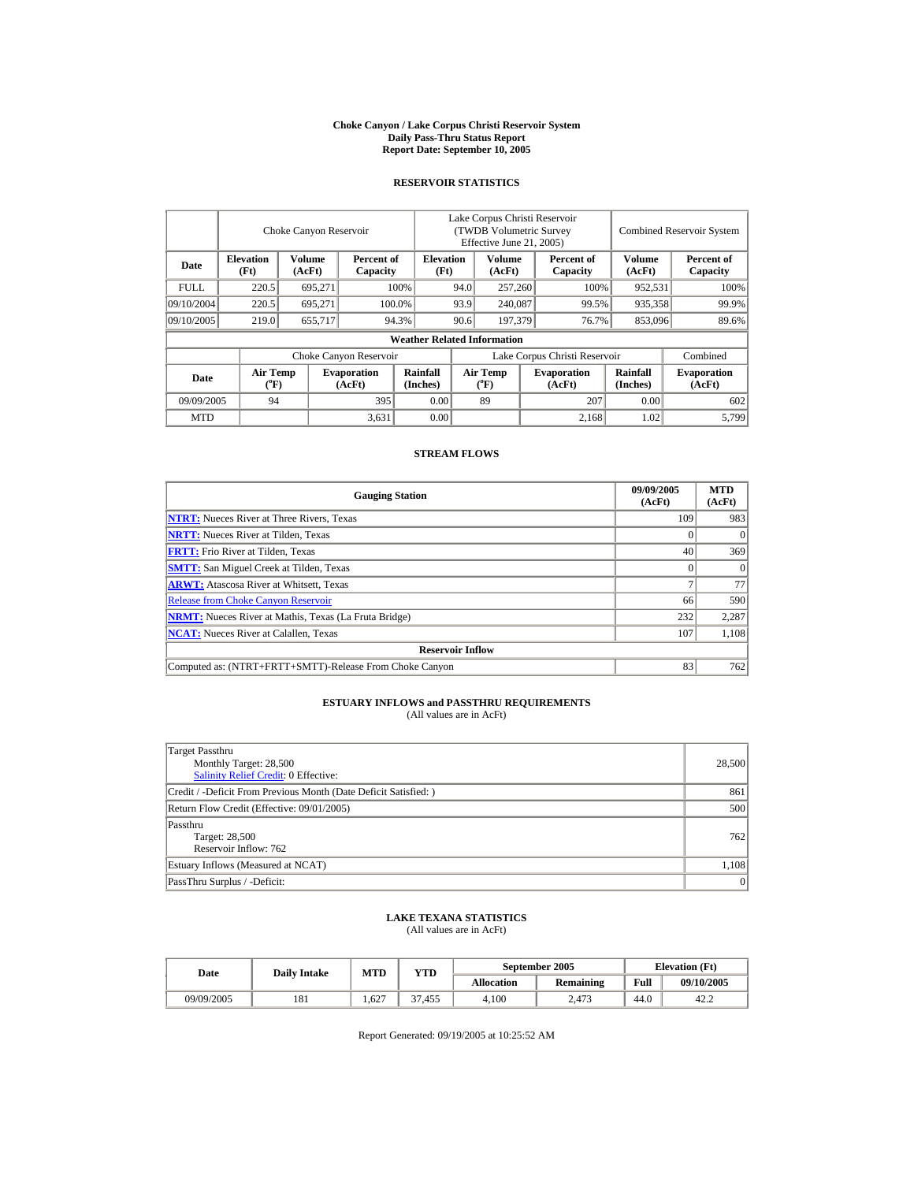#### **Choke Canyon / Lake Corpus Christi Reservoir System Daily Pass-Thru Status Report Report Date: September 10, 2005**

## **RESERVOIR STATISTICS**

|             |                                | Choke Canyon Reservoir                            |                              |                                    | Lake Corpus Christi Reservoir<br>(TWDB Volumetric Survey)<br>Effective June 21, 2005) |                  |         |                              |                         | <b>Combined Reservoir System</b> |
|-------------|--------------------------------|---------------------------------------------------|------------------------------|------------------------------------|---------------------------------------------------------------------------------------|------------------|---------|------------------------------|-------------------------|----------------------------------|
| Date        | <b>Elevation</b><br>(Ft)       | <b>Volume</b><br>Percent of<br>(AcFt)<br>Capacity |                              | <b>Elevation</b><br>(Ft)           |                                                                                       | Volume<br>(AcFt) |         | Percent of<br>Capacity       | <b>Volume</b><br>(AcFt) | Percent of<br>Capacity           |
| <b>FULL</b> | 220.5                          | 695.271                                           |                              | 100%                               | 94.0                                                                                  | 257,260          |         | 100%                         | 952,531                 | 100%                             |
| 09/10/2004  | 220.5                          | 695.271                                           |                              | 100.0%                             | 93.9                                                                                  |                  | 240,087 | 99.5%                        | 935,358                 | 99.9%                            |
| 09/10/2005  | 219.0                          | 655,717                                           |                              | 94.3%                              | 90.6                                                                                  | 197,379          |         | 76.7%                        | 853,096                 | 89.6%                            |
|             |                                |                                                   |                              | <b>Weather Related Information</b> |                                                                                       |                  |         |                              |                         |                                  |
|             |                                |                                                   | Choke Canyon Reservoir       |                                    | Lake Corpus Christi Reservoir                                                         |                  |         |                              |                         | Combined                         |
| Date        | Air Temp<br>$({}^o\mathrm{F})$ |                                                   | <b>Evaporation</b><br>(AcFt) | Rainfall<br>(Inches)               | Air Temp                                                                              |                  |         | <b>Evaporation</b><br>(AcFt) | Rainfall<br>(Inches)    | <b>Evaporation</b><br>(AcFt)     |
| 09/09/2005  | 395<br>94                      |                                                   | 0.00                         |                                    | 89                                                                                    |                  | 207     | 0.00                         | 602                     |                                  |
| <b>MTD</b>  |                                |                                                   | 3,631                        | 0.00                               |                                                                                       |                  |         | 2.168                        | 1.02                    | 5,799                            |

### **STREAM FLOWS**

| <b>Gauging Station</b>                                       | 09/09/2005<br>(AcFt) | <b>MTD</b><br>(AcFt) |
|--------------------------------------------------------------|----------------------|----------------------|
| <b>NTRT:</b> Nueces River at Three Rivers, Texas             | 109                  | 983                  |
| <b>NRTT:</b> Nueces River at Tilden, Texas                   |                      |                      |
| <b>FRTT:</b> Frio River at Tilden, Texas                     | 40                   | 369                  |
| <b>SMTT:</b> San Miguel Creek at Tilden, Texas               |                      | $\theta$             |
| <b>ARWT:</b> Atascosa River at Whitsett, Texas               |                      | 77                   |
| <b>Release from Choke Canyon Reservoir</b>                   | 66                   | 590                  |
| <b>NRMT:</b> Nueces River at Mathis, Texas (La Fruta Bridge) | 232                  | 2,287                |
| <b>NCAT:</b> Nueces River at Calallen, Texas                 | 107                  | 1,108                |
| <b>Reservoir Inflow</b>                                      |                      |                      |
| Computed as: (NTRT+FRTT+SMTT)-Release From Choke Canyon      | 83                   | 762                  |

## **ESTUARY INFLOWS and PASSTHRU REQUIREMENTS**<br>(All values are in AcFt)

| Target Passthru<br>Monthly Target: 28,500<br>Salinity Relief Credit: 0 Effective: | 28,500 |
|-----------------------------------------------------------------------------------|--------|
| Credit / -Deficit From Previous Month (Date Deficit Satisfied:)                   | 861    |
| Return Flow Credit (Effective: 09/01/2005)                                        | 500    |
| Passthru<br>Target: 28,500<br>Reservoir Inflow: 762                               | 762    |
| Estuary Inflows (Measured at NCAT)                                                | 1,108  |
| PassThru Surplus / -Deficit:                                                      | 0      |

## **LAKE TEXANA STATISTICS** (All values are in AcFt)

| Date       | <b>Daily Intake</b> | <b>MTD</b> | VTD    |            | September 2005   | <b>Elevation</b> (Ft) |            |
|------------|---------------------|------------|--------|------------|------------------|-----------------------|------------|
|            |                     |            |        | Allocation | <b>Remaining</b> | Full                  | 09/10/2005 |
| 09/09/2005 | 181                 | 1.627      | 37.455 | 4.100      | 2.473            | 44.0                  | 42.2       |

Report Generated: 09/19/2005 at 10:25:52 AM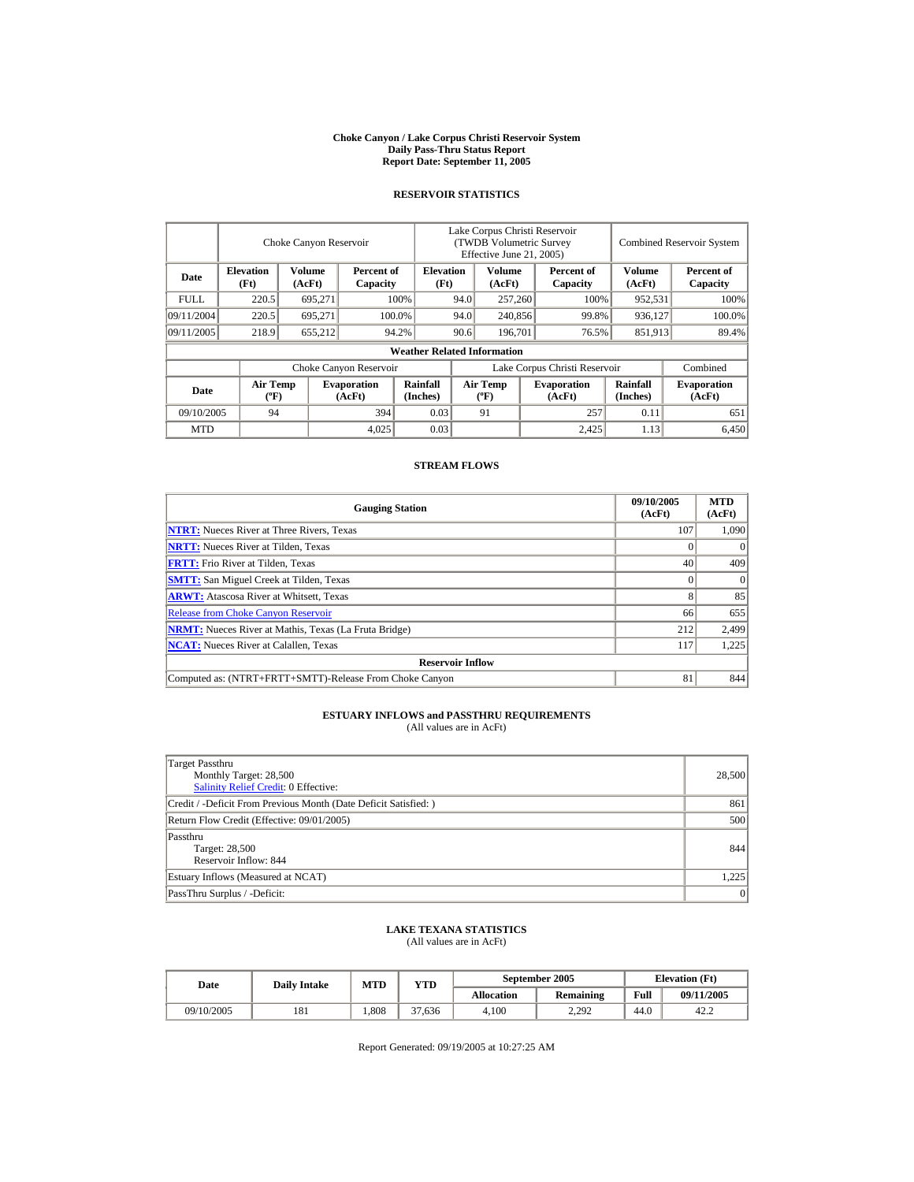#### **Choke Canyon / Lake Corpus Christi Reservoir System Daily Pass-Thru Status Report Report Date: September 11, 2005**

#### **RESERVOIR STATISTICS**

|            | Choke Canyon Reservoir                      |                  |                              |                                    | Lake Corpus Christi Reservoir<br>(TWDB Volumetric Survey<br>Effective June 21, 2005) |                                             |         |                              | <b>Combined Reservoir System</b> |                              |  |
|------------|---------------------------------------------|------------------|------------------------------|------------------------------------|--------------------------------------------------------------------------------------|---------------------------------------------|---------|------------------------------|----------------------------------|------------------------------|--|
| Date       | <b>Elevation</b><br>(Ft)                    | Volume<br>(AcFt) | Percent of<br>Capacity       | <b>Elevation</b><br>(Ft)           |                                                                                      | Volume<br>(AcFt)                            |         | Percent of<br>Capacity       | Volume<br>(AcFt)                 | Percent of<br>Capacity       |  |
| FULL.      | 220.5                                       | 695,271          |                              | 100%                               | 94.0                                                                                 | 257,260                                     |         | 100%                         | 952,531                          | 100%                         |  |
| 09/11/2004 | 220.5                                       | 695.271          |                              | 100.0%                             | 94.0                                                                                 |                                             | 240,856 | 99.8%                        | 936,127                          | 100.0%                       |  |
| 09/11/2005 | 218.9                                       | 655,212          |                              | 94.2%                              | 90.6                                                                                 | 196.701                                     |         | 76.5%                        | 851,913                          | 89.4%                        |  |
|            |                                             |                  |                              | <b>Weather Related Information</b> |                                                                                      |                                             |         |                              |                                  |                              |  |
|            |                                             |                  | Choke Canyon Reservoir       |                                    | Lake Corpus Christi Reservoir                                                        |                                             |         |                              |                                  | Combined                     |  |
| Date       | <b>Air Temp</b><br>$({}^{\circ}\mathrm{F})$ |                  | <b>Evaporation</b><br>(AcFt) | Rainfall<br>(Inches)               |                                                                                      | <b>Air Temp</b><br>$({}^{\circ}\mathbf{F})$ |         | <b>Evaporation</b><br>(AcFt) | Rainfall<br>(Inches)             | <b>Evaporation</b><br>(AcFt) |  |
| 09/10/2005 | 394<br>94                                   |                  | 0.03                         |                                    | 91                                                                                   |                                             | 257     | 0.11                         | 651                              |                              |  |
| <b>MTD</b> |                                             |                  | 4,025                        | 0.03                               |                                                                                      |                                             |         | 2.425                        | 1.13                             | 6.450                        |  |

#### **STREAM FLOWS**

| <b>Gauging Station</b>                                       | 09/10/2005<br>(AcFt) | <b>MTD</b><br>(AcFt) |
|--------------------------------------------------------------|----------------------|----------------------|
| <b>NTRT:</b> Nueces River at Three Rivers, Texas             | 107                  | 1,090                |
| <b>NRTT:</b> Nueces River at Tilden, Texas                   |                      |                      |
| <b>FRTT:</b> Frio River at Tilden, Texas                     | 40                   | 409                  |
| <b>SMTT:</b> San Miguel Creek at Tilden, Texas               |                      | $\Omega$             |
| <b>ARWT:</b> Atascosa River at Whitsett, Texas               |                      | 85                   |
| <b>Release from Choke Canyon Reservoir</b>                   | 66                   | 655                  |
| <b>NRMT:</b> Nueces River at Mathis, Texas (La Fruta Bridge) | 212                  | 2,499                |
| <b>NCAT:</b> Nueces River at Calallen, Texas                 | 117                  | 1,225                |
| <b>Reservoir Inflow</b>                                      |                      |                      |
| Computed as: (NTRT+FRTT+SMTT)-Release From Choke Canyon      | 81                   | 844                  |

# **ESTUARY INFLOWS and PASSTHRU REQUIREMENTS**<br>(All values are in AcFt)

| Target Passthru<br>Monthly Target: 28,500<br><b>Salinity Relief Credit: 0 Effective:</b> | 28,500 |
|------------------------------------------------------------------------------------------|--------|
| Credit / -Deficit From Previous Month (Date Deficit Satisfied:)                          | 861    |
| Return Flow Credit (Effective: 09/01/2005)                                               | 500    |
| Passthru<br>Target: 28,500<br>Reservoir Inflow: 844                                      | 844    |
| Estuary Inflows (Measured at NCAT)                                                       | 1.225  |
| PassThru Surplus / -Deficit:                                                             | 0      |

## **LAKE TEXANA STATISTICS**

(All values are in AcFt)

| Date       | <b>Daily Intake</b> | MTD  | VTD    |                   | September 2005   | <b>Elevation</b> (Ft) |            |
|------------|---------------------|------|--------|-------------------|------------------|-----------------------|------------|
|            |                     |      |        | <b>Allocation</b> | <b>Remaining</b> | Full                  | 09/11/2005 |
| 09/10/2005 | 181                 | .808 | 37.636 | 4.100             | 2.292            | 44.0                  | 42.2       |

Report Generated: 09/19/2005 at 10:27:25 AM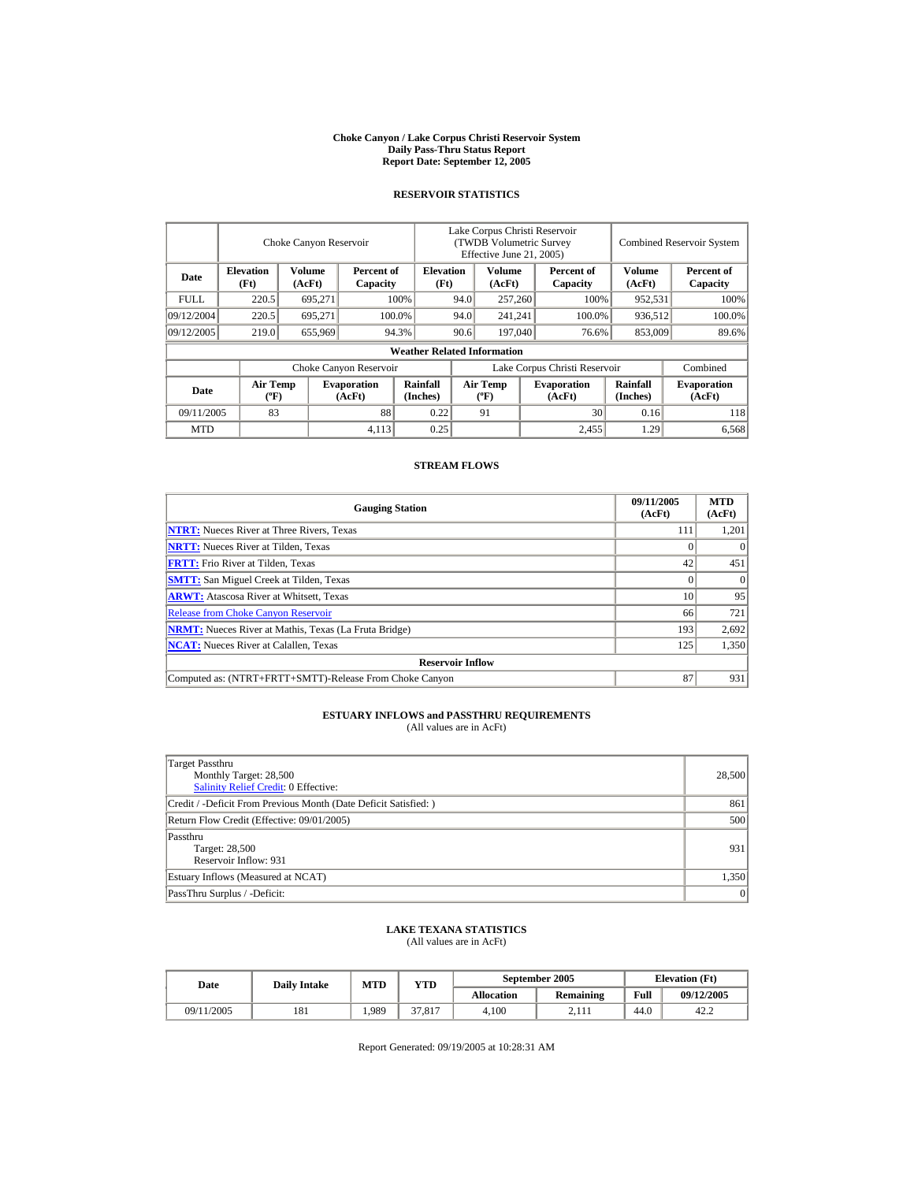#### **Choke Canyon / Lake Corpus Christi Reservoir System Daily Pass-Thru Status Report Report Date: September 12, 2005**

#### **RESERVOIR STATISTICS**

|             | Choke Canyon Reservoir         |                  |                              |                                    | Lake Corpus Christi Reservoir<br>(TWDB Volumetric Survey<br>Effective June 21, 2005) |                                             |         |                              |                      | <b>Combined Reservoir System</b> |  |  |
|-------------|--------------------------------|------------------|------------------------------|------------------------------------|--------------------------------------------------------------------------------------|---------------------------------------------|---------|------------------------------|----------------------|----------------------------------|--|--|
| Date        | <b>Elevation</b><br>(Ft)       | Volume<br>(AcFt) | Percent of<br>Capacity       | <b>Elevation</b><br>(Ft)           | Volume<br>(AcFt)                                                                     |                                             |         | Percent of<br>Capacity       | Volume<br>(AcFt)     | Percent of<br>Capacity           |  |  |
| <b>FULL</b> | 220.5                          | 695,271          |                              | 100%                               | 94.0                                                                                 | 257,260                                     |         | 100%                         | 952,531              | 100%                             |  |  |
| 09/12/2004  | 220.5                          | 695.271          |                              | 100.0%                             | 94.0                                                                                 |                                             | 241,241 | 100.0%                       | 936,512              | 100.0%                           |  |  |
| 09/12/2005  | 219.0                          | 655,969          |                              | 94.3%                              | 90.6                                                                                 |                                             | 197,040 |                              | 853,009<br>76.6%     | 89.6%                            |  |  |
|             |                                |                  |                              | <b>Weather Related Information</b> |                                                                                      |                                             |         |                              |                      |                                  |  |  |
|             |                                |                  | Choke Canyon Reservoir       |                                    | Lake Corpus Christi Reservoir                                                        |                                             |         |                              |                      | Combined                         |  |  |
| Date        | Air Temp<br>$({}^o\mathrm{F})$ |                  | <b>Evaporation</b><br>(AcFt) | Rainfall<br>(Inches)               |                                                                                      | <b>Air Temp</b><br>$({}^{\circ}\mathbf{F})$ |         | <b>Evaporation</b><br>(AcFt) | Rainfall<br>(Inches) | <b>Evaporation</b><br>(AcFt)     |  |  |
|             | 83<br>88<br>09/11/2005         |                  | 0.22                         |                                    | 91                                                                                   |                                             | 30      | 0.16                         | 118                  |                                  |  |  |
| <b>MTD</b>  |                                |                  | 4,113                        | 0.25                               |                                                                                      |                                             |         | 2.455                        | 1.29                 | 6,568                            |  |  |

### **STREAM FLOWS**

| <b>Gauging Station</b>                                       | 09/11/2005<br>(AcFt) | <b>MTD</b><br>(AcFt) |
|--------------------------------------------------------------|----------------------|----------------------|
| <b>NTRT:</b> Nueces River at Three Rivers, Texas             | 111                  | 1,201                |
| <b>NRTT:</b> Nueces River at Tilden, Texas                   |                      | $\Omega$             |
| <b>FRTT:</b> Frio River at Tilden, Texas                     | 42                   | 451                  |
| <b>SMTT:</b> San Miguel Creek at Tilden, Texas               |                      | $\Omega$             |
| <b>ARWT:</b> Atascosa River at Whitsett, Texas               | 10                   | 95                   |
| <b>Release from Choke Canyon Reservoir</b>                   | 66                   | 721                  |
| <b>NRMT:</b> Nueces River at Mathis, Texas (La Fruta Bridge) | 193                  | 2,692                |
| <b>NCAT:</b> Nueces River at Calallen, Texas                 | 125                  | 1,350                |
| <b>Reservoir Inflow</b>                                      |                      |                      |
| Computed as: (NTRT+FRTT+SMTT)-Release From Choke Canyon      | 87                   | 931                  |

# **ESTUARY INFLOWS and PASSTHRU REQUIREMENTS**<br>(All values are in AcFt)

| Target Passthru<br>Monthly Target: 28,500<br><b>Salinity Relief Credit: 0 Effective:</b> | 28,500 |
|------------------------------------------------------------------------------------------|--------|
| Credit / -Deficit From Previous Month (Date Deficit Satisfied: )                         | 861    |
| Return Flow Credit (Effective: 09/01/2005)                                               | 500    |
| Passthru<br>Target: 28,500<br>Reservoir Inflow: 931                                      | 931    |
| Estuary Inflows (Measured at NCAT)                                                       | 1,350  |
| PassThru Surplus / -Deficit:                                                             | 0      |

## **LAKE TEXANA STATISTICS**

(All values are in AcFt)

| Date       | <b>Daily Intake</b> | MTD  | VTD    |                   | September 2005   | <b>Elevation</b> (Ft) |            |
|------------|---------------------|------|--------|-------------------|------------------|-----------------------|------------|
|            |                     |      |        | <b>Allocation</b> | <b>Remaining</b> | Full                  | 09/12/2005 |
| 09/11/2005 | 181                 | .989 | 37.817 | 4.100             | 2.111            | 44.0                  | 42.2       |

Report Generated: 09/19/2005 at 10:28:31 AM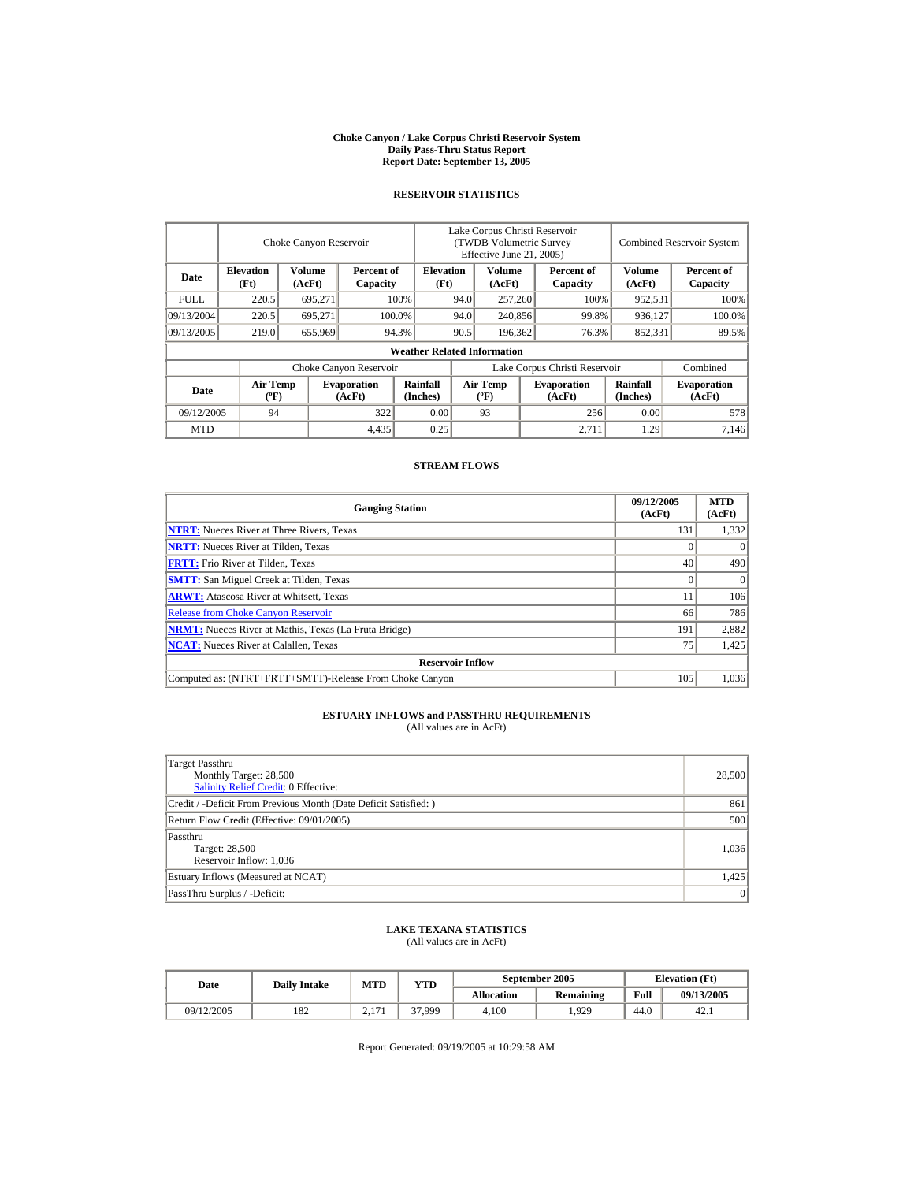#### **Choke Canyon / Lake Corpus Christi Reservoir System Daily Pass-Thru Status Report Report Date: September 13, 2005**

#### **RESERVOIR STATISTICS**

|                                                                                |                                             | Choke Canyon Reservoir   |                              | Lake Corpus Christi Reservoir<br>(TWDB Volumetric Survey<br>Effective June 21, 2005) |      |                                  |                  |                               | <b>Combined Reservoir System</b> |                              |  |
|--------------------------------------------------------------------------------|---------------------------------------------|--------------------------|------------------------------|--------------------------------------------------------------------------------------|------|----------------------------------|------------------|-------------------------------|----------------------------------|------------------------------|--|
| <b>Elevation</b><br>Volume<br>Percent of<br>Date<br>(Ft)<br>(AcFt)<br>Capacity |                                             | <b>Elevation</b><br>(Ft) |                              | Volume<br>(AcFt)                                                                     |      | Percent of<br>Capacity           | Volume<br>(AcFt) | Percent of<br>Capacity        |                                  |                              |  |
| <b>FULL</b>                                                                    | 220.5                                       | 695,271                  |                              | 100%                                                                                 | 94.0 | 257,260                          |                  | 100%                          | 952,531                          | 100%                         |  |
| 09/13/2004                                                                     | 220.5                                       | 695.271                  |                              | 100.0%                                                                               |      | 94.0<br>240,856                  |                  | 99.8%                         | 936,127                          | 100.0%                       |  |
| 09/13/2005                                                                     | 219.0                                       | 655,969                  |                              | 94.3%                                                                                | 90.5 | 196,362                          |                  | 76.3%                         | 852,331                          | 89.5%                        |  |
|                                                                                |                                             |                          |                              | <b>Weather Related Information</b>                                                   |      |                                  |                  |                               |                                  |                              |  |
|                                                                                |                                             |                          | Choke Canyon Reservoir       |                                                                                      |      |                                  |                  | Lake Corpus Christi Reservoir |                                  | Combined                     |  |
| Date                                                                           | <b>Air Temp</b><br>$({}^{\circ}\mathrm{F})$ |                          | <b>Evaporation</b><br>(AcFt) | Rainfall<br>(Inches)                                                                 |      | <b>Air Temp</b><br>$(^{\circ}F)$ |                  | <b>Evaporation</b><br>(AcFt)  | <b>Rainfall</b><br>(Inches)      | <b>Evaporation</b><br>(AcFt) |  |
| 09/12/2005                                                                     | 94                                          |                          | 322                          | 0.00                                                                                 |      | 93                               |                  | 256                           | 0.00                             | 578                          |  |
| <b>MTD</b>                                                                     |                                             |                          | 4,435                        | 0.25                                                                                 |      |                                  |                  | 2.711                         | 1.29                             | 7.146                        |  |

#### **STREAM FLOWS**

| <b>Gauging Station</b>                                       | 09/12/2005<br>(AcFt) | <b>MTD</b><br>(AcFt) |
|--------------------------------------------------------------|----------------------|----------------------|
| <b>NTRT:</b> Nueces River at Three Rivers, Texas             | 131                  | 1,332                |
| <b>NRTT:</b> Nueces River at Tilden, Texas                   |                      | $\Omega$             |
| <b>FRTT:</b> Frio River at Tilden, Texas                     | 40                   | 490                  |
| <b>SMTT:</b> San Miguel Creek at Tilden, Texas               |                      | $\Omega$             |
| <b>ARWT:</b> Atascosa River at Whitsett, Texas               |                      | 106                  |
| <b>Release from Choke Canyon Reservoir</b>                   | 66                   | 786                  |
| <b>NRMT:</b> Nueces River at Mathis, Texas (La Fruta Bridge) | 191                  | 2,882                |
| <b>NCAT:</b> Nueces River at Calallen, Texas                 | 75                   | 1,425                |
| <b>Reservoir Inflow</b>                                      |                      |                      |
| Computed as: (NTRT+FRTT+SMTT)-Release From Choke Canyon      | 105                  | 1.036                |

# **ESTUARY INFLOWS and PASSTHRU REQUIREMENTS**<br>(All values are in AcFt)

| Target Passthru<br>Monthly Target: 28,500<br><b>Salinity Relief Credit: 0 Effective:</b> | 28,500 |
|------------------------------------------------------------------------------------------|--------|
| Credit / -Deficit From Previous Month (Date Deficit Satisfied: )                         | 861    |
| Return Flow Credit (Effective: 09/01/2005)                                               | 500    |
| Passthru<br>Target: 28,500<br>Reservoir Inflow: 1,036                                    | 1,036  |
| Estuary Inflows (Measured at NCAT)                                                       | 1,425  |
| PassThru Surplus / -Deficit:                                                             | 0      |

## **LAKE TEXANA STATISTICS**

(All values are in AcFt)

| Date       | <b>Daily Intake</b> | <b>MTD</b>      | VTD    |            | September 2005   | <b>Elevation</b> (Ft) |            |  |
|------------|---------------------|-----------------|--------|------------|------------------|-----------------------|------------|--|
|            |                     |                 |        | Allocation | <b>Remaining</b> | Full                  | 09/13/2005 |  |
| 09/12/2005 | 182                 | 171<br>$\sim$ 1 | 37,999 | 4.100      | .929             | 44.0                  | 42.1       |  |

Report Generated: 09/19/2005 at 10:29:58 AM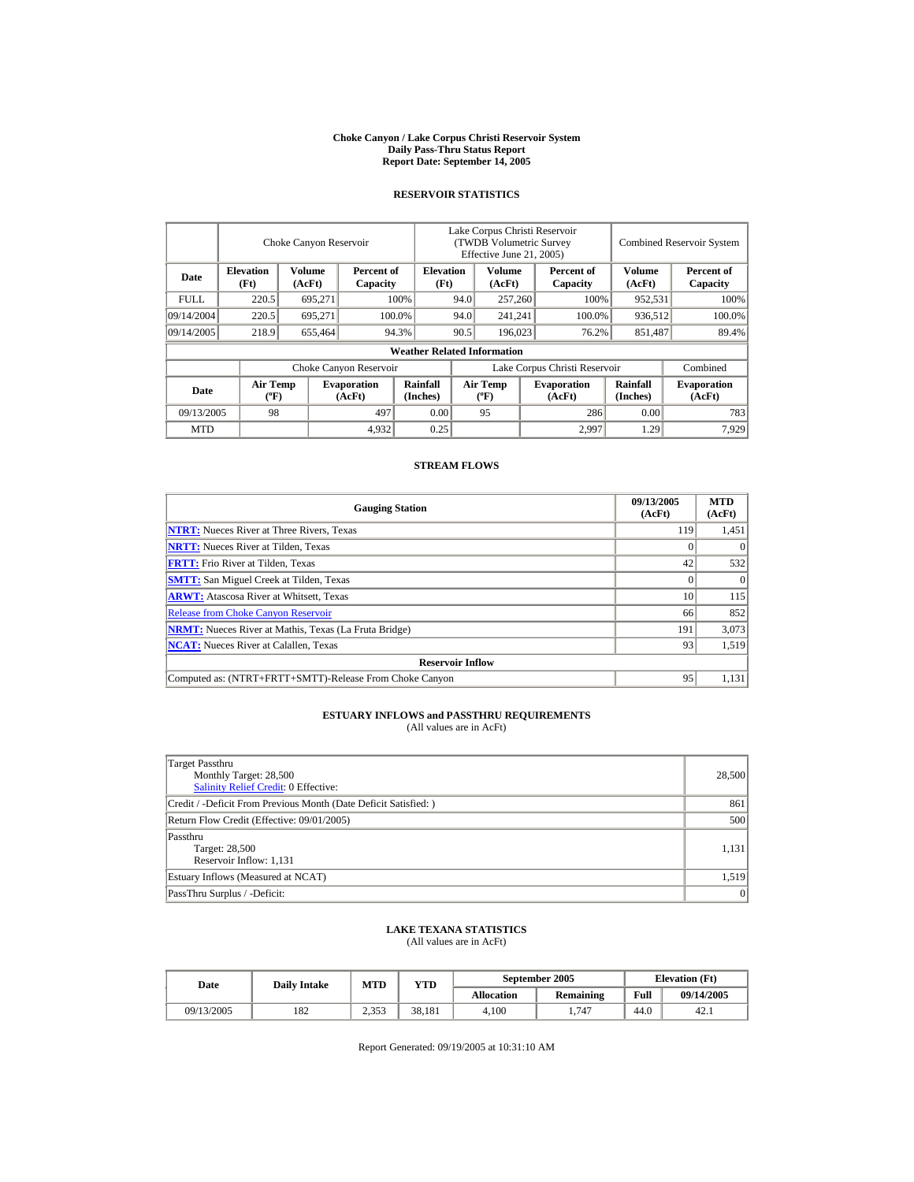#### **Choke Canyon / Lake Corpus Christi Reservoir System Daily Pass-Thru Status Report Report Date: September 14, 2005**

#### **RESERVOIR STATISTICS**

|                                                                                |                                             | Choke Canyon Reservoir   |                              | Lake Corpus Christi Reservoir<br>(TWDB Volumetric Survey<br>Effective June 21, 2005) |      |                                  |                  |                               | <b>Combined Reservoir System</b> |                              |  |
|--------------------------------------------------------------------------------|---------------------------------------------|--------------------------|------------------------------|--------------------------------------------------------------------------------------|------|----------------------------------|------------------|-------------------------------|----------------------------------|------------------------------|--|
| <b>Elevation</b><br>Volume<br>Percent of<br>Date<br>(Ft)<br>(AcFt)<br>Capacity |                                             | <b>Elevation</b><br>(Ft) |                              | Volume<br>(AcFt)                                                                     |      | Percent of<br>Capacity           | Volume<br>(AcFt) | Percent of<br>Capacity        |                                  |                              |  |
| <b>FULL</b>                                                                    | 220.5                                       | 695,271                  |                              | 100%                                                                                 | 94.0 | 257,260                          |                  | 100%                          | 952,531                          | 100%                         |  |
| 09/14/2004                                                                     | 220.5                                       | 695.271                  | 100.0%                       |                                                                                      | 94.0 | 241,241                          |                  | 100.0%                        | 936,512                          | 100.0%                       |  |
| 09/14/2005                                                                     | 218.9                                       | 655,464                  |                              | 94.3%                                                                                | 90.5 | 196,023                          |                  | 76.2%                         | 851,487                          | 89.4%                        |  |
|                                                                                |                                             |                          |                              | <b>Weather Related Information</b>                                                   |      |                                  |                  |                               |                                  |                              |  |
|                                                                                |                                             |                          | Choke Canyon Reservoir       |                                                                                      |      |                                  |                  | Lake Corpus Christi Reservoir |                                  | Combined                     |  |
| Date                                                                           | <b>Air Temp</b><br>$({}^{\circ}\mathrm{F})$ |                          | <b>Evaporation</b><br>(AcFt) | Rainfall<br>(Inches)                                                                 |      | <b>Air Temp</b><br>$(^{\circ}F)$ |                  | <b>Evaporation</b><br>(AcFt)  | <b>Rainfall</b><br>(Inches)      | <b>Evaporation</b><br>(AcFt) |  |
| 09/13/2005                                                                     | 98                                          |                          | 497                          | 0.00                                                                                 |      | 95                               |                  | 286                           | 0.00                             | 783                          |  |
| <b>MTD</b>                                                                     |                                             |                          | 4,932                        | 0.25                                                                                 |      |                                  |                  | 2.997                         | 1.29                             | 7,929                        |  |

#### **STREAM FLOWS**

| <b>Gauging Station</b>                                       | 09/13/2005<br>(AcFt) | <b>MTD</b><br>(AcFt) |
|--------------------------------------------------------------|----------------------|----------------------|
| <b>NTRT:</b> Nueces River at Three Rivers, Texas             | 119                  | 1,451                |
| <b>NRTT:</b> Nueces River at Tilden, Texas                   |                      |                      |
| <b>FRTT:</b> Frio River at Tilden, Texas                     | 42                   | 532                  |
| <b>SMTT:</b> San Miguel Creek at Tilden, Texas               |                      | $\Omega$             |
| <b>ARWT:</b> Atascosa River at Whitsett, Texas               | 10                   | 115                  |
| <b>Release from Choke Canyon Reservoir</b>                   | 66                   | 852                  |
| <b>NRMT:</b> Nueces River at Mathis, Texas (La Fruta Bridge) | 191                  | 3,073                |
| <b>NCAT:</b> Nueces River at Calallen, Texas                 | 93                   | 1,519                |
| <b>Reservoir Inflow</b>                                      |                      |                      |
| Computed as: (NTRT+FRTT+SMTT)-Release From Choke Canyon      | 95                   | 1,131                |

# **ESTUARY INFLOWS and PASSTHRU REQUIREMENTS**<br>(All values are in AcFt)

| Target Passthru<br>Monthly Target: 28,500<br><b>Salinity Relief Credit: 0 Effective:</b> | 28,500 |
|------------------------------------------------------------------------------------------|--------|
| Credit / -Deficit From Previous Month (Date Deficit Satisfied: )                         | 861    |
| Return Flow Credit (Effective: 09/01/2005)                                               | 500    |
| Passthru<br>Target: 28,500<br>Reservoir Inflow: 1,131                                    | 1,131  |
| Estuary Inflows (Measured at NCAT)                                                       | 1,519  |
| PassThru Surplus / -Deficit:                                                             | 0      |

## **LAKE TEXANA STATISTICS**

(All values are in AcFt)

| Date       | <b>Daily Intake</b> | <b>MTD</b>    | $_{\rm VTD}$ |            | September 2005   | <b>Elevation</b> (Ft) |            |
|------------|---------------------|---------------|--------------|------------|------------------|-----------------------|------------|
|            |                     |               |              | Allocation | <b>Remaining</b> | Full                  | 09/14/2005 |
| 09/13/2005 | 182                 | 252<br>۔روہ ک | 38.181       | 4.100      | 747              | 44.0                  | 42.1       |

Report Generated: 09/19/2005 at 10:31:10 AM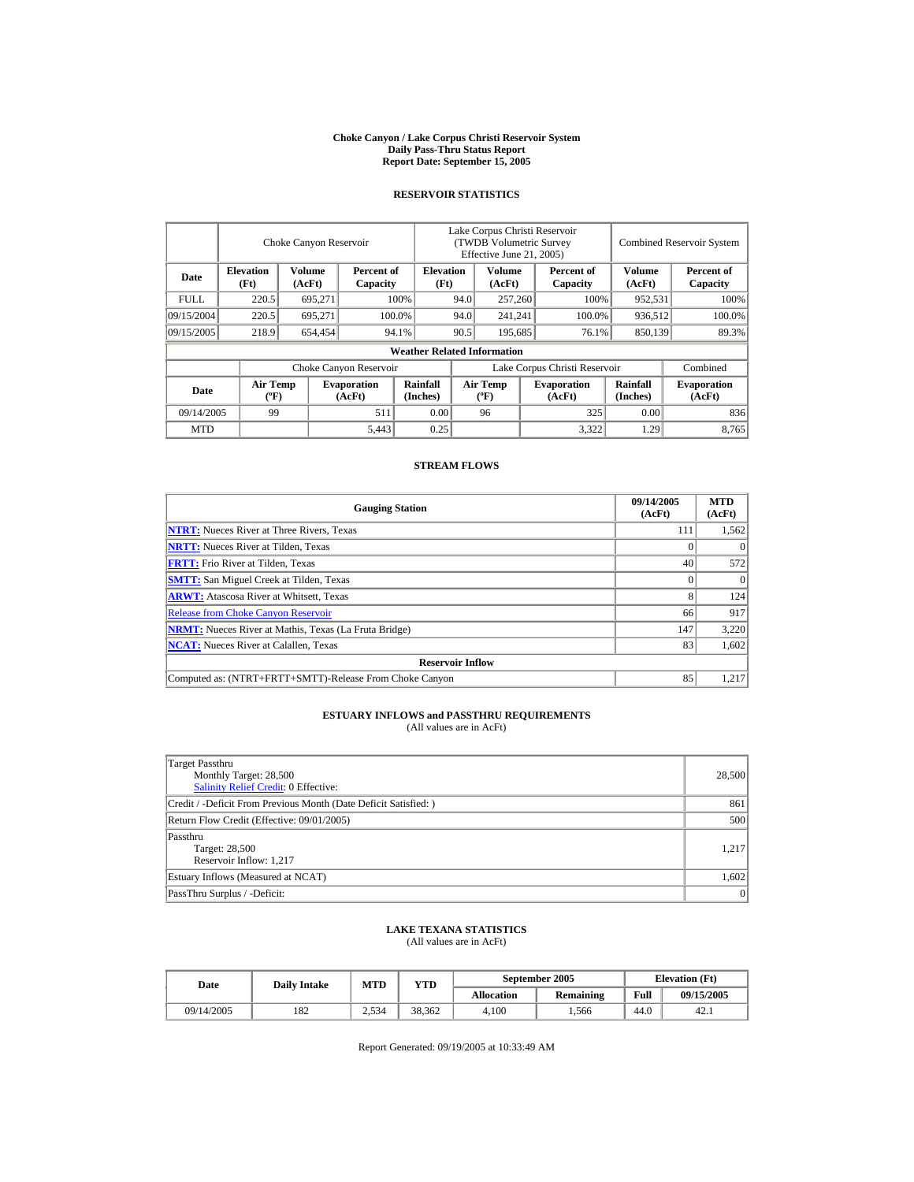#### **Choke Canyon / Lake Corpus Christi Reservoir System Daily Pass-Thru Status Report Report Date: September 15, 2005**

#### **RESERVOIR STATISTICS**

|                                                                                |                                             | Choke Canyon Reservoir   |                              | Lake Corpus Christi Reservoir<br>(TWDB Volumetric Survey<br>Effective June 21, 2005) |      |                                  |                  |                               | <b>Combined Reservoir System</b> |                              |  |
|--------------------------------------------------------------------------------|---------------------------------------------|--------------------------|------------------------------|--------------------------------------------------------------------------------------|------|----------------------------------|------------------|-------------------------------|----------------------------------|------------------------------|--|
| <b>Elevation</b><br>Volume<br>Percent of<br>Date<br>(Ft)<br>(AcFt)<br>Capacity |                                             | <b>Elevation</b><br>(Ft) |                              | Volume<br>(AcFt)                                                                     |      | Percent of<br>Capacity           | Volume<br>(AcFt) | Percent of<br>Capacity        |                                  |                              |  |
| <b>FULL</b>                                                                    | 220.5                                       | 695,271                  |                              | 100%                                                                                 | 94.0 | 257,260                          |                  | 100%                          | 952,531                          | 100%                         |  |
| 09/15/2004                                                                     | 220.5                                       | 695.271                  |                              | 100.0%                                                                               | 94.0 | 241,241                          |                  | 100.0%                        | 936,512                          | 100.0%                       |  |
| 09/15/2005                                                                     | 218.9                                       | 654.454                  |                              | 94.1%                                                                                | 90.5 | 195,685                          |                  | 76.1%                         | 850,139                          | 89.3%                        |  |
|                                                                                |                                             |                          |                              | <b>Weather Related Information</b>                                                   |      |                                  |                  |                               |                                  |                              |  |
|                                                                                |                                             |                          | Choke Canyon Reservoir       |                                                                                      |      |                                  |                  | Lake Corpus Christi Reservoir |                                  | Combined                     |  |
| Date                                                                           | <b>Air Temp</b><br>$({}^{\circ}\mathrm{F})$ |                          | <b>Evaporation</b><br>(AcFt) | Rainfall<br>(Inches)                                                                 |      | <b>Air Temp</b><br>$(^{\circ}F)$ |                  | <b>Evaporation</b><br>(AcFt)  | <b>Rainfall</b><br>(Inches)      | <b>Evaporation</b><br>(AcFt) |  |
| 09/14/2005                                                                     | 99                                          |                          | 511                          | 0.00                                                                                 |      | 96                               |                  | 325                           | 0.00                             | 836                          |  |
| <b>MTD</b>                                                                     |                                             |                          | 5,443                        | 0.25                                                                                 |      |                                  |                  | 3,322                         | 1.29                             | 8.765                        |  |

#### **STREAM FLOWS**

| <b>Gauging Station</b>                                       | 09/14/2005<br>(AcFt) | <b>MTD</b><br>(AcFt) |
|--------------------------------------------------------------|----------------------|----------------------|
| <b>NTRT:</b> Nueces River at Three Rivers, Texas             | 111                  | 1,562                |
| <b>NRTT:</b> Nueces River at Tilden, Texas                   |                      | $\Omega$             |
| <b>FRTT:</b> Frio River at Tilden, Texas                     | 40                   | 572                  |
| <b>SMTT:</b> San Miguel Creek at Tilden, Texas               |                      | $\Omega$             |
| <b>ARWT:</b> Atascosa River at Whitsett, Texas               |                      | 124                  |
| <b>Release from Choke Canyon Reservoir</b>                   | 66                   | 917                  |
| <b>NRMT:</b> Nueces River at Mathis, Texas (La Fruta Bridge) | 147                  | 3,220                |
| <b>NCAT:</b> Nueces River at Calallen, Texas                 | 83                   | 1,602                |
| <b>Reservoir Inflow</b>                                      |                      |                      |
| Computed as: (NTRT+FRTT+SMTT)-Release From Choke Canyon      | 85                   | 1.217                |

# **ESTUARY INFLOWS and PASSTHRU REQUIREMENTS**<br>(All values are in AcFt)

| Target Passthru<br>Monthly Target: 28,500<br><b>Salinity Relief Credit: 0 Effective:</b> | 28,500 |
|------------------------------------------------------------------------------------------|--------|
| Credit / -Deficit From Previous Month (Date Deficit Satisfied: )                         | 861    |
| Return Flow Credit (Effective: 09/01/2005)                                               | 500    |
| Passthru<br>Target: 28,500<br>Reservoir Inflow: 1,217                                    | 1,217  |
| Estuary Inflows (Measured at NCAT)                                                       | 1,602  |
| PassThru Surplus / -Deficit:                                                             | 0      |

## **LAKE TEXANA STATISTICS**

(All values are in AcFt)

| Date       | <b>Daily Intake</b> | <b>MTD</b> | $_{\rm VTD}$ |            | September 2005   | <b>Elevation</b> (Ft) |            |  |
|------------|---------------------|------------|--------------|------------|------------------|-----------------------|------------|--|
|            |                     |            |              | Allocation | <b>Remaining</b> | Full                  | 09/15/2005 |  |
| 09/14/2005 | 182                 | 2.534      | 38.362       | 4.100      | .566             | 44.0                  | 42.1       |  |

Report Generated: 09/19/2005 at 10:33:49 AM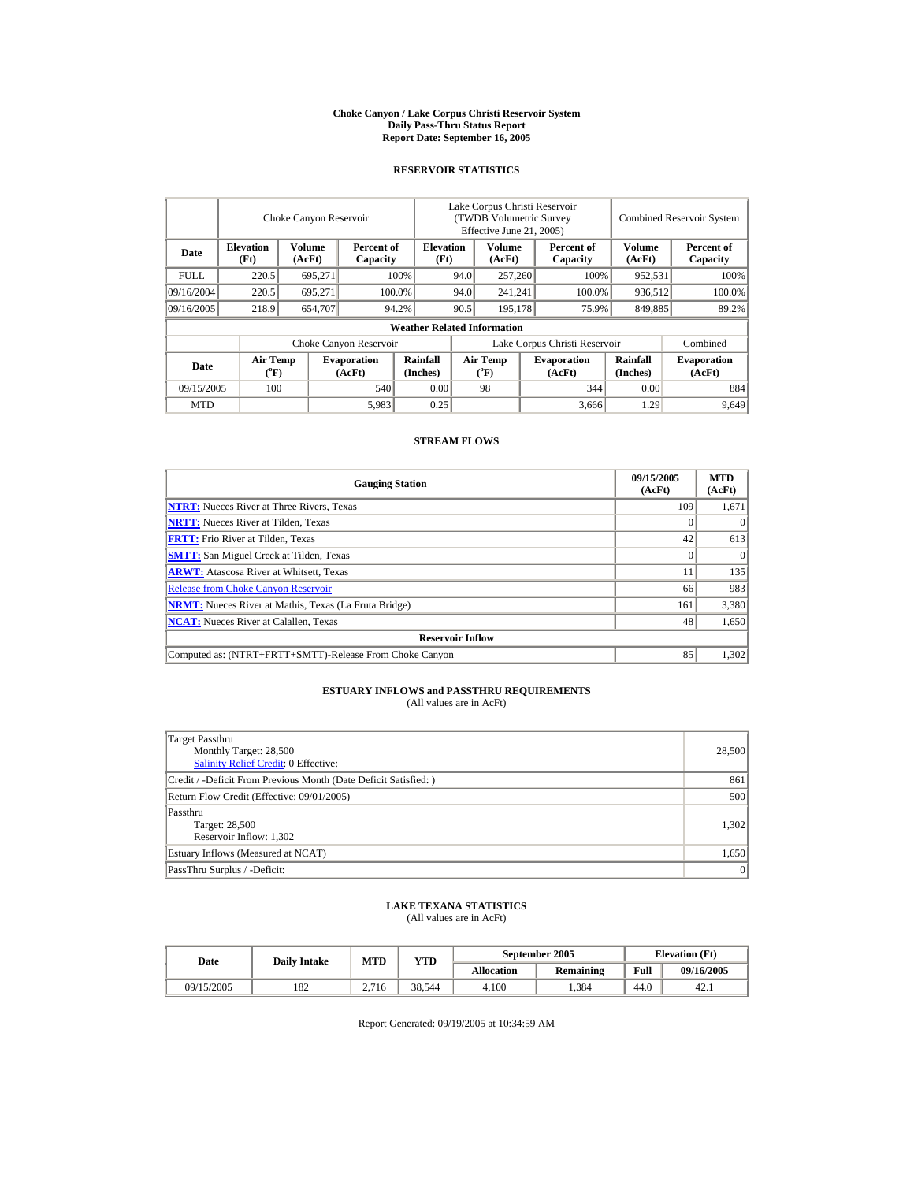#### **Choke Canyon / Lake Corpus Christi Reservoir System Daily Pass-Thru Status Report Report Date: September 16, 2005**

#### **RESERVOIR STATISTICS**

|             | Choke Canyon Reservoir   |                  |                              |                                                    | Lake Corpus Christi Reservoir<br>(TWDB Volumetric Survey<br>Effective June 21, 2005) |                                       |                   |                              | <b>Combined Reservoir System</b> |                              |  |
|-------------|--------------------------|------------------|------------------------------|----------------------------------------------------|--------------------------------------------------------------------------------------|---------------------------------------|-------------------|------------------------------|----------------------------------|------------------------------|--|
| Date        | <b>Elevation</b><br>(Ft) | Volume<br>(AcFt) |                              | <b>Elevation</b><br>Percent of<br>(Ft)<br>Capacity |                                                                                      | Volume<br>(AcFt)                      |                   | Percent of<br>Capacity       | <b>Volume</b><br>(AcFt)          | Percent of<br>Capacity       |  |
| <b>FULL</b> | 220.5                    | 695.271          |                              | 100%                                               | 94.0                                                                                 | 257,260                               |                   | 100%                         | 952,531                          | 100%                         |  |
| 09/16/2004  | 220.5                    | 695.271          |                              | 100.0%                                             | 94.0                                                                                 |                                       | 241.241<br>100.0% |                              | 936.512                          | 100.0%                       |  |
| 09/16/2005  | 218.9                    | 654,707          |                              | 94.2%                                              | 90.5                                                                                 | 195,178                               |                   | 75.9%                        | 849,885                          | 89.2%                        |  |
|             |                          |                  |                              | <b>Weather Related Information</b>                 |                                                                                      |                                       |                   |                              |                                  |                              |  |
|             |                          |                  | Choke Canyon Reservoir       |                                                    | Lake Corpus Christi Reservoir                                                        |                                       |                   |                              |                                  | Combined                     |  |
| Date        | <b>Air Temp</b><br>(°F)  |                  | <b>Evaporation</b><br>(AcFt) | Rainfall<br>(Inches)                               |                                                                                      | <b>Air Temp</b><br>$({}^o\mathrm{F})$ |                   | <b>Evaporation</b><br>(AcFt) | Rainfall<br>(Inches)             | <b>Evaporation</b><br>(AcFt) |  |
| 09/15/2005  | 100                      |                  | 540                          | 0.00                                               |                                                                                      | 98                                    |                   | 344                          | 0.00                             | 884                          |  |
| <b>MTD</b>  |                          |                  | 5,983                        | 0.25                                               |                                                                                      |                                       |                   | 3.666                        | 1.29                             | 9,649                        |  |

#### **STREAM FLOWS**

| <b>Gauging Station</b>                                       | 09/15/2005<br>(AcFt) | <b>MTD</b><br>(AcFt) |
|--------------------------------------------------------------|----------------------|----------------------|
| <b>NTRT:</b> Nueces River at Three Rivers, Texas             | 109                  | 1,671                |
| <b>NRTT:</b> Nueces River at Tilden, Texas                   |                      | $\Omega$             |
| <b>FRTT:</b> Frio River at Tilden, Texas                     | 42                   | 613                  |
| <b>SMTT:</b> San Miguel Creek at Tilden, Texas               |                      | $\Omega$             |
| <b>ARWT:</b> Atascosa River at Whitsett, Texas               | 11                   | 135                  |
| <b>Release from Choke Canyon Reservoir</b>                   | 66                   | 983                  |
| <b>NRMT:</b> Nueces River at Mathis, Texas (La Fruta Bridge) | 161                  | 3,380                |
| <b>NCAT:</b> Nueces River at Calallen, Texas                 | 48                   | 1,650                |
| <b>Reservoir Inflow</b>                                      |                      |                      |
| Computed as: (NTRT+FRTT+SMTT)-Release From Choke Canyon      | 85                   | 1,302                |

## **ESTUARY INFLOWS and PASSTHRU REQUIREMENTS**<br>(All values are in AcFt)

| Target Passthru<br>Monthly Target: 28,500<br><b>Salinity Relief Credit: 0 Effective:</b> | 28,500 |
|------------------------------------------------------------------------------------------|--------|
|                                                                                          |        |
| Credit / -Deficit From Previous Month (Date Deficit Satisfied:)                          | 861    |
| Return Flow Credit (Effective: 09/01/2005)                                               | 500    |
| Passthru                                                                                 |        |
| Target: 28,500                                                                           | 1,302  |
| Reservoir Inflow: 1,302                                                                  |        |
| Estuary Inflows (Measured at NCAT)                                                       | 1,650  |
| PassThru Surplus / -Deficit:                                                             | 0      |

# **LAKE TEXANA STATISTICS** (All values are in AcFt)

| Date       | <b>Daily Intake</b> | <b>MTD</b> | YTD    |            | September 2005 | <b>Elevation</b> (Ft) |            |
|------------|---------------------|------------|--------|------------|----------------|-----------------------|------------|
|            |                     |            |        | Allocation | Remaining      | Full                  | 09/16/2005 |
| 09/15/2005 | 182                 | 2.716      | 38.544 | 4.100      | .384           | 44.0                  | 42.1       |

Report Generated: 09/19/2005 at 10:34:59 AM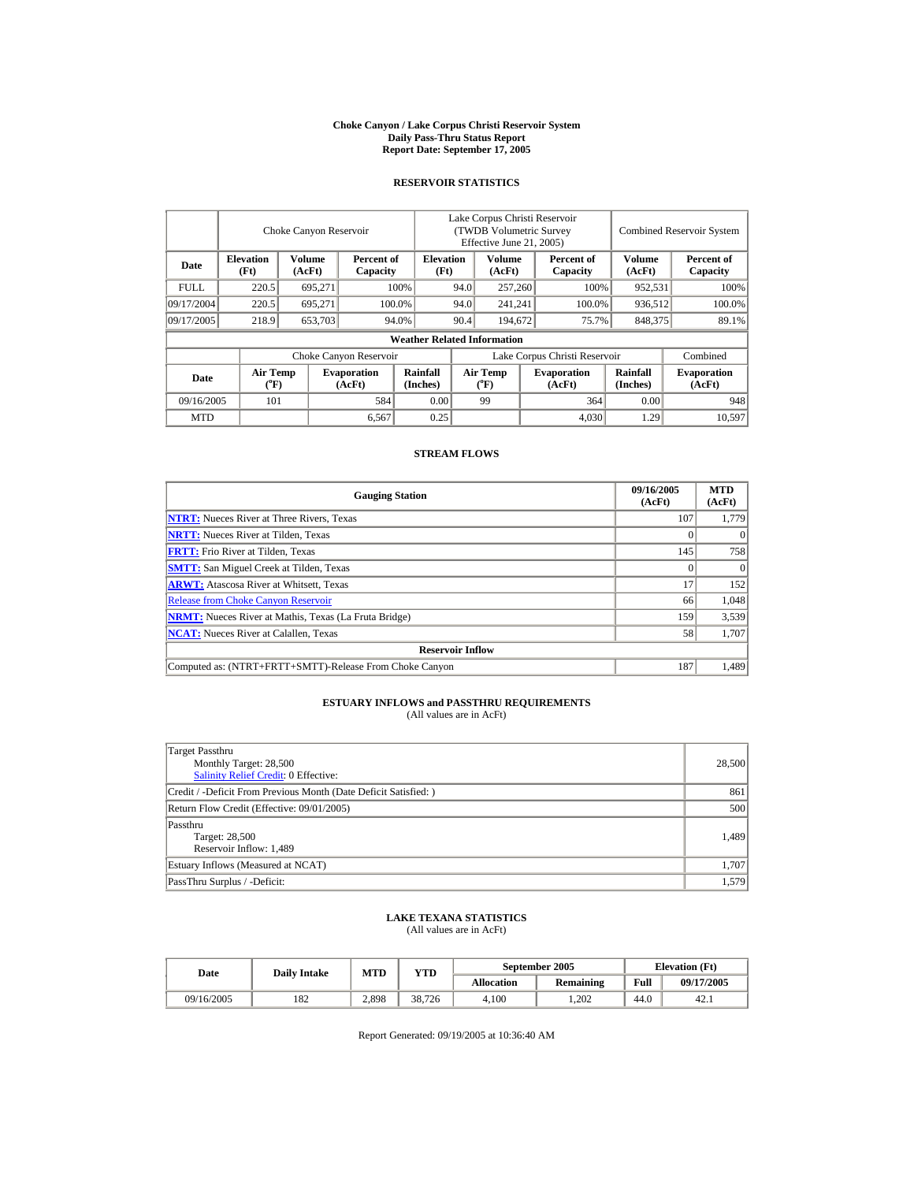#### **Choke Canyon / Lake Corpus Christi Reservoir System Daily Pass-Thru Status Report Report Date: September 17, 2005**

## **RESERVOIR STATISTICS**

|             |                                | Choke Canyon Reservoir  |                              |                                    | Lake Corpus Christi Reservoir<br>(TWDB Volumetric Survey<br>Effective June 21, 2005) |                                    |  |                              | <b>Combined Reservoir System</b> |                              |  |
|-------------|--------------------------------|-------------------------|------------------------------|------------------------------------|--------------------------------------------------------------------------------------|------------------------------------|--|------------------------------|----------------------------------|------------------------------|--|
| Date        | <b>Elevation</b><br>(Ft)       | <b>Volume</b><br>(AcFt) | Percent of<br>Capacity       | <b>Elevation</b><br>(Ft)           | <b>Volume</b><br>(AcFt)                                                              |                                    |  | Percent of<br>Capacity       | <b>Volume</b><br>(AcFt)          | Percent of<br>Capacity       |  |
| <b>FULL</b> | 220.5                          | 695.271                 |                              | 100%                               | 94.0                                                                                 | 257,260                            |  | 100%                         | 952,531                          | 100%                         |  |
| 09/17/2004  | 220.5                          | 695.271                 |                              | 100.0%                             | 94.0                                                                                 | 241.241                            |  | 100.0%                       | 936.512                          | 100.0%                       |  |
| 09/17/2005  | 218.9                          | 653,703                 |                              | 94.0%                              | 90.4                                                                                 | 194,672                            |  | 75.7%                        | 848,375                          | 89.1%                        |  |
|             |                                |                         |                              | <b>Weather Related Information</b> |                                                                                      |                                    |  |                              |                                  |                              |  |
|             |                                |                         | Choke Canyon Reservoir       |                                    | Lake Corpus Christi Reservoir                                                        |                                    |  |                              |                                  | Combined                     |  |
| Date        | Air Temp<br>$({}^o\mathrm{F})$ |                         | <b>Evaporation</b><br>(AcFt) | Rainfall<br>(Inches)               |                                                                                      | Air Temp<br>$({}^{\circ}\text{F})$ |  | <b>Evaporation</b><br>(AcFt) | Rainfall<br>(Inches)             | <b>Evaporation</b><br>(AcFt) |  |
| 09/16/2005  | 101                            |                         | 584                          | 0.00                               |                                                                                      | 99                                 |  | 364                          | 0.00                             | 948                          |  |
| <b>MTD</b>  |                                |                         | 6,567                        | 0.25                               |                                                                                      |                                    |  | 4.030                        | 1.29                             | 10,597                       |  |

### **STREAM FLOWS**

| <b>Gauging Station</b>                                       | 09/16/2005<br>(AcFt) | <b>MTD</b><br>(AcFt) |
|--------------------------------------------------------------|----------------------|----------------------|
| <b>NTRT:</b> Nueces River at Three Rivers, Texas             | 107                  | 1,779                |
| <b>NRTT:</b> Nueces River at Tilden, Texas                   |                      |                      |
| <b>FRTT:</b> Frio River at Tilden, Texas                     | 145                  | 758                  |
| <b>SMTT:</b> San Miguel Creek at Tilden, Texas               |                      | $\theta$             |
| <b>ARWT:</b> Atascosa River at Whitsett, Texas               | 17                   | 152                  |
| <b>Release from Choke Canyon Reservoir</b>                   | 66                   | 1,048                |
| <b>NRMT:</b> Nueces River at Mathis, Texas (La Fruta Bridge) | 159                  | 3,539                |
| <b>NCAT:</b> Nueces River at Calallen, Texas                 | 58                   | 1,707                |
| <b>Reservoir Inflow</b>                                      |                      |                      |
| Computed as: (NTRT+FRTT+SMTT)-Release From Choke Canyon      | 187                  | 1,489                |

## **ESTUARY INFLOWS and PASSTHRU REQUIREMENTS**<br>(All values are in AcFt)

| Target Passthru<br>Monthly Target: 28,500<br><b>Salinity Relief Credit: 0 Effective:</b> | 28,500 |
|------------------------------------------------------------------------------------------|--------|
| Credit / -Deficit From Previous Month (Date Deficit Satisfied:)                          | 861    |
| Return Flow Credit (Effective: 09/01/2005)                                               | 500    |
| Passthru<br>Target: 28,500<br>Reservoir Inflow: 1,489                                    | 1.489  |
| Estuary Inflows (Measured at NCAT)                                                       | 1,707  |
| PassThru Surplus / -Deficit:                                                             | 1.579  |

## **LAKE TEXANA STATISTICS** (All values are in AcFt)

| Date       | <b>Daily Intake</b> | MTD   | <b>YTD</b> |            | September 2005 |      | <b>Elevation</b> (Ft) |
|------------|---------------------|-------|------------|------------|----------------|------|-----------------------|
|            |                     |       |            | Allocation | Remaining      | Full | 09/17/2005            |
| 09/16/2005 | 182                 | 2,898 | 38.726     | 4.100      | .202           | 44.0 | 42.1                  |

Report Generated: 09/19/2005 at 10:36:40 AM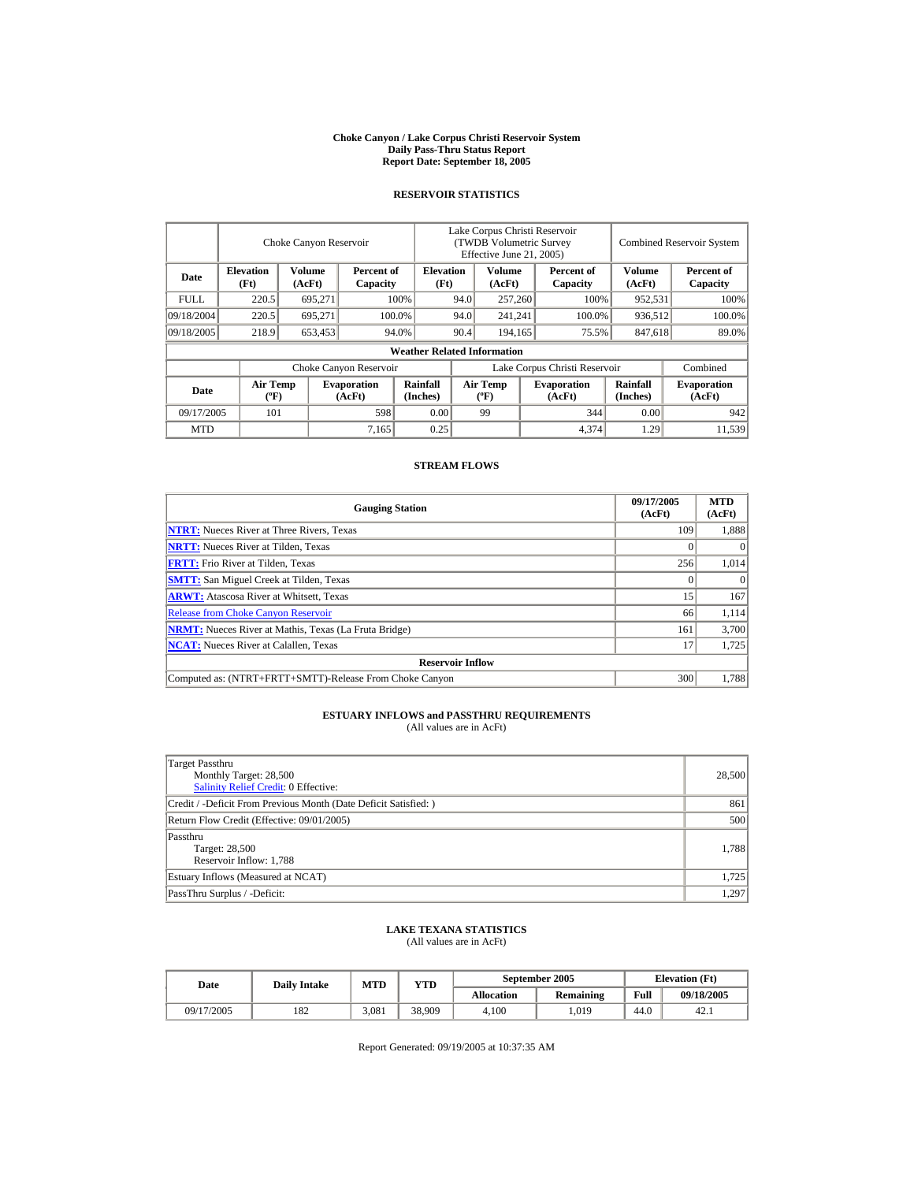#### **Choke Canyon / Lake Corpus Christi Reservoir System Daily Pass-Thru Status Report Report Date: September 18, 2005**

#### **RESERVOIR STATISTICS**

|             | Choke Canyon Reservoir                      |                                                   |                              |                                    | Lake Corpus Christi Reservoir<br><b>(TWDB Volumetric Survey)</b><br>Effective June 21, 2005) |                                  |                  |                              |                             | <b>Combined Reservoir System</b> |  |  |
|-------------|---------------------------------------------|---------------------------------------------------|------------------------------|------------------------------------|----------------------------------------------------------------------------------------------|----------------------------------|------------------|------------------------------|-----------------------------|----------------------------------|--|--|
| Date        | <b>Elevation</b><br>(Ft)                    | <b>Volume</b><br>Percent of<br>(AcFt)<br>Capacity |                              | <b>Elevation</b><br>(Ft)           |                                                                                              | <b>Volume</b><br>(AcFt)          |                  | Percent of<br>Capacity       | Volume<br>(AcFt)            | Percent of<br>Capacity           |  |  |
| <b>FULL</b> | 220.5                                       | 695,271                                           |                              | 100%                               | 94.0                                                                                         | 257,260                          |                  | 100%                         | 952,531                     | 100%                             |  |  |
| 09/18/2004  | 220.5                                       | 695.271                                           |                              | 100.0%                             | 94.0                                                                                         | 241,241                          |                  | 100.0%                       | 936,512                     | 100.0%                           |  |  |
| 09/18/2005  | 218.9                                       | 653,453                                           |                              | 94.0%                              | 90.4                                                                                         |                                  | 194,165<br>75.5% |                              | 847,618                     | 89.0%                            |  |  |
|             |                                             |                                                   |                              | <b>Weather Related Information</b> |                                                                                              |                                  |                  |                              |                             |                                  |  |  |
|             |                                             |                                                   | Choke Canyon Reservoir       |                                    | Lake Corpus Christi Reservoir                                                                |                                  |                  |                              |                             | Combined                         |  |  |
| Date        | <b>Air Temp</b><br>$({}^{\circ}\mathrm{F})$ |                                                   | <b>Evaporation</b><br>(AcFt) | Rainfall<br>(Inches)               |                                                                                              | <b>Air Temp</b><br>$(^{\circ}F)$ |                  | <b>Evaporation</b><br>(AcFt) | <b>Rainfall</b><br>(Inches) | <b>Evaporation</b><br>(AcFt)     |  |  |
| 09/17/2005  | 101                                         |                                                   | 598                          | 0.00                               |                                                                                              | 99                               |                  | 344                          | 0.00                        | 942                              |  |  |
| <b>MTD</b>  |                                             |                                                   | 7,165                        | 0.25                               |                                                                                              |                                  |                  | 4,374                        | 1.29                        | 11.539                           |  |  |

#### **STREAM FLOWS**

| <b>Gauging Station</b>                                       | 09/17/2005<br>(AcFt) | <b>MTD</b><br>(AcFt) |
|--------------------------------------------------------------|----------------------|----------------------|
| <b>NTRT:</b> Nueces River at Three Rivers, Texas             | 109                  | 1,888                |
| <b>NRTT:</b> Nueces River at Tilden, Texas                   |                      |                      |
| <b>FRTT:</b> Frio River at Tilden, Texas                     | 256                  | 1,014                |
| <b>SMTT:</b> San Miguel Creek at Tilden, Texas               |                      | $\theta$             |
| <b>ARWT:</b> Atascosa River at Whitsett, Texas               | 15                   | 167                  |
| <b>Release from Choke Canyon Reservoir</b>                   | 66                   | 1.114                |
| <b>NRMT:</b> Nueces River at Mathis, Texas (La Fruta Bridge) | 161                  | 3,700                |
| <b>NCAT:</b> Nueces River at Calallen, Texas                 |                      | 1,725                |
| <b>Reservoir Inflow</b>                                      |                      |                      |
| Computed as: (NTRT+FRTT+SMTT)-Release From Choke Canyon      | 300                  | 1.788                |

# **ESTUARY INFLOWS and PASSTHRU REQUIREMENTS**<br>(All values are in AcFt)

| Target Passthru<br>Monthly Target: 28,500<br><b>Salinity Relief Credit: 0 Effective:</b> | 28,500 |
|------------------------------------------------------------------------------------------|--------|
| Credit / -Deficit From Previous Month (Date Deficit Satisfied:)                          | 861    |
| Return Flow Credit (Effective: 09/01/2005)                                               | 500    |
| Passthru<br>Target: 28,500<br>Reservoir Inflow: 1,788                                    | 1,788  |
| Estuary Inflows (Measured at NCAT)                                                       | 1,725  |
| PassThru Surplus / -Deficit:                                                             | 1,297  |

## **LAKE TEXANA STATISTICS**

(All values are in AcFt)

| Date       | <b>Daily Intake</b> | <b>MTD</b> | VTD    |            | September 2005   | <b>Elevation</b> (Ft) |            |
|------------|---------------------|------------|--------|------------|------------------|-----------------------|------------|
|            |                     |            |        | Allocation | <b>Remaining</b> | Full                  | 09/18/2005 |
| 09/17/2005 | 182                 | 3.081      | 38.909 | 4.100      | .019             | 44.0                  | 42.1       |

Report Generated: 09/19/2005 at 10:37:35 AM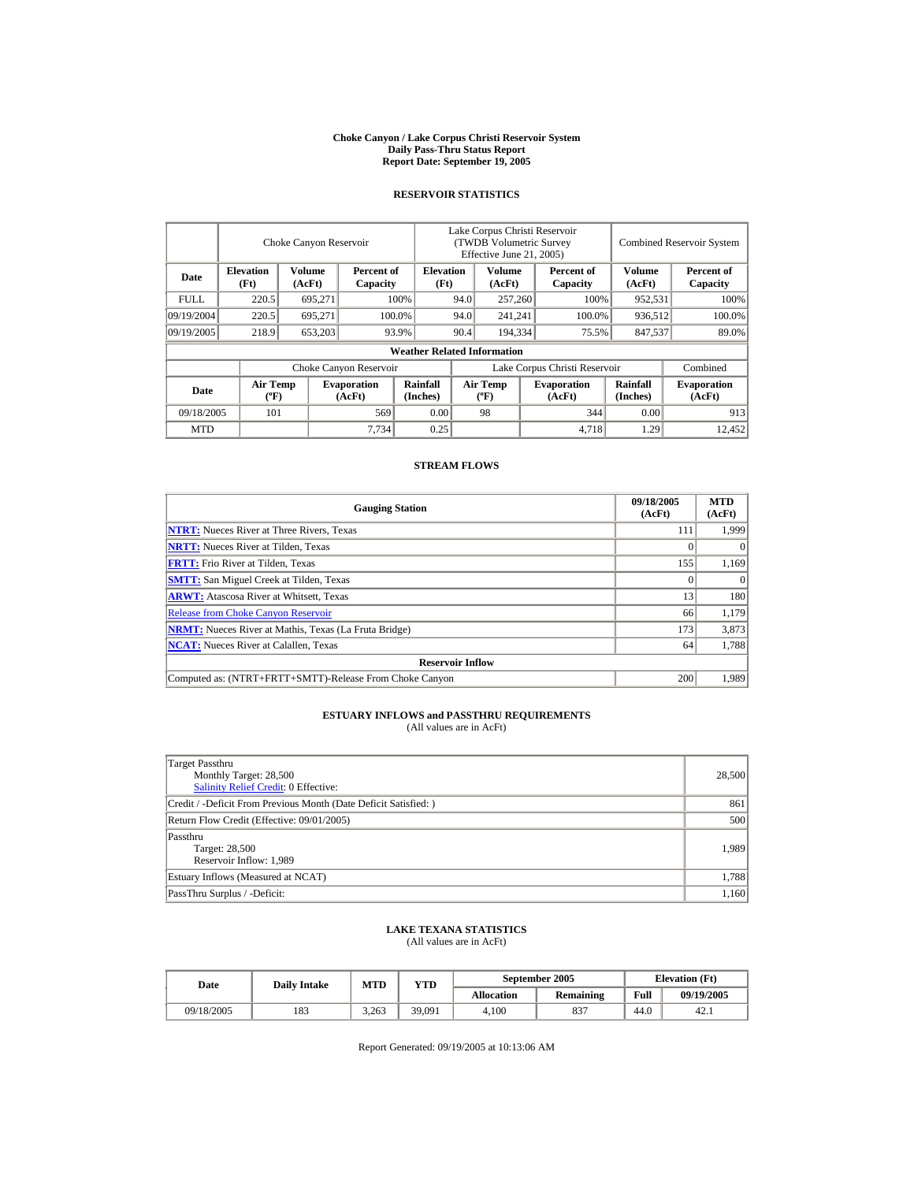#### **Choke Canyon / Lake Corpus Christi Reservoir System Daily Pass-Thru Status Report Report Date: September 19, 2005**

#### **RESERVOIR STATISTICS**

|             | Choke Canyon Reservoir                      |                  |                              |                                    | Lake Corpus Christi Reservoir<br>(TWDB Volumetric Survey<br>Effective June 21, 2005) |                                  |  |                              | <b>Combined Reservoir System</b> |                              |  |
|-------------|---------------------------------------------|------------------|------------------------------|------------------------------------|--------------------------------------------------------------------------------------|----------------------------------|--|------------------------------|----------------------------------|------------------------------|--|
| Date        | <b>Elevation</b><br>(Ft)                    | Volume<br>(AcFt) | Percent of<br>Capacity       |                                    | <b>Elevation</b><br>(Ft)                                                             | Volume<br>(AcFt)                 |  | Percent of<br>Capacity       | Volume<br>(AcFt)                 | Percent of<br>Capacity       |  |
| <b>FULL</b> | 220.5                                       | 695,271          |                              | 100%                               | 94.0                                                                                 | 257,260                          |  | 100%                         | 952,531                          | 100%                         |  |
| 09/19/2004  | 220.5                                       | 695.271          |                              | 100.0%                             | 94.0                                                                                 | 241,241                          |  | 100.0%                       | 936,512                          | 100.0%                       |  |
| 09/19/2005  | 218.9                                       | 653,203          |                              | 93.9%                              | 90.4                                                                                 | 194.334                          |  | 75.5%                        | 847.537                          | 89.0%                        |  |
|             |                                             |                  |                              | <b>Weather Related Information</b> |                                                                                      |                                  |  |                              |                                  |                              |  |
|             |                                             |                  | Choke Canyon Reservoir       |                                    | Lake Corpus Christi Reservoir                                                        |                                  |  |                              |                                  | Combined                     |  |
| Date        | <b>Air Temp</b><br>$({}^{\circ}\mathrm{F})$ |                  | <b>Evaporation</b><br>(AcFt) | Rainfall<br>(Inches)               |                                                                                      | <b>Air Temp</b><br>$(^{\circ}F)$ |  | <b>Evaporation</b><br>(AcFt) | <b>Rainfall</b><br>(Inches)      | <b>Evaporation</b><br>(AcFt) |  |
| 09/18/2005  | 101                                         |                  | 569                          | 0.00                               |                                                                                      | 98                               |  | 344                          | 0.00                             | 913                          |  |
| <b>MTD</b>  |                                             |                  | 7.734                        | 0.25                               |                                                                                      |                                  |  | 4,718                        | 1.29                             | 12.452                       |  |

### **STREAM FLOWS**

| <b>Gauging Station</b>                                       | 09/18/2005<br>(AcFt) | <b>MTD</b><br>(AcFt) |
|--------------------------------------------------------------|----------------------|----------------------|
| <b>NTRT:</b> Nueces River at Three Rivers, Texas             | 111                  | 1,999                |
| <b>NRTT:</b> Nueces River at Tilden, Texas                   |                      |                      |
| <b>FRTT:</b> Frio River at Tilden, Texas                     | 155                  | 1,169                |
| <b>SMTT:</b> San Miguel Creek at Tilden, Texas               |                      |                      |
| <b>ARWT:</b> Atascosa River at Whitsett, Texas               | 13                   | 180                  |
| <b>Release from Choke Canyon Reservoir</b>                   | 66                   | 1,179                |
| <b>NRMT:</b> Nueces River at Mathis, Texas (La Fruta Bridge) | 173                  | 3,873                |
| <b>NCAT:</b> Nueces River at Calallen, Texas                 | 64                   | 1,788                |
| <b>Reservoir Inflow</b>                                      |                      |                      |
| Computed as: (NTRT+FRTT+SMTT)-Release From Choke Canyon      | 200                  | 1.989                |

# **ESTUARY INFLOWS and PASSTHRU REQUIREMENTS**<br>(All values are in AcFt)

| Target Passthru<br>Monthly Target: 28,500<br><b>Salinity Relief Credit: 0 Effective:</b> | 28,500 |
|------------------------------------------------------------------------------------------|--------|
| Credit / -Deficit From Previous Month (Date Deficit Satisfied: )                         | 861    |
| Return Flow Credit (Effective: 09/01/2005)                                               | 500    |
| Passthru<br>Target: 28,500<br>Reservoir Inflow: 1,989                                    | 1,989  |
| Estuary Inflows (Measured at NCAT)                                                       | 1,788  |
| PassThru Surplus / -Deficit:                                                             | 1,160  |

## **LAKE TEXANA STATISTICS**

(All values are in AcFt)

| Date       | <b>Daily Intake</b> | <b>MTD</b> | $_{\rm VTD}$ |            | September 2005   |      | <b>Elevation</b> (Ft) |
|------------|---------------------|------------|--------------|------------|------------------|------|-----------------------|
|            |                     |            |              | Allocation | <b>Remaining</b> | Full | 09/19/2005            |
| 09/18/2005 | 183                 | 3.263      | 39,091       | 4.100      | 837              | 44.0 | 42.1                  |

Report Generated: 09/19/2005 at 10:13:06 AM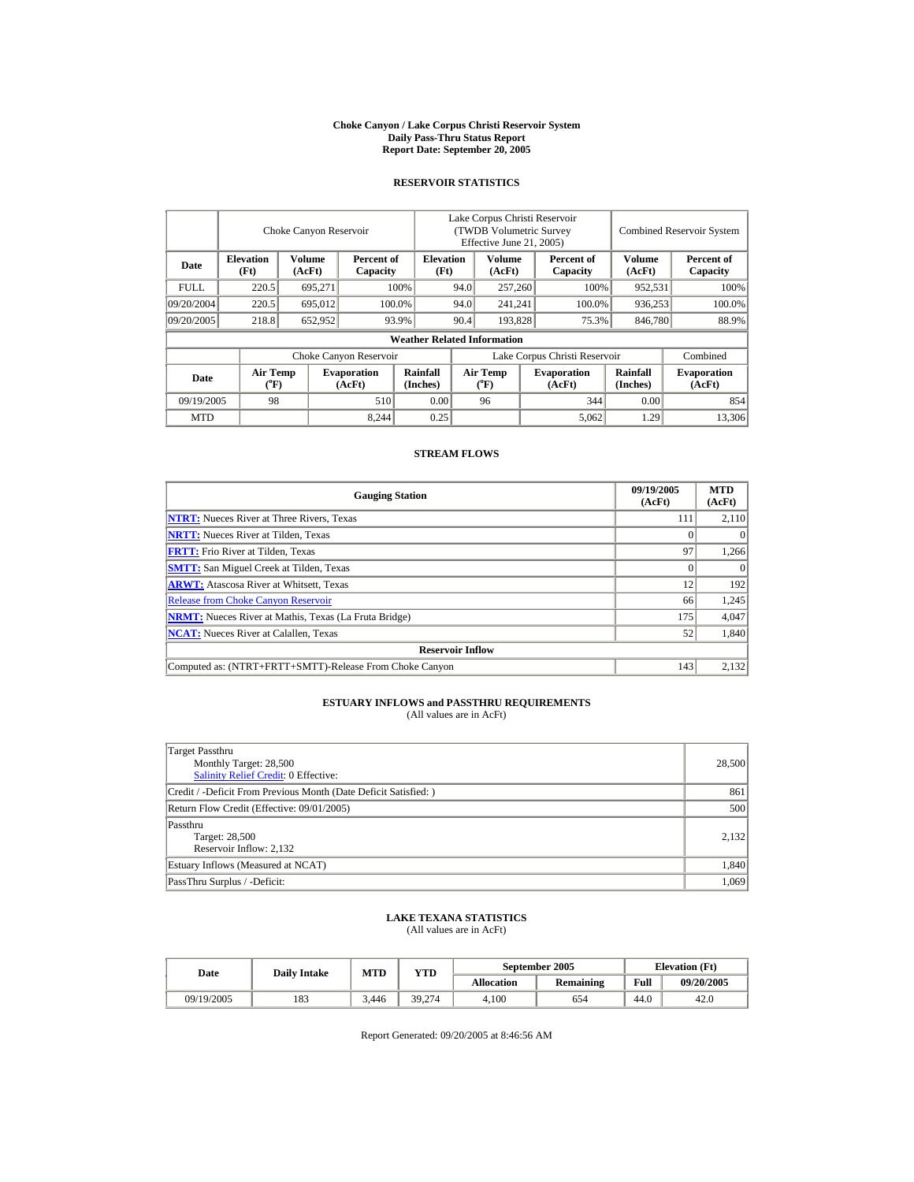#### **Choke Canyon / Lake Corpus Christi Reservoir System Daily Pass-Thru Status Report Report Date: September 20, 2005**

## **RESERVOIR STATISTICS**

l.

|             |                                | Choke Canyon Reservoir  |                              |                                    | Lake Corpus Christi Reservoir<br>(TWDB Volumetric Survey)<br>Effective June 21, 2005) |                                |  |                              | <b>Combined Reservoir System</b> |                              |  |
|-------------|--------------------------------|-------------------------|------------------------------|------------------------------------|---------------------------------------------------------------------------------------|--------------------------------|--|------------------------------|----------------------------------|------------------------------|--|
| Date        | <b>Elevation</b><br>(Ft)       | <b>Volume</b><br>(AcFt) | Percent of<br>Capacity       | <b>Elevation</b><br>(Ft)           |                                                                                       | Volume<br>(AcFt)               |  | Percent of<br>Capacity       | <b>Volume</b><br>(AcFt)          | Percent of<br>Capacity       |  |
| <b>FULL</b> | 220.5                          | 695.271                 |                              | 100%                               | 94.0                                                                                  | 257,260                        |  | 100%                         | 952,531                          | 100%                         |  |
| 09/20/2004  | 220.5                          | 695,012                 |                              | 100.0%                             | 94.0                                                                                  | 241.241                        |  | 100.0%                       | 936.253                          | 100.0%                       |  |
| 09/20/2005  | 218.8                          | 652,952                 |                              | 93.9%                              | 90.4                                                                                  | 193.828                        |  | 75.3%                        | 846,780                          | 88.9%                        |  |
|             |                                |                         |                              | <b>Weather Related Information</b> |                                                                                       |                                |  |                              |                                  |                              |  |
|             |                                |                         | Choke Canyon Reservoir       |                                    | Lake Corpus Christi Reservoir                                                         |                                |  |                              |                                  | Combined                     |  |
| Date        | Air Temp<br>$({}^o\mathrm{F})$ |                         | <b>Evaporation</b><br>(AcFt) | Rainfall<br>(Inches)               |                                                                                       | Air Temp<br>$({}^o\mathrm{F})$ |  | <b>Evaporation</b><br>(AcFt) | Rainfall<br>(Inches)             | <b>Evaporation</b><br>(AcFt) |  |
| 09/19/2005  | 98                             |                         | 510                          | 0.00                               |                                                                                       | 96                             |  | 344                          | 0.00                             | 854                          |  |
| <b>MTD</b>  |                                |                         | 8,244                        | 0.25                               |                                                                                       |                                |  | 5,062                        | 1.29                             | 13,306                       |  |

### **STREAM FLOWS**

| <b>Gauging Station</b>                                       | 09/19/2005<br>(AcFt) | <b>MTD</b><br>(AcFt) |
|--------------------------------------------------------------|----------------------|----------------------|
| <b>NTRT:</b> Nueces River at Three Rivers, Texas             | 111                  | 2,110                |
| <b>NRTT:</b> Nueces River at Tilden, Texas                   |                      |                      |
| <b>FRTT:</b> Frio River at Tilden, Texas                     | 97                   | 1,266                |
| <b>SMTT:</b> San Miguel Creek at Tilden, Texas               |                      |                      |
| <b>ARWT:</b> Atascosa River at Whitsett, Texas               | 12                   | 192                  |
| <b>Release from Choke Canyon Reservoir</b>                   | 66                   | 1,245                |
| <b>NRMT:</b> Nueces River at Mathis, Texas (La Fruta Bridge) | 175                  | 4,047                |
| <b>NCAT:</b> Nueces River at Calallen, Texas                 | 52                   | 1,840                |
| <b>Reservoir Inflow</b>                                      |                      |                      |
| Computed as: (NTRT+FRTT+SMTT)-Release From Choke Canyon      | 143                  | 2,132                |

## **ESTUARY INFLOWS and PASSTHRU REQUIREMENTS**<br>(All values are in AcFt)

| Target Passthru<br>Monthly Target: 28,500<br><b>Salinity Relief Credit: 0 Effective:</b> | 28,500 |
|------------------------------------------------------------------------------------------|--------|
| Credit / -Deficit From Previous Month (Date Deficit Satisfied:)                          | 861    |
| Return Flow Credit (Effective: 09/01/2005)                                               | 500    |
| Passthru<br>Target: 28,500<br>Reservoir Inflow: 2,132                                    | 2.132  |
| Estuary Inflows (Measured at NCAT)                                                       | 1,840  |
| PassThru Surplus / -Deficit:                                                             | 1,069  |

## **LAKE TEXANA STATISTICS** (All values are in AcFt)

| Date       | <b>Daily Intake</b> | MTD   | VTD    |            | September 2005 | <b>Elevation</b> (Ft) |            |  |
|------------|---------------------|-------|--------|------------|----------------|-----------------------|------------|--|
|            |                     |       |        | Allocation | Remaining      | Full                  | 09/20/2005 |  |
| 09/19/2005 | 183                 | 3.446 | 39.274 | 4.100      | 654            | 44.0                  | 42.0       |  |

Report Generated: 09/20/2005 at 8:46:56 AM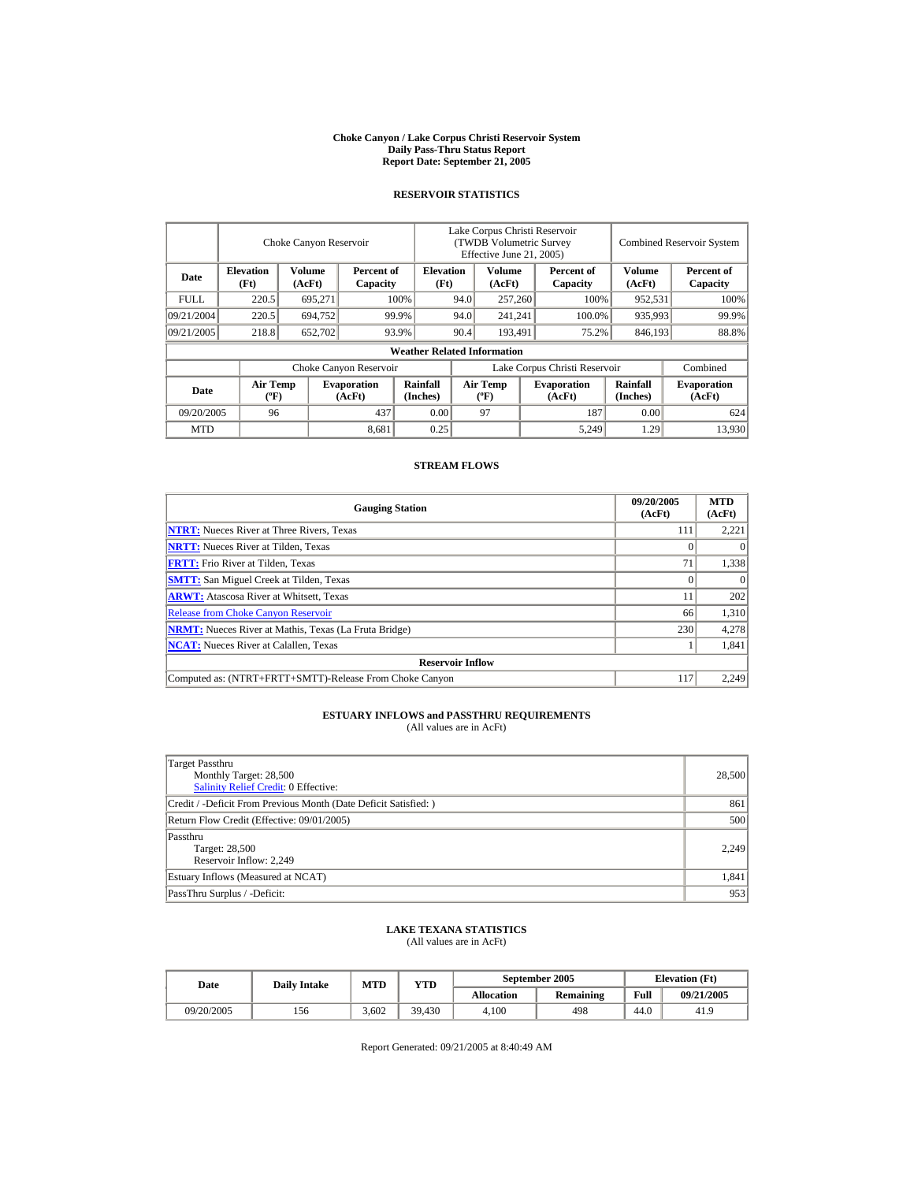#### **Choke Canyon / Lake Corpus Christi Reservoir System Daily Pass-Thru Status Report Report Date: September 21, 2005**

#### **RESERVOIR STATISTICS**

|            | Choke Canyon Reservoir                      |                  |                              |                                    | Lake Corpus Christi Reservoir<br>(TWDB Volumetric Survey<br>Effective June 21, 2005) |                                  |  |                              | <b>Combined Reservoir System</b> |                              |  |
|------------|---------------------------------------------|------------------|------------------------------|------------------------------------|--------------------------------------------------------------------------------------|----------------------------------|--|------------------------------|----------------------------------|------------------------------|--|
| Date       | <b>Elevation</b><br>(Ft)                    | Volume<br>(AcFt) | Percent of<br>Capacity       |                                    | <b>Elevation</b><br>(Ft)                                                             | Volume<br>(AcFt)                 |  | Percent of<br>Capacity       | Volume<br>(AcFt)                 | Percent of<br>Capacity       |  |
| FULL.      | 220.5                                       | 695,271          |                              | 100%                               | 94.0                                                                                 | 257,260                          |  | 100%                         | 952,531                          | 100%                         |  |
| 09/21/2004 | 220.5                                       | 694.752          |                              | 99.9%                              | 94.0<br>241,241                                                                      |                                  |  | 100.0%                       | 935,993                          | 99.9%                        |  |
| 09/21/2005 | 218.8                                       | 652,702          |                              | 93.9%                              | 90.4                                                                                 | 193.491                          |  | 75.2%                        | 846,193                          | 88.8%                        |  |
|            |                                             |                  |                              | <b>Weather Related Information</b> |                                                                                      |                                  |  |                              |                                  |                              |  |
|            |                                             |                  | Choke Canyon Reservoir       |                                    | Lake Corpus Christi Reservoir                                                        |                                  |  |                              |                                  | Combined                     |  |
| Date       | <b>Air Temp</b><br>$({}^{\circ}\mathrm{F})$ |                  | <b>Evaporation</b><br>(AcFt) | Rainfall<br>(Inches)               |                                                                                      | <b>Air Temp</b><br>$(^{\circ}F)$ |  | <b>Evaporation</b><br>(AcFt) | Rainfall<br>(Inches)             | <b>Evaporation</b><br>(AcFt) |  |
| 09/20/2005 | 96                                          |                  | 437                          | 0.00                               |                                                                                      | 97                               |  | 187                          | 0.00                             | 624                          |  |
| <b>MTD</b> |                                             |                  | 8,681                        | 0.25                               |                                                                                      |                                  |  | 5,249                        | 1.29                             | 13.930                       |  |

### **STREAM FLOWS**

| <b>Gauging Station</b>                                       | 09/20/2005<br>(AcFt) | <b>MTD</b><br>(AcFt) |
|--------------------------------------------------------------|----------------------|----------------------|
| <b>NTRT:</b> Nueces River at Three Rivers, Texas             | 111                  | 2,221                |
| <b>NRTT:</b> Nueces River at Tilden, Texas                   |                      |                      |
| <b>FRTT:</b> Frio River at Tilden, Texas                     | 71                   | 1,338                |
| <b>SMTT:</b> San Miguel Creek at Tilden, Texas               |                      | $\theta$             |
| <b>ARWT:</b> Atascosa River at Whitsett, Texas               |                      | 202                  |
| <b>Release from Choke Canyon Reservoir</b>                   | 66                   | 1.310                |
| <b>NRMT:</b> Nueces River at Mathis, Texas (La Fruta Bridge) | 230                  | 4,278                |
| <b>NCAT:</b> Nueces River at Calallen, Texas                 |                      | 1,841                |
| <b>Reservoir Inflow</b>                                      |                      |                      |
| Computed as: (NTRT+FRTT+SMTT)-Release From Choke Canyon      | 117                  | 2.249                |

# **ESTUARY INFLOWS and PASSTHRU REQUIREMENTS**<br>(All values are in AcFt)

| Target Passthru<br>Monthly Target: 28,500<br><b>Salinity Relief Credit: 0 Effective:</b> | 28,500 |
|------------------------------------------------------------------------------------------|--------|
| Credit / -Deficit From Previous Month (Date Deficit Satisfied: )                         | 861    |
| Return Flow Credit (Effective: 09/01/2005)                                               | 500    |
| Passthru<br>Target: 28,500<br>Reservoir Inflow: 2,249                                    | 2,249  |
| Estuary Inflows (Measured at NCAT)                                                       | 1,841  |
| PassThru Surplus / -Deficit:                                                             | 953    |

## **LAKE TEXANA STATISTICS**

(All values are in AcFt)

| Date       | <b>Daily Intake</b> | MTD   | $\mathbf{v}\mathbf{T}\mathbf{D}$ |                   | September 2005   | <b>Elevation</b> (Ft) |            |
|------------|---------------------|-------|----------------------------------|-------------------|------------------|-----------------------|------------|
|            |                     |       |                                  | <b>Allocation</b> | <b>Remaining</b> | Full                  | 09/21/2005 |
| 09/20/2005 | 156                 | 3.602 | 39.430                           | 4.100             | 498              | 44.0                  | 41.9       |

Report Generated: 09/21/2005 at 8:40:49 AM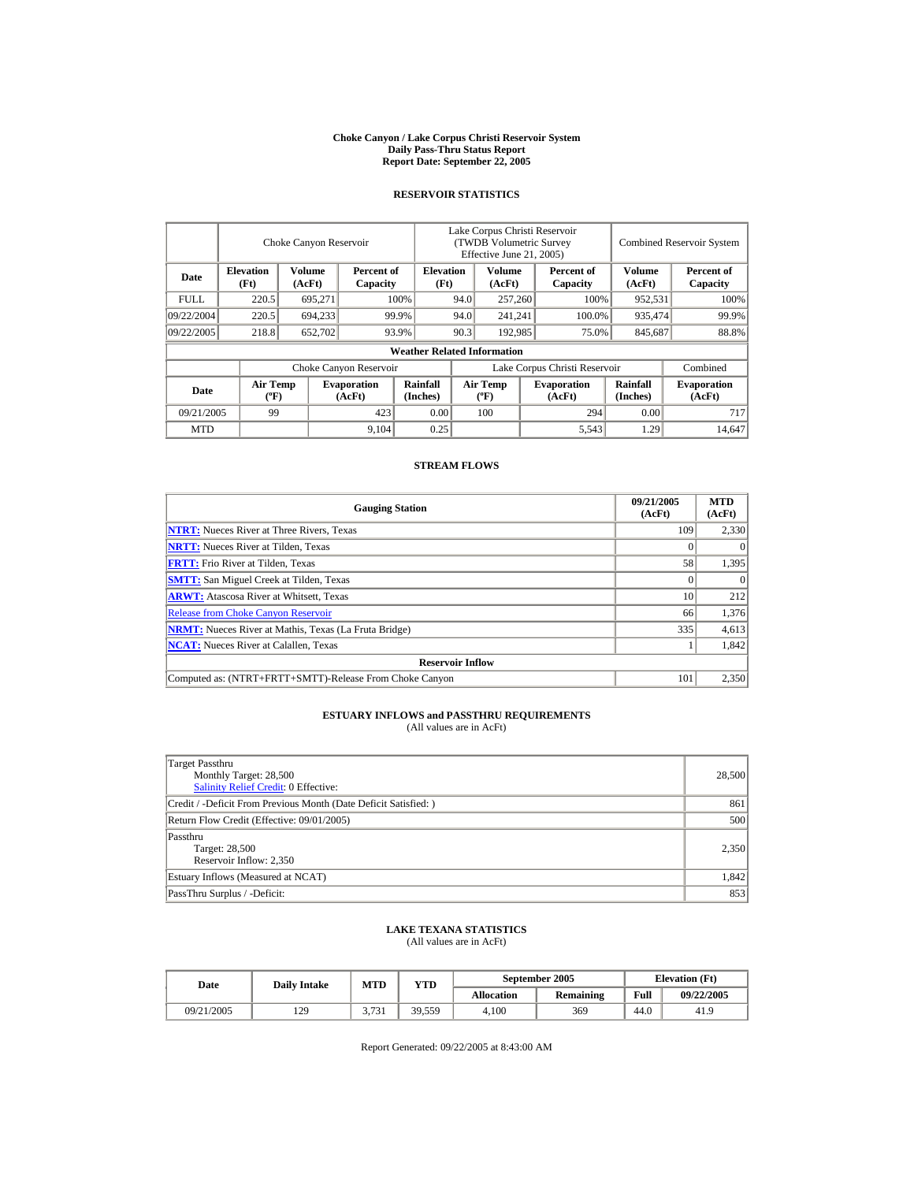#### **Choke Canyon / Lake Corpus Christi Reservoir System Daily Pass-Thru Status Report Report Date: September 22, 2005**

#### **RESERVOIR STATISTICS**

|             | Choke Canyon Reservoir         |                  |                              |                                    | Lake Corpus Christi Reservoir<br>(TWDB Volumetric Survey<br>Effective June 21, 2005) |                                  |  |                              |                      | <b>Combined Reservoir System</b> |  |  |
|-------------|--------------------------------|------------------|------------------------------|------------------------------------|--------------------------------------------------------------------------------------|----------------------------------|--|------------------------------|----------------------|----------------------------------|--|--|
| Date        | <b>Elevation</b><br>(Ft)       | Volume<br>(AcFt) | Percent of<br>Capacity       |                                    | <b>Elevation</b><br>(Ft)                                                             | Volume<br>(AcFt)                 |  | Percent of<br>Capacity       | Volume<br>(AcFt)     | Percent of<br>Capacity           |  |  |
| <b>FULL</b> | 220.5                          | 695,271          |                              | 100%                               | 94.0                                                                                 | 257,260                          |  | 100%                         | 952,531              | 100%                             |  |  |
| 09/22/2004  | 220.5                          | 694,233          |                              | 99.9%                              | 94.0                                                                                 | 241,241                          |  | 100.0%                       | 935,474              | 99.9%                            |  |  |
| 09/22/2005  | 218.8                          | 652,702          |                              | 93.9%                              | 90.3                                                                                 | 192,985                          |  | 75.0%                        | 845,687              | 88.8%                            |  |  |
|             |                                |                  |                              | <b>Weather Related Information</b> |                                                                                      |                                  |  |                              |                      |                                  |  |  |
|             |                                |                  | Choke Canyon Reservoir       |                                    | Lake Corpus Christi Reservoir                                                        |                                  |  |                              |                      | Combined                         |  |  |
| Date        | Air Temp<br>$({}^o\mathrm{F})$ |                  | <b>Evaporation</b><br>(AcFt) | Rainfall<br>(Inches)               |                                                                                      | <b>Air Temp</b><br>$(^{\circ}F)$ |  | <b>Evaporation</b><br>(AcFt) | Rainfall<br>(Inches) | <b>Evaporation</b><br>(AcFt)     |  |  |
| 09/21/2005  | 99                             |                  | 423                          | 0.00                               |                                                                                      | 100                              |  | 294                          | 0.00                 | 717                              |  |  |
| <b>MTD</b>  |                                |                  | 9,104                        | 0.25                               |                                                                                      |                                  |  | 5,543                        | 1.29                 | 14.647                           |  |  |

#### **STREAM FLOWS**

| <b>Gauging Station</b>                                       | 09/21/2005<br>(AcFt) | <b>MTD</b><br>(AcFt) |
|--------------------------------------------------------------|----------------------|----------------------|
| <b>NTRT:</b> Nueces River at Three Rivers, Texas             | 109                  | 2,330                |
| <b>NRTT:</b> Nueces River at Tilden, Texas                   |                      |                      |
| <b>FRTT:</b> Frio River at Tilden, Texas                     | 58                   | 1,395                |
| <b>SMTT:</b> San Miguel Creek at Tilden, Texas               |                      |                      |
| <b>ARWT:</b> Atascosa River at Whitsett, Texas               | 10                   | 212                  |
| <b>Release from Choke Canyon Reservoir</b>                   | 66                   | 1,376                |
| <b>NRMT:</b> Nueces River at Mathis, Texas (La Fruta Bridge) | 335                  | 4,613                |
| <b>NCAT:</b> Nueces River at Calallen, Texas                 |                      | 1,842                |
| <b>Reservoir Inflow</b>                                      |                      |                      |
| Computed as: (NTRT+FRTT+SMTT)-Release From Choke Canyon      | 101                  | 2,350                |

# **ESTUARY INFLOWS and PASSTHRU REQUIREMENTS**<br>(All values are in AcFt)

| Target Passthru<br>Monthly Target: 28,500<br><b>Salinity Relief Credit: 0 Effective:</b> | 28,500 |
|------------------------------------------------------------------------------------------|--------|
| Credit / -Deficit From Previous Month (Date Deficit Satisfied:)                          | 861    |
| Return Flow Credit (Effective: 09/01/2005)                                               | 500    |
| Passthru<br>Target: 28,500<br>Reservoir Inflow: 2,350                                    | 2,350  |
| Estuary Inflows (Measured at NCAT)                                                       | 1,842  |
| PassThru Surplus / -Deficit:                                                             | 853    |

## **LAKE TEXANA STATISTICS**

(All values are in AcFt)

| Date       | <b>Daily Intake</b> | <b>MTD</b> | YTD    |                   | September 2005   | <b>Elevation</b> (Ft) |            |  |
|------------|---------------------|------------|--------|-------------------|------------------|-----------------------|------------|--|
|            |                     |            |        | <b>Allocation</b> | <b>Remaining</b> | Full                  | 09/22/2005 |  |
| 09/21/2005 | 129                 | 3.731      | 39.559 | 4.100             | 369              | 44.0                  | 41.9       |  |

Report Generated: 09/22/2005 at 8:43:00 AM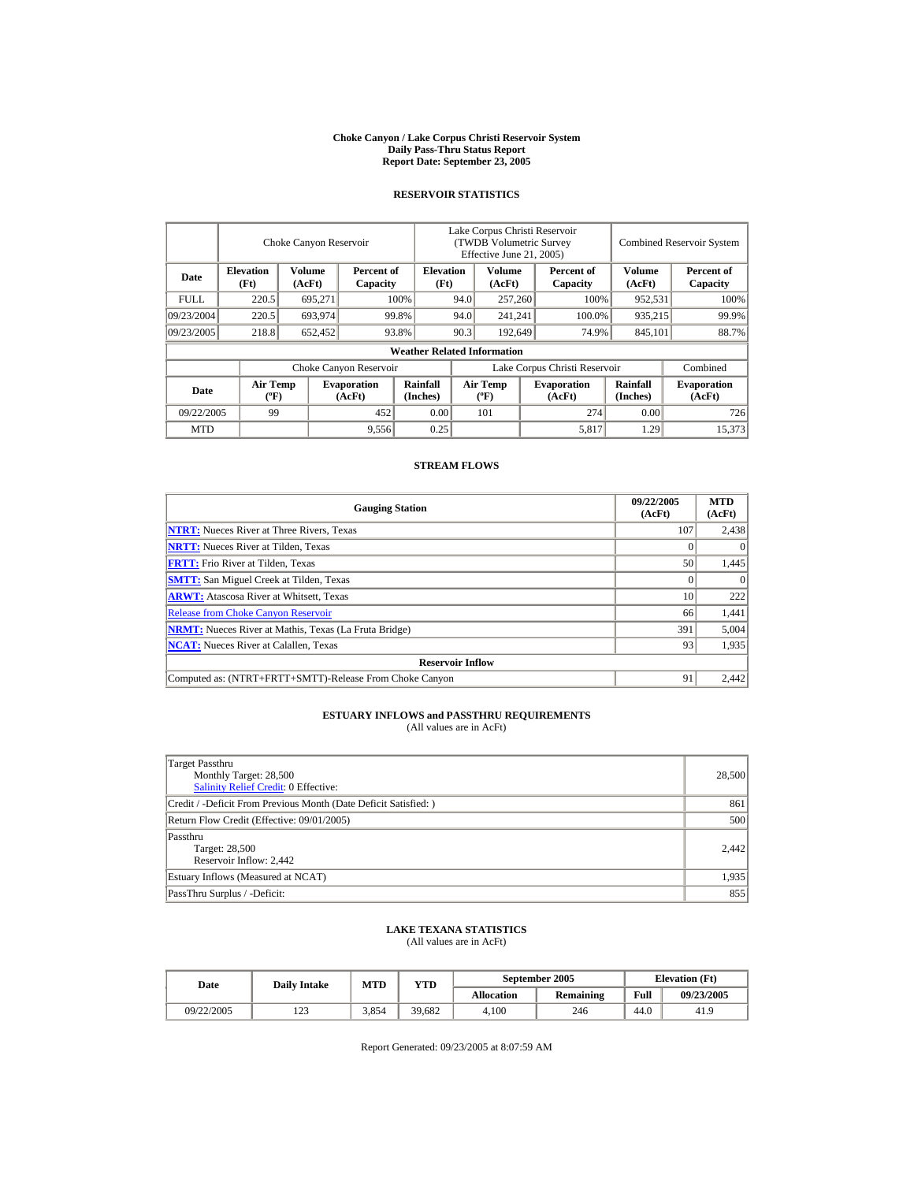#### **Choke Canyon / Lake Corpus Christi Reservoir System Daily Pass-Thru Status Report Report Date: September 23, 2005**

#### **RESERVOIR STATISTICS**

|             | Choke Canyon Reservoir                      |                  |                              |                                    | Lake Corpus Christi Reservoir<br>(TWDB Volumetric Survey<br>Effective June 21, 2005) |                                  |  |                              | <b>Combined Reservoir System</b> |                              |  |
|-------------|---------------------------------------------|------------------|------------------------------|------------------------------------|--------------------------------------------------------------------------------------|----------------------------------|--|------------------------------|----------------------------------|------------------------------|--|
| Date        | <b>Elevation</b><br>(Ft)                    | Volume<br>(AcFt) | Percent of<br>Capacity       | <b>Elevation</b><br>(Ft)           |                                                                                      | Volume<br>(AcFt)                 |  | Percent of<br>Capacity       | Volume<br>(AcFt)                 | Percent of<br>Capacity       |  |
| <b>FULL</b> | 220.5                                       | 695,271          |                              | 100%                               | 94.0                                                                                 | 257,260                          |  | 100%                         | 952,531                          | 100%                         |  |
| 09/23/2004  | 220.5                                       | 693,974          |                              | 99.8%                              | 94.0                                                                                 | 241,241                          |  | 100.0%                       | 935,215                          | 99.9%                        |  |
| 09/23/2005  | 218.8                                       | 652,452          |                              | 93.8%                              | 90.3                                                                                 | 192,649                          |  | 74.9%                        | 845,101                          | 88.7%                        |  |
|             |                                             |                  |                              | <b>Weather Related Information</b> |                                                                                      |                                  |  |                              |                                  |                              |  |
|             |                                             |                  | Choke Canyon Reservoir       |                                    | Lake Corpus Christi Reservoir                                                        |                                  |  |                              |                                  | Combined                     |  |
| Date        | <b>Air Temp</b><br>$({}^{\circ}\mathrm{F})$ |                  | <b>Evaporation</b><br>(AcFt) | Rainfall<br>(Inches)               |                                                                                      | <b>Air Temp</b><br>$(^{\circ}F)$ |  | <b>Evaporation</b><br>(AcFt) | <b>Rainfall</b><br>(Inches)      | <b>Evaporation</b><br>(AcFt) |  |
| 09/22/2005  | 99                                          |                  | 452                          | 0.00                               |                                                                                      | 101                              |  | 274                          | 0.00                             | 726                          |  |
| <b>MTD</b>  |                                             |                  | 9,556                        | 0.25                               |                                                                                      |                                  |  | 5,817                        | 1.29                             | 15.373                       |  |

#### **STREAM FLOWS**

| <b>Gauging Station</b>                                       | 09/22/2005<br>(AcFt) | <b>MTD</b><br>(AcFt) |
|--------------------------------------------------------------|----------------------|----------------------|
| <b>NTRT:</b> Nueces River at Three Rivers, Texas             | 107                  | 2,438                |
| <b>NRTT:</b> Nueces River at Tilden, Texas                   |                      |                      |
| <b>FRTT:</b> Frio River at Tilden, Texas                     | 50                   | 1,445                |
| <b>SMTT:</b> San Miguel Creek at Tilden, Texas               |                      | $\theta$             |
| <b>ARWT:</b> Atascosa River at Whitsett, Texas               | 10                   | 222                  |
| <b>Release from Choke Canyon Reservoir</b>                   | 66                   | 1,441                |
| <b>NRMT:</b> Nueces River at Mathis, Texas (La Fruta Bridge) | 391                  | 5,004                |
| <b>NCAT:</b> Nueces River at Calallen, Texas                 | 93                   | 1,935                |
| <b>Reservoir Inflow</b>                                      |                      |                      |
| Computed as: (NTRT+FRTT+SMTT)-Release From Choke Canyon      | 91                   | 2.442                |

# **ESTUARY INFLOWS and PASSTHRU REQUIREMENTS**<br>(All values are in AcFt)

| Target Passthru<br>Monthly Target: 28,500<br><b>Salinity Relief Credit: 0 Effective:</b> | 28,500 |
|------------------------------------------------------------------------------------------|--------|
| Credit / -Deficit From Previous Month (Date Deficit Satisfied:)                          | 861    |
| Return Flow Credit (Effective: 09/01/2005)                                               | 500    |
| Passthru<br>Target: 28,500<br>Reservoir Inflow: 2,442                                    | 2.442  |
| Estuary Inflows (Measured at NCAT)                                                       | 1,935  |
| PassThru Surplus / -Deficit:                                                             | 855    |

## **LAKE TEXANA STATISTICS**

(All values are in AcFt)

| Date       | <b>Daily Intake</b> | MTD   | VTD    |                   | September 2005   | <b>Elevation</b> (Ft) |            |
|------------|---------------------|-------|--------|-------------------|------------------|-----------------------|------------|
|            |                     |       |        | <b>Allocation</b> | <b>Remaining</b> | Full                  | 09/23/2005 |
| 09/22/2005 | ר ה<br>رے 1         | 3.854 | 39.682 | 4.100             | 246              | 44.0                  | 41.9       |

Report Generated: 09/23/2005 at 8:07:59 AM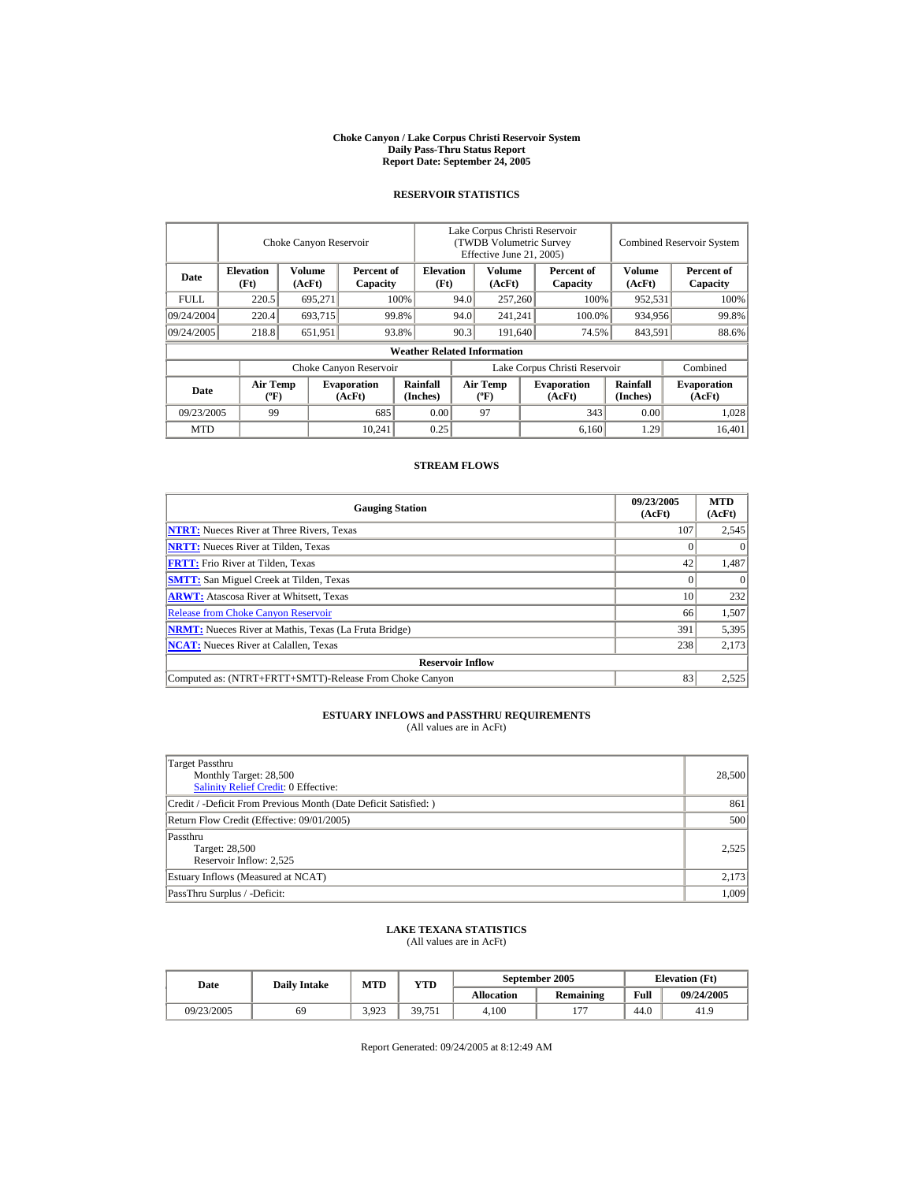#### **Choke Canyon / Lake Corpus Christi Reservoir System Daily Pass-Thru Status Report Report Date: September 24, 2005**

#### **RESERVOIR STATISTICS**

|             | Choke Canyon Reservoir                      |                  |                              |                                    | Lake Corpus Christi Reservoir<br>(TWDB Volumetric Survey<br>Effective June 21, 2005) |                                  |  |                              | <b>Combined Reservoir System</b> |                              |  |
|-------------|---------------------------------------------|------------------|------------------------------|------------------------------------|--------------------------------------------------------------------------------------|----------------------------------|--|------------------------------|----------------------------------|------------------------------|--|
| Date        | <b>Elevation</b><br>(Ft)                    | Volume<br>(AcFt) | Percent of<br>Capacity       |                                    | <b>Elevation</b><br>(Ft)                                                             | Volume<br>(AcFt)                 |  | Percent of<br>Capacity       | Volume<br>(AcFt)                 | Percent of<br>Capacity       |  |
| <b>FULL</b> | 220.5                                       | 695,271          |                              | 100%                               | 94.0                                                                                 | 257,260                          |  | 100%                         | 952,531                          | 100%                         |  |
| 09/24/2004  | 220.4                                       | 693,715          |                              | 99.8%                              | 94.0                                                                                 | 241,241                          |  | 100.0%                       | 934,956                          | 99.8%                        |  |
| 09/24/2005  | 218.8                                       | 651,951          |                              | 93.8%                              | 90.3                                                                                 | 191,640                          |  | 74.5%                        | 843,591                          | 88.6%                        |  |
|             |                                             |                  |                              | <b>Weather Related Information</b> |                                                                                      |                                  |  |                              |                                  |                              |  |
|             |                                             |                  | Choke Canyon Reservoir       |                                    | Lake Corpus Christi Reservoir                                                        |                                  |  |                              |                                  | Combined                     |  |
| Date        | <b>Air Temp</b><br>$({}^{\circ}\mathrm{F})$ |                  | <b>Evaporation</b><br>(AcFt) | Rainfall<br>(Inches)               |                                                                                      | <b>Air Temp</b><br>$(^{\circ}F)$ |  | <b>Evaporation</b><br>(AcFt) | Rainfall<br>(Inches)             | <b>Evaporation</b><br>(AcFt) |  |
| 09/23/2005  | 99                                          |                  | 685                          | 0.00                               |                                                                                      | 97                               |  | 343                          | 0.00                             | 1,028                        |  |
| <b>MTD</b>  |                                             |                  | 10.241                       | 0.25                               |                                                                                      |                                  |  | 6,160                        | 1.29                             | 16.401                       |  |

#### **STREAM FLOWS**

| <b>Gauging Station</b>                                       | 09/23/2005<br>(AcFt) | <b>MTD</b><br>(AcFt) |
|--------------------------------------------------------------|----------------------|----------------------|
| <b>NTRT:</b> Nueces River at Three Rivers, Texas             | 107                  | 2,545                |
| <b>NRTT:</b> Nueces River at Tilden, Texas                   |                      |                      |
| <b>FRTT:</b> Frio River at Tilden, Texas                     | 42                   | 1,487                |
| <b>SMTT:</b> San Miguel Creek at Tilden, Texas               |                      | $\theta$             |
| <b>ARWT:</b> Atascosa River at Whitsett, Texas               | 10                   | 232                  |
| <b>Release from Choke Canyon Reservoir</b>                   | 66                   | 1,507                |
| <b>NRMT:</b> Nueces River at Mathis, Texas (La Fruta Bridge) | 391                  | 5,395                |
| <b>NCAT:</b> Nueces River at Calallen, Texas                 | 238                  | 2,173                |
| <b>Reservoir Inflow</b>                                      |                      |                      |
| Computed as: (NTRT+FRTT+SMTT)-Release From Choke Canyon      | 83                   | 2,525                |

# **ESTUARY INFLOWS and PASSTHRU REQUIREMENTS**<br>(All values are in AcFt)

| Target Passthru<br>Monthly Target: 28,500<br><b>Salinity Relief Credit: 0 Effective:</b> | 28,500 |
|------------------------------------------------------------------------------------------|--------|
| Credit / -Deficit From Previous Month (Date Deficit Satisfied:)                          | 861    |
| Return Flow Credit (Effective: 09/01/2005)                                               | 500    |
| Passthru<br>Target: 28,500<br>Reservoir Inflow: 2,525                                    | 2.525  |
| Estuary Inflows (Measured at NCAT)                                                       | 2,173  |
| PassThru Surplus / -Deficit:                                                             | 1,009  |

## **LAKE TEXANA STATISTICS**

(All values are in AcFt)

| Date       | <b>Daily Intake</b> | MTD   | $\mathbf{v_{TD}}$ |                   | September 2005   | <b>Elevation</b> (Ft) |            |
|------------|---------------------|-------|-------------------|-------------------|------------------|-----------------------|------------|
|            |                     |       |                   | <b>Allocation</b> | <b>Remaining</b> | Full                  | 09/24/2005 |
| 09/23/2005 | 69                  | 3.923 | 39,751            | 4.100             | 177              | 44.0                  | 41.9       |

Report Generated: 09/24/2005 at 8:12:49 AM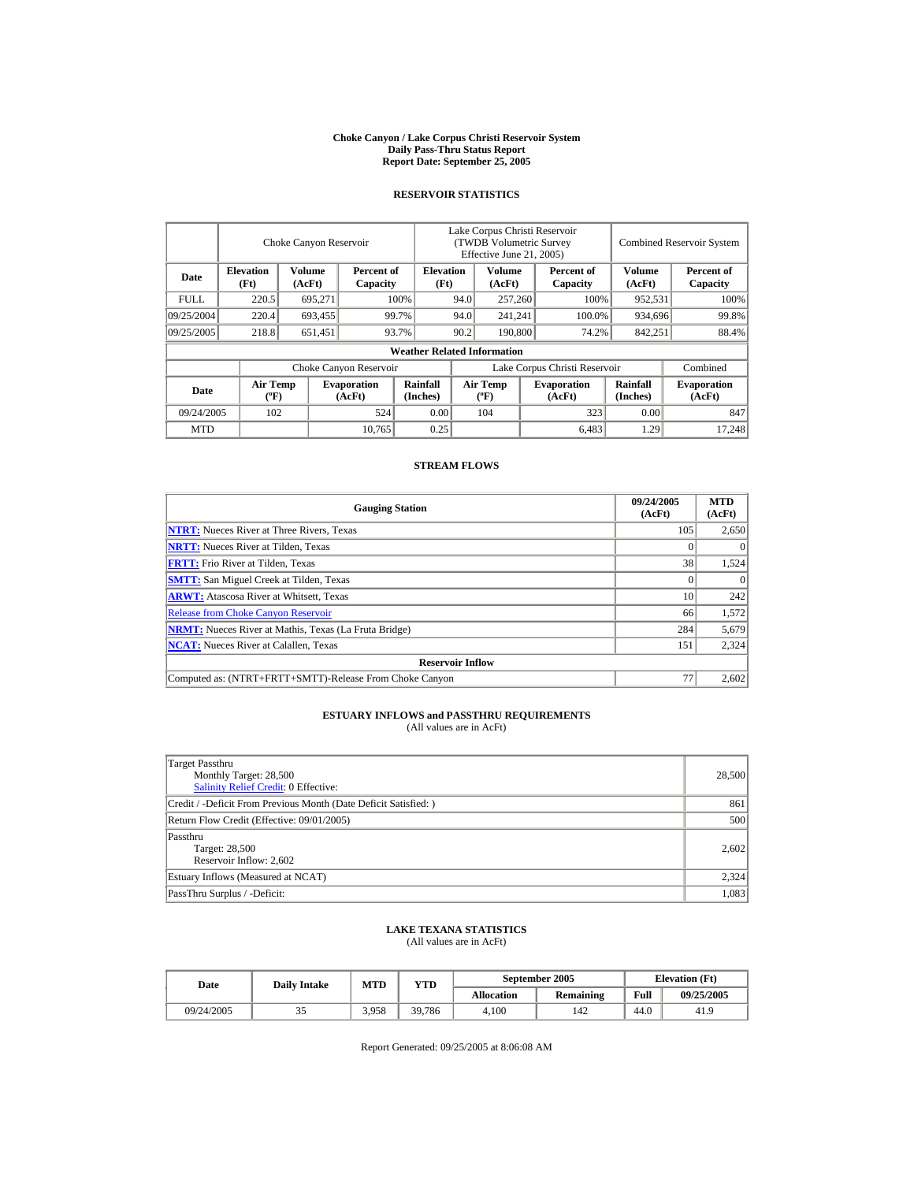#### **Choke Canyon / Lake Corpus Christi Reservoir System Daily Pass-Thru Status Report Report Date: September 25, 2005**

#### **RESERVOIR STATISTICS**

|                                                                                |                                | Choke Canyon Reservoir   |                              | Lake Corpus Christi Reservoir<br>(TWDB Volumetric Survey<br>Effective June 21, 2005) |                               |                                  |                  |                              | <b>Combined Reservoir System</b> |                              |  |
|--------------------------------------------------------------------------------|--------------------------------|--------------------------|------------------------------|--------------------------------------------------------------------------------------|-------------------------------|----------------------------------|------------------|------------------------------|----------------------------------|------------------------------|--|
| <b>Elevation</b><br>Volume<br>Percent of<br>Date<br>(Ft)<br>(AcFt)<br>Capacity |                                | <b>Elevation</b><br>(Ft) |                              | Volume<br>(AcFt)                                                                     |                               | Percent of<br>Capacity           | Volume<br>(AcFt) | Percent of<br>Capacity       |                                  |                              |  |
| <b>FULL</b>                                                                    | 220.5                          | 695,271                  |                              | 100%                                                                                 | 94.0                          | 257,260                          |                  | 100%                         | 952,531                          | 100%                         |  |
| 09/25/2004                                                                     | 220.4<br>693,455<br>99.7%      |                          |                              | 94.0                                                                                 | 241,241                       |                                  | 100.0%           | 934,696                      | 99.8%                            |                              |  |
| 09/25/2005                                                                     | 218.8                          | 651,451                  |                              | 93.7%                                                                                | 90.2                          | 190,800                          |                  | 74.2%                        | 842,251                          | 88.4%                        |  |
|                                                                                |                                |                          |                              | <b>Weather Related Information</b>                                                   |                               |                                  |                  |                              |                                  |                              |  |
|                                                                                |                                |                          | Choke Canyon Reservoir       |                                                                                      | Lake Corpus Christi Reservoir |                                  |                  |                              |                                  | Combined                     |  |
| Date                                                                           | Air Temp<br>$({}^o\mathrm{F})$ |                          | <b>Evaporation</b><br>(AcFt) | Rainfall<br>(Inches)                                                                 |                               | <b>Air Temp</b><br>$(^{\circ}F)$ |                  | <b>Evaporation</b><br>(AcFt) | Rainfall<br>(Inches)             | <b>Evaporation</b><br>(AcFt) |  |
| 09/24/2005                                                                     | 102                            |                          | 524                          | 0.00                                                                                 |                               | 104                              |                  | 323                          | 0.00                             | 847                          |  |
| <b>MTD</b>                                                                     |                                |                          | 10.765                       | 0.25                                                                                 |                               |                                  |                  | 6.483                        | 1.29                             | 17.248                       |  |

#### **STREAM FLOWS**

| <b>Gauging Station</b>                                       | 09/24/2005<br>(AcFt) | <b>MTD</b><br>(AcFt) |
|--------------------------------------------------------------|----------------------|----------------------|
| <b>NTRT:</b> Nueces River at Three Rivers, Texas             | 105                  | 2,650                |
| <b>NRTT:</b> Nueces River at Tilden, Texas                   |                      |                      |
| <b>FRTT:</b> Frio River at Tilden, Texas                     | 38                   | 1,524                |
| <b>SMTT:</b> San Miguel Creek at Tilden, Texas               |                      |                      |
| <b>ARWT:</b> Atascosa River at Whitsett, Texas               | 10                   | 242                  |
| <b>Release from Choke Canyon Reservoir</b>                   | 66                   | 1,572                |
| <b>NRMT:</b> Nueces River at Mathis, Texas (La Fruta Bridge) | 284                  | 5,679                |
| <b>NCAT:</b> Nueces River at Calallen, Texas                 | 151                  | 2,324                |
| <b>Reservoir Inflow</b>                                      |                      |                      |
| Computed as: (NTRT+FRTT+SMTT)-Release From Choke Canyon      | $7^{\circ}$          | 2,602                |

# **ESTUARY INFLOWS and PASSTHRU REQUIREMENTS**<br>(All values are in AcFt)

| Target Passthru<br>Monthly Target: 28,500<br><b>Salinity Relief Credit: 0 Effective:</b> | 28,500 |
|------------------------------------------------------------------------------------------|--------|
| Credit / -Deficit From Previous Month (Date Deficit Satisfied:)                          | 861    |
| Return Flow Credit (Effective: 09/01/2005)                                               | 500    |
| Passthru<br>Target: 28,500<br>Reservoir Inflow: 2,602                                    | 2,602  |
| Estuary Inflows (Measured at NCAT)                                                       | 2,324  |
| PassThru Surplus / -Deficit:                                                             | 1,083  |

## **LAKE TEXANA STATISTICS**

(All values are in AcFt)

| Date       | <b>Daily Intake</b> | <b>MTD</b> | $_{\rm VTD}$ |            | September 2005   | <b>Elevation</b> (Ft) |            |
|------------|---------------------|------------|--------------|------------|------------------|-----------------------|------------|
|            |                     |            |              | Allocation | <b>Remaining</b> | Full                  | 09/25/2005 |
| 09/24/2005 | ت ب                 | 3.958      | 39.786       | 4.100      | 142              | 44.0                  | 41.9       |

Report Generated: 09/25/2005 at 8:06:08 AM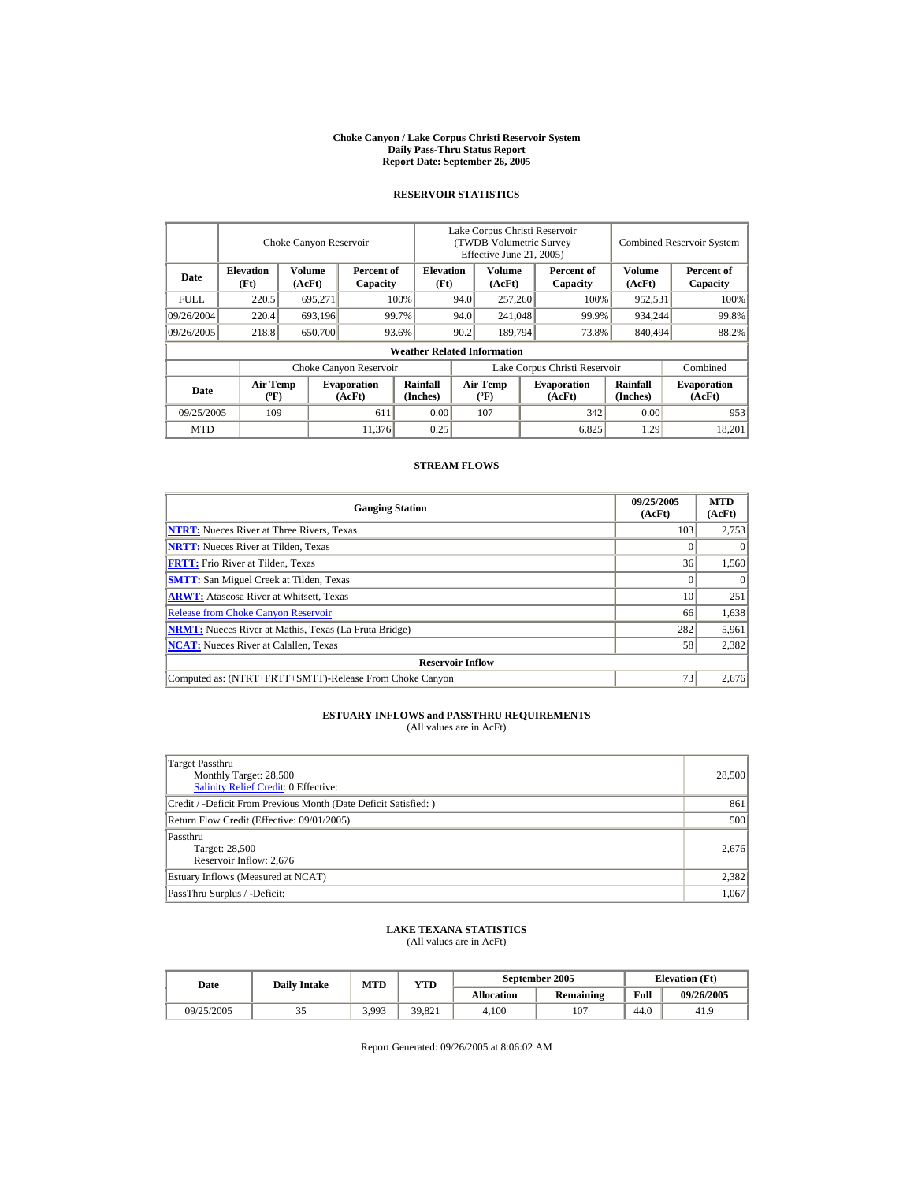#### **Choke Canyon / Lake Corpus Christi Reservoir System Daily Pass-Thru Status Report Report Date: September 26, 2005**

#### **RESERVOIR STATISTICS**

|                                                                                |                                | Choke Canyon Reservoir   |                              | Lake Corpus Christi Reservoir<br>(TWDB Volumetric Survey<br>Effective June 21, 2005) |      |                                  |                  |                               | <b>Combined Reservoir System</b> |                              |  |
|--------------------------------------------------------------------------------|--------------------------------|--------------------------|------------------------------|--------------------------------------------------------------------------------------|------|----------------------------------|------------------|-------------------------------|----------------------------------|------------------------------|--|
| <b>Elevation</b><br>Volume<br>Percent of<br>Date<br>(Ft)<br>(AcFt)<br>Capacity |                                | <b>Elevation</b><br>(Ft) |                              | Volume<br>(AcFt)                                                                     |      | Percent of<br>Capacity           | Volume<br>(AcFt) | Percent of<br>Capacity        |                                  |                              |  |
| <b>FULL</b>                                                                    | 220.5                          | 695,271                  |                              | 100%                                                                                 | 94.0 |                                  | 257,260          | 100%                          | 952,531                          | 100%                         |  |
| 09/26/2004                                                                     | 220.4<br>693,196               |                          |                              | 99.7%                                                                                | 94.0 | 241,048                          |                  | 99.9%                         | 934,244                          | 99.8%                        |  |
| 09/26/2005                                                                     | 218.8                          | 650,700                  |                              | 93.6%                                                                                | 90.2 | 189,794                          |                  | 73.8%                         | 840,494                          | 88.2%                        |  |
|                                                                                |                                |                          |                              | <b>Weather Related Information</b>                                                   |      |                                  |                  |                               |                                  |                              |  |
|                                                                                |                                |                          | Choke Canyon Reservoir       |                                                                                      |      |                                  |                  | Lake Corpus Christi Reservoir |                                  | Combined                     |  |
| Date                                                                           | Air Temp<br>$({}^o\mathrm{F})$ |                          | <b>Evaporation</b><br>(AcFt) | Rainfall<br>(Inches)                                                                 |      | <b>Air Temp</b><br>$(^{\circ}F)$ |                  | <b>Evaporation</b><br>(AcFt)  | Rainfall<br>(Inches)             | <b>Evaporation</b><br>(AcFt) |  |
| 09/25/2005                                                                     | 109                            |                          | 611                          | 0.00                                                                                 |      | 107                              |                  | 342                           | 0.00                             | 953                          |  |
| <b>MTD</b>                                                                     |                                |                          | 11.376                       | 0.25                                                                                 |      |                                  |                  | 6,825                         | 1.29                             | 18.201                       |  |

#### **STREAM FLOWS**

| <b>Gauging Station</b>                                       | 09/25/2005<br>(AcFt) | <b>MTD</b><br>(AcFt) |
|--------------------------------------------------------------|----------------------|----------------------|
| <b>NTRT:</b> Nueces River at Three Rivers, Texas             | 103                  | 2,753                |
| <b>NRTT:</b> Nueces River at Tilden, Texas                   |                      |                      |
| <b>FRTT:</b> Frio River at Tilden, Texas                     | 36 <sup>1</sup>      | 1,560                |
| <b>SMTT:</b> San Miguel Creek at Tilden, Texas               | 0                    |                      |
| <b>ARWT:</b> Atascosa River at Whitsett, Texas               | 10                   | 251                  |
| <b>Release from Choke Canyon Reservoir</b>                   | 66                   | 1,638                |
| <b>NRMT:</b> Nueces River at Mathis, Texas (La Fruta Bridge) | 282                  | 5,961                |
| <b>NCAT:</b> Nueces River at Calallen, Texas                 | 58                   | 2,382                |
| <b>Reservoir Inflow</b>                                      |                      |                      |
| Computed as: (NTRT+FRTT+SMTT)-Release From Choke Canyon      | 73                   | 2,676                |

# **ESTUARY INFLOWS and PASSTHRU REQUIREMENTS**<br>(All values are in AcFt)

| Target Passthru<br>Monthly Target: 28,500<br><b>Salinity Relief Credit: 0 Effective:</b> | 28,500 |
|------------------------------------------------------------------------------------------|--------|
| Credit / -Deficit From Previous Month (Date Deficit Satisfied: )                         | 861    |
| Return Flow Credit (Effective: 09/01/2005)                                               | 500    |
| Passthru<br>Target: 28,500<br>Reservoir Inflow: 2,676                                    | 2,676  |
| Estuary Inflows (Measured at NCAT)                                                       | 2,382  |
| PassThru Surplus / -Deficit:                                                             | 1,067  |

## **LAKE TEXANA STATISTICS**

(All values are in AcFt)

| Date       | <b>Daily Intake</b> | <b>MTD</b> | YTD    |                   | September 2005   | <b>Elevation</b> (Ft) |            |  |
|------------|---------------------|------------|--------|-------------------|------------------|-----------------------|------------|--|
|            |                     |            |        | <b>Allocation</b> | <b>Remaining</b> | Full                  | 09/26/2005 |  |
| 09/25/2005 | <u>. .</u>          | 3.993      | 39.821 | 4.100             | 107              | 44.0                  | 41.9       |  |

Report Generated: 09/26/2005 at 8:06:02 AM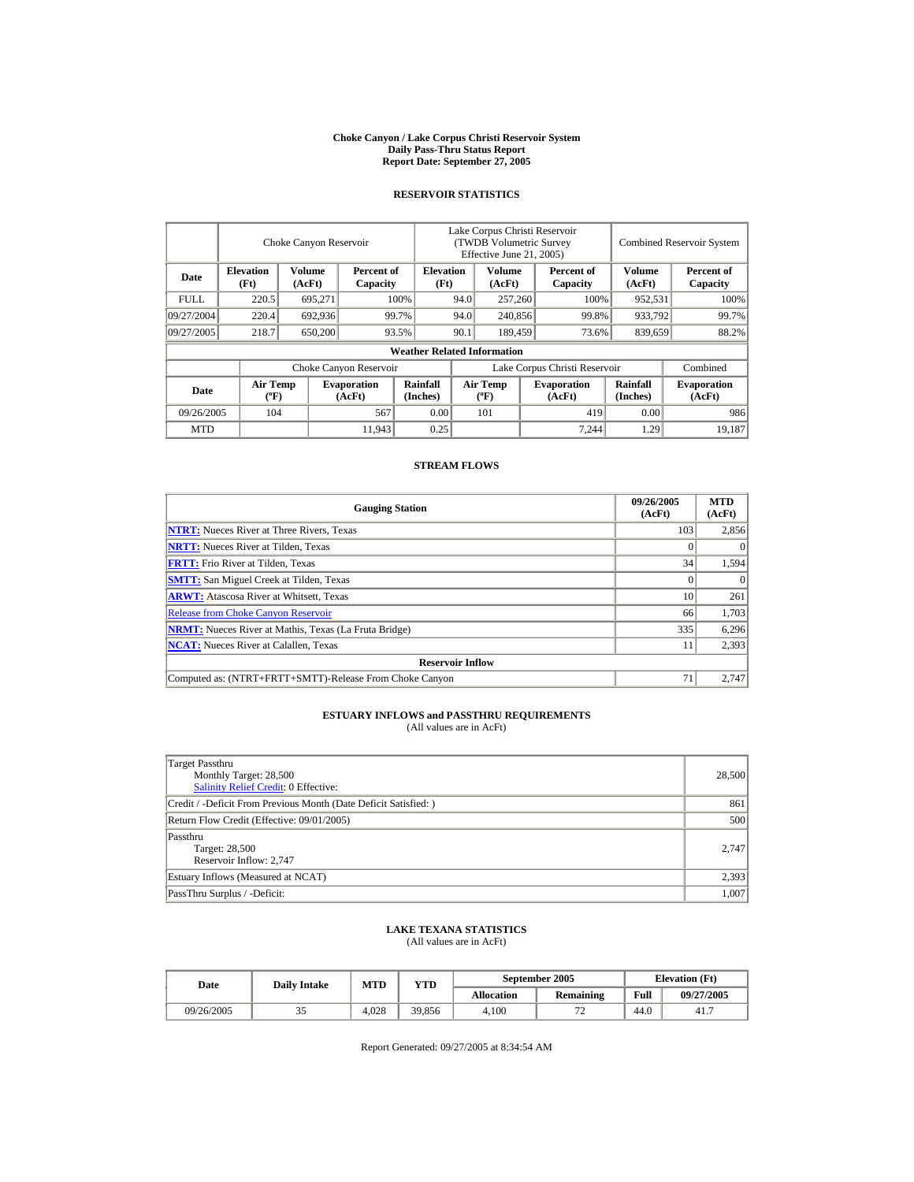#### **Choke Canyon / Lake Corpus Christi Reservoir System Daily Pass-Thru Status Report Report Date: September 27, 2005**

#### **RESERVOIR STATISTICS**

|                                                                                | Choke Canyon Reservoir                      |                          |                              |                                    | Lake Corpus Christi Reservoir<br>(TWDB Volumetric Survey<br>Effective June 21, 2005) |                                  |                  |                              | <b>Combined Reservoir System</b> |                              |  |
|--------------------------------------------------------------------------------|---------------------------------------------|--------------------------|------------------------------|------------------------------------|--------------------------------------------------------------------------------------|----------------------------------|------------------|------------------------------|----------------------------------|------------------------------|--|
| <b>Elevation</b><br>Volume<br>Percent of<br>Date<br>(Ft)<br>(AcFt)<br>Capacity |                                             | <b>Elevation</b><br>(Ft) | Volume<br>(AcFt)             |                                    |                                                                                      | Percent of<br>Capacity           | Volume<br>(AcFt) | Percent of<br>Capacity       |                                  |                              |  |
| <b>FULL</b>                                                                    | 220.5                                       | 695,271                  |                              | 100%                               | 94.0                                                                                 | 257,260                          |                  | 100%                         | 952,531                          | 100%                         |  |
| 09/27/2004                                                                     | 220.4<br>692,936<br>99.7%                   |                          |                              | 94.0                               | 240,856                                                                              |                                  | 99.8%            | 933,792                      | 99.7%                            |                              |  |
| 09/27/2005                                                                     | 218.7                                       | 650,200                  |                              | 93.5%                              | 90.1                                                                                 | 189,459                          |                  | 73.6%                        | 839,659                          | 88.2%                        |  |
|                                                                                |                                             |                          |                              | <b>Weather Related Information</b> |                                                                                      |                                  |                  |                              |                                  |                              |  |
|                                                                                |                                             |                          | Choke Canyon Reservoir       |                                    | Lake Corpus Christi Reservoir                                                        |                                  |                  |                              |                                  | Combined                     |  |
| Date                                                                           | <b>Air Temp</b><br>$({}^{\circ}\mathrm{F})$ |                          | <b>Evaporation</b><br>(AcFt) | Rainfall<br>(Inches)               |                                                                                      | <b>Air Temp</b><br>$(^{\circ}F)$ |                  | <b>Evaporation</b><br>(AcFt) | <b>Rainfall</b><br>(Inches)      | <b>Evaporation</b><br>(AcFt) |  |
| 09/26/2005                                                                     | 104                                         |                          | 567                          | 0.00                               |                                                                                      | 101                              |                  | 419                          | 0.00                             | 986                          |  |
| <b>MTD</b>                                                                     |                                             |                          | 11,943                       | 0.25                               |                                                                                      |                                  |                  | 7.244                        | 1.29                             | 19.187                       |  |

#### **STREAM FLOWS**

| <b>Gauging Station</b>                                       | 09/26/2005<br>(AcFt) | <b>MTD</b><br>(AcFt) |
|--------------------------------------------------------------|----------------------|----------------------|
| <b>NTRT:</b> Nueces River at Three Rivers, Texas             | 103                  | 2,856                |
| <b>NRTT:</b> Nueces River at Tilden, Texas                   |                      |                      |
| <b>FRTT:</b> Frio River at Tilden, Texas                     | 34                   | 1,594                |
| <b>SMTT:</b> San Miguel Creek at Tilden, Texas               |                      | $\theta$             |
| <b>ARWT:</b> Atascosa River at Whitsett, Texas               | 10                   | 261                  |
| <b>Release from Choke Canyon Reservoir</b>                   | 66                   | 1,703                |
| <b>NRMT:</b> Nueces River at Mathis, Texas (La Fruta Bridge) | 335                  | 6,296                |
| <b>NCAT:</b> Nueces River at Calallen, Texas                 |                      | 2,393                |
| <b>Reservoir Inflow</b>                                      |                      |                      |
| Computed as: (NTRT+FRTT+SMTT)-Release From Choke Canyon      | 7 <sub>i</sub>       | 2.747                |

# **ESTUARY INFLOWS and PASSTHRU REQUIREMENTS**<br>(All values are in AcFt)

| Target Passthru<br>Monthly Target: 28,500<br>Salinity Relief Credit: 0 Effective: | 28,500 |
|-----------------------------------------------------------------------------------|--------|
| Credit / -Deficit From Previous Month (Date Deficit Satisfied:)                   | 861    |
| Return Flow Credit (Effective: 09/01/2005)                                        | 500    |
| Passthru<br>Target: 28,500<br>Reservoir Inflow: 2,747                             | 2.747  |
| Estuary Inflows (Measured at NCAT)                                                | 2,393  |
| PassThru Surplus / -Deficit:                                                      | 1,007  |

## **LAKE TEXANA STATISTICS**

(All values are in AcFt)

| Date       | <b>Daily Intake</b> | <b>MTD</b> | VTD    |                   | September 2005   | <b>Elevation</b> (Ft) |            |  |
|------------|---------------------|------------|--------|-------------------|------------------|-----------------------|------------|--|
|            |                     |            |        | <b>Allocation</b> | <b>Remaining</b> | Full                  | 09/27/2005 |  |
| 09/26/2005 | ت ب                 | 4.028      | 39.856 | 4.100             | . .              | 44.0                  | 41.7       |  |

Report Generated: 09/27/2005 at 8:34:54 AM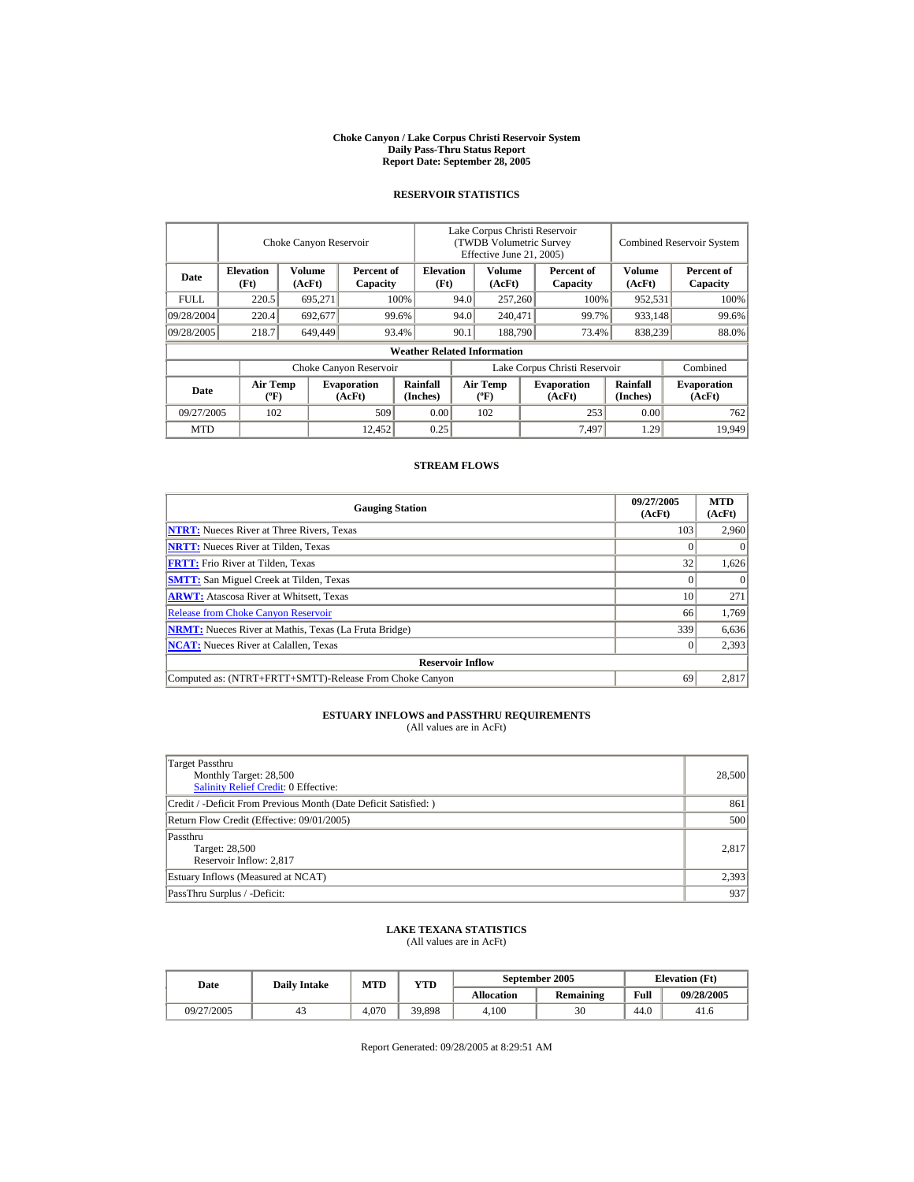#### **Choke Canyon / Lake Corpus Christi Reservoir System Daily Pass-Thru Status Report Report Date: September 28, 2005**

#### **RESERVOIR STATISTICS**

|                                                                                |                                | Choke Canyon Reservoir   |                              | Lake Corpus Christi Reservoir<br>(TWDB Volumetric Survey<br>Effective June 21, 2005) |      |                                  |                  | <b>Combined Reservoir System</b> |                      |                              |
|--------------------------------------------------------------------------------|--------------------------------|--------------------------|------------------------------|--------------------------------------------------------------------------------------|------|----------------------------------|------------------|----------------------------------|----------------------|------------------------------|
| <b>Elevation</b><br>Volume<br>Percent of<br>Date<br>(Ft)<br>(AcFt)<br>Capacity |                                | <b>Elevation</b><br>(Ft) |                              | Volume<br>(AcFt)                                                                     |      | Percent of<br>Capacity           | Volume<br>(AcFt) | Percent of<br>Capacity           |                      |                              |
| <b>FULL</b>                                                                    | 220.5                          | 695,271                  |                              | 100%                                                                                 | 94.0 | 257,260                          |                  | 100%                             | 952,531              | 100%                         |
| 09/28/2004                                                                     | 220.4                          | 692,677                  |                              | 99.6%                                                                                | 94.0 | 240,471                          |                  | 99.7%                            | 933,148              | 99.6%                        |
| 09/28/2005                                                                     | 218.7                          | 649,449                  |                              | 93.4%                                                                                | 90.1 | 188,790                          |                  | 73.4%                            | 838,239              | 88.0%                        |
|                                                                                |                                |                          |                              | <b>Weather Related Information</b>                                                   |      |                                  |                  |                                  |                      |                              |
|                                                                                |                                |                          | Choke Canyon Reservoir       |                                                                                      |      |                                  |                  | Lake Corpus Christi Reservoir    |                      | Combined                     |
| Date                                                                           | Air Temp<br>$({}^o\mathrm{F})$ |                          | <b>Evaporation</b><br>(AcFt) | Rainfall<br>(Inches)                                                                 |      | <b>Air Temp</b><br>$(^{\circ}F)$ |                  | <b>Evaporation</b><br>(AcFt)     | Rainfall<br>(Inches) | <b>Evaporation</b><br>(AcFt) |
| 09/27/2005<br>102                                                              |                                |                          | 509                          | 0.00                                                                                 |      | 102                              |                  | 253                              | 0.00                 | 762                          |
| <b>MTD</b>                                                                     |                                |                          | 12.452                       | 0.25                                                                                 |      |                                  |                  | 7.497                            | 1.29                 | 19.949                       |

#### **STREAM FLOWS**

| <b>Gauging Station</b>                                       | 09/27/2005<br>(AcFt) | <b>MTD</b><br>(AcFt) |
|--------------------------------------------------------------|----------------------|----------------------|
| <b>NTRT:</b> Nueces River at Three Rivers, Texas             | 103                  | 2,960                |
| <b>NRTT:</b> Nueces River at Tilden, Texas                   |                      |                      |
| <b>FRTT:</b> Frio River at Tilden, Texas                     | 32                   | 1,626                |
| <b>SMTT:</b> San Miguel Creek at Tilden, Texas               |                      |                      |
| <b>ARWT:</b> Atascosa River at Whitsett, Texas               | 10                   | 271                  |
| <b>Release from Choke Canyon Reservoir</b>                   | 66                   | 1,769                |
| <b>NRMT:</b> Nueces River at Mathis, Texas (La Fruta Bridge) | 339                  | 6,636                |
| <b>NCAT:</b> Nueces River at Calallen, Texas                 | $\Omega$             | 2,393                |
| <b>Reservoir Inflow</b>                                      |                      |                      |
| Computed as: (NTRT+FRTT+SMTT)-Release From Choke Canyon      | 69                   | 2,817                |

# **ESTUARY INFLOWS and PASSTHRU REQUIREMENTS**<br>(All values are in AcFt)

| Target Passthru<br>Monthly Target: 28,500<br><b>Salinity Relief Credit: 0 Effective:</b> | 28,500 |
|------------------------------------------------------------------------------------------|--------|
| Credit / -Deficit From Previous Month (Date Deficit Satisfied: )                         | 861    |
| Return Flow Credit (Effective: 09/01/2005)                                               | 500    |
| Passthru<br>Target: 28,500<br>Reservoir Inflow: 2,817                                    | 2,817  |
| Estuary Inflows (Measured at NCAT)                                                       | 2,393  |
| PassThru Surplus / -Deficit:                                                             | 937    |

## **LAKE TEXANA STATISTICS**

(All values are in AcFt)

| Date       | <b>Daily Intake</b> | <b>MTD</b> | VTD    |                   | September 2005   | <b>Elevation</b> (Ft) |            |  |
|------------|---------------------|------------|--------|-------------------|------------------|-----------------------|------------|--|
|            |                     |            |        | <b>Allocation</b> | <b>Remaining</b> | Full                  | 09/28/2005 |  |
| 09/27/2005 |                     | 4.070      | 39.898 | 4.100             | 30               | 44.0                  | 41.6       |  |

Report Generated: 09/28/2005 at 8:29:51 AM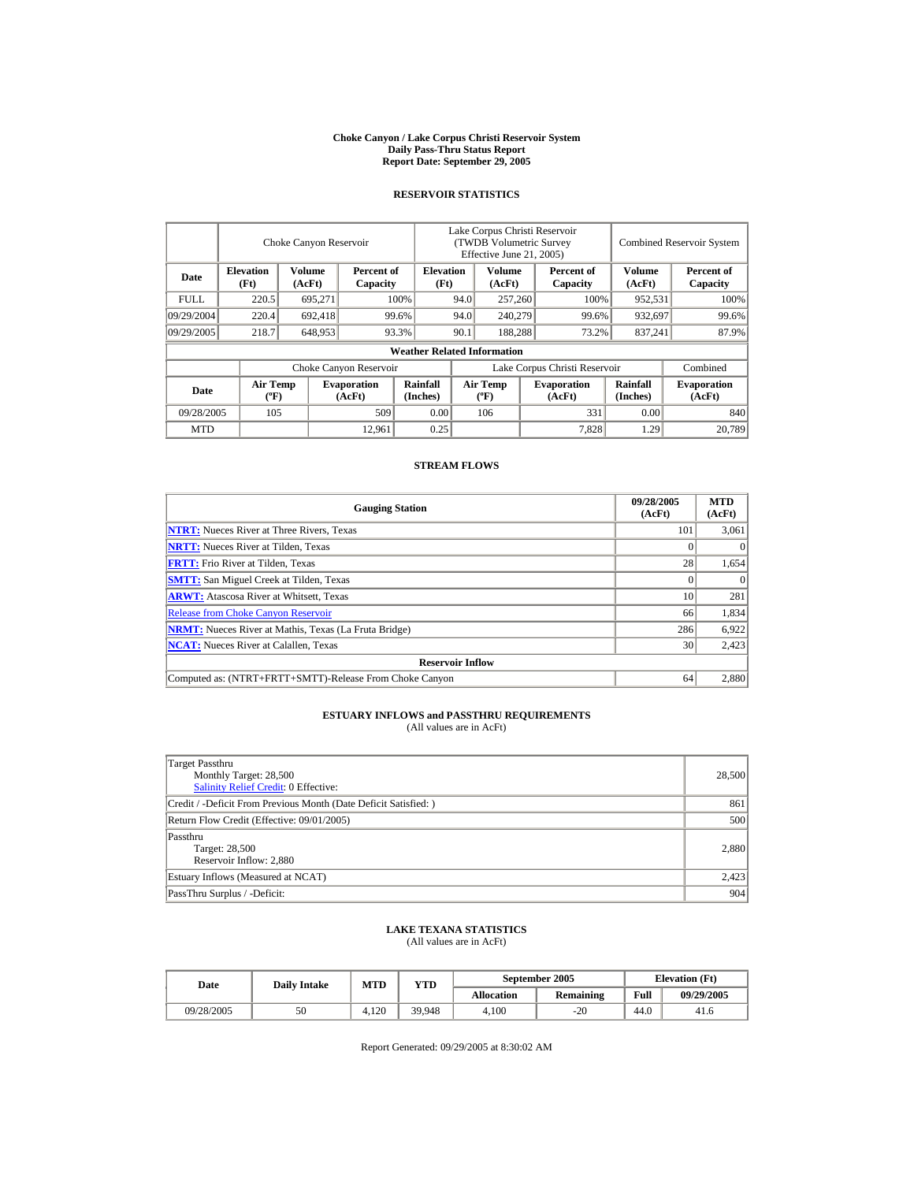#### **Choke Canyon / Lake Corpus Christi Reservoir System Daily Pass-Thru Status Report Report Date: September 29, 2005**

#### **RESERVOIR STATISTICS**

|                                                                                |                                | Choke Canyon Reservoir   |                              | Lake Corpus Christi Reservoir<br>(TWDB Volumetric Survey<br>Effective June 21, 2005) |                               |                                  |                  |                              | <b>Combined Reservoir System</b> |                              |  |
|--------------------------------------------------------------------------------|--------------------------------|--------------------------|------------------------------|--------------------------------------------------------------------------------------|-------------------------------|----------------------------------|------------------|------------------------------|----------------------------------|------------------------------|--|
| <b>Elevation</b><br>Volume<br>Percent of<br>Date<br>(Ft)<br>(AcFt)<br>Capacity |                                | <b>Elevation</b><br>(Ft) |                              | Volume<br>(AcFt)                                                                     |                               | Percent of<br>Capacity           | Volume<br>(AcFt) | Percent of<br>Capacity       |                                  |                              |  |
| <b>FULL</b>                                                                    | 220.5                          | 695,271                  |                              | 100%                                                                                 | 94.0                          | 257,260                          |                  | 100%                         | 952,531                          | 100%                         |  |
| 09/29/2004                                                                     | 220.4                          | 692,418                  |                              | 99.6%                                                                                | 94.0                          | 240,279                          |                  | 99.6%                        | 932,697                          | 99.6%                        |  |
| 09/29/2005                                                                     | 218.7                          | 648,953                  |                              | 93.3%                                                                                | 90.1                          | 188,288                          |                  | 73.2%                        | 837,241                          | 87.9%                        |  |
|                                                                                |                                |                          |                              | <b>Weather Related Information</b>                                                   |                               |                                  |                  |                              |                                  |                              |  |
|                                                                                |                                |                          | Choke Canyon Reservoir       |                                                                                      | Lake Corpus Christi Reservoir |                                  |                  |                              | Combined                         |                              |  |
| Date                                                                           | Air Temp<br>$({}^o\mathrm{F})$ |                          | <b>Evaporation</b><br>(AcFt) | Rainfall<br>(Inches)                                                                 |                               | <b>Air Temp</b><br>$(^{\circ}F)$ |                  | <b>Evaporation</b><br>(AcFt) | Rainfall<br>(Inches)             | <b>Evaporation</b><br>(AcFt) |  |
| 09/28/2005                                                                     | 105                            |                          | 509                          | 0.00                                                                                 |                               | 106                              |                  | 331                          | 0.00                             | 840                          |  |
| <b>MTD</b>                                                                     |                                |                          | 12,961                       | 0.25                                                                                 |                               |                                  |                  | 7,828                        | 1.29                             | 20.789                       |  |

### **STREAM FLOWS**

| <b>Gauging Station</b>                                       | 09/28/2005<br>(AcFt) | <b>MTD</b><br>(AcFt) |
|--------------------------------------------------------------|----------------------|----------------------|
| <b>NTRT:</b> Nueces River at Three Rivers, Texas             | 101                  | 3,061                |
| <b>NRTT:</b> Nueces River at Tilden, Texas                   |                      |                      |
| <b>FRTT:</b> Frio River at Tilden, Texas                     | 28                   | 1,654                |
| <b>SMTT:</b> San Miguel Creek at Tilden, Texas               |                      | $\theta$             |
| <b>ARWT:</b> Atascosa River at Whitsett, Texas               | 10                   | 281                  |
| <b>Release from Choke Canyon Reservoir</b>                   | 66                   | 1,834                |
| <b>NRMT:</b> Nueces River at Mathis, Texas (La Fruta Bridge) | 286                  | 6,922                |
| <b>NCAT:</b> Nueces River at Calallen, Texas                 | 30                   | 2,423                |
| <b>Reservoir Inflow</b>                                      |                      |                      |
| Computed as: (NTRT+FRTT+SMTT)-Release From Choke Canyon      | 64                   | 2.880                |

# **ESTUARY INFLOWS and PASSTHRU REQUIREMENTS**<br>(All values are in AcFt)

| Target Passthru<br>Monthly Target: 28,500<br>Salinity Relief Credit: 0 Effective: | 28,500 |
|-----------------------------------------------------------------------------------|--------|
| Credit / -Deficit From Previous Month (Date Deficit Satisfied:)                   | 861    |
| Return Flow Credit (Effective: 09/01/2005)                                        | 500    |
| Passthru<br>Target: 28,500<br>Reservoir Inflow: 2,880                             | 2,880  |
| Estuary Inflows (Measured at NCAT)                                                | 2,423  |
| PassThru Surplus / -Deficit:                                                      | 904    |

## **LAKE TEXANA STATISTICS**

(All values are in AcFt)

| Date       | <b>Daily Intake</b> | <b>MTD</b> | YTD    |                   | September 2005 | <b>Elevation</b> (Ft) |            |  |
|------------|---------------------|------------|--------|-------------------|----------------|-----------------------|------------|--|
|            |                     |            |        | <b>Allocation</b> | Remaining      | Full                  | 09/29/2005 |  |
| 09/28/2005 | 50                  | 4.120      | 39.948 | 4.100             | $-20$          | 44.0                  | 41.6       |  |

Report Generated: 09/29/2005 at 8:30:02 AM